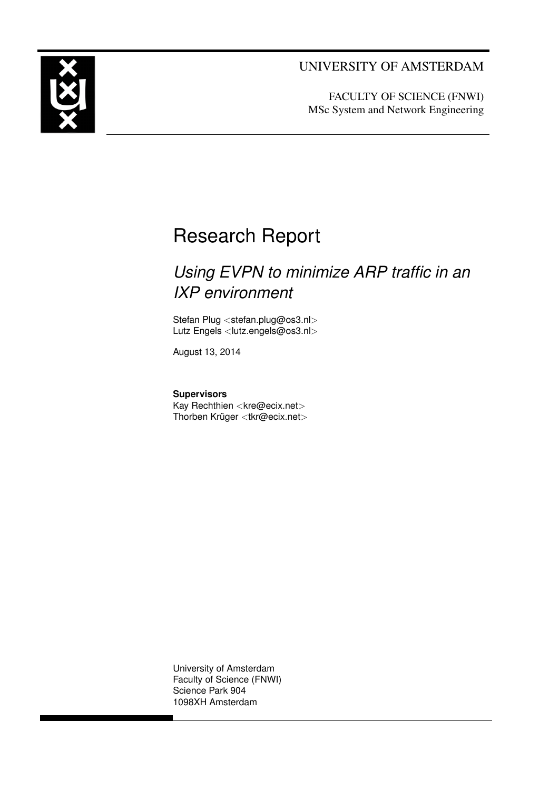<span id="page-0-1"></span><span id="page-0-0"></span>

# UNIVERSITY OF AMSTERDAM

FACULTY OF SCIENCE (FNWI) MSc System and Network Engineering

# Research Report

# *Using EVPN to minimize ARP traffic in an IXP environment*

Stefan Plug <[stefan.plug@os3.nl](mailto:stefan.plug@os3.nl)> Lutz Engels <[lutz.engels@os3.nl](mailto:lutz.engels@os3.nl)>

August 13, 2014

**Supervisors** Kay Rechthien <[kre@ecix.net](mailto:kre@ecix.net)> Thorben Krüger <[tkr@ecix.net](mailto:tkr@ecix.net)>

University of Amsterdam Faculty of Science (FNWI) Science Park 904 1098XH Amsterdam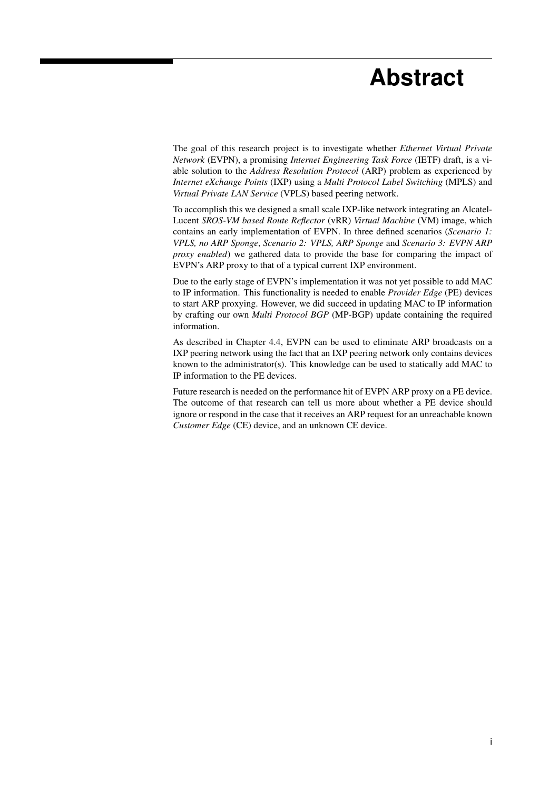# **Abstract**

The goal of this research project is to investigate whether *[Ethernet Virtual Private](#page-4-0) Network* [\(EVPN\),](#page-4-0) a promising *[Internet Engineering Task Force](#page-4-1)* (IETF) draft, is a viable solution to the *[Address Resolution Protocol](#page-4-2)* (ARP) problem as experienced by *[Internet eXchange Points](#page-4-3)* (IXP) using a *[Multi Protocol Label Switching](#page-5-0)* (MPLS) and *[Virtual Private LAN Service](#page-5-1)* (VPLS) based peering network.

To accomplish this we designed a small scale [IXP-](#page-4-3)like network integrating an Alcatel-Lucent *[SROS-VM based Route Reflector](#page-5-2)* (vRR) *[Virtual Machine](#page-5-3)* (VM) image, which contains an early implementation of [EVPN.](#page-4-0) In three defined scenarios (*Scenario 1: VPLS, no ARP Sponge*, *Scenario 2: VPLS, ARP Sponge* and *Scenario 3: EVPN ARP proxy enabled*) we gathered data to provide the base for comparing the impact of [EVPN'](#page-4-0)s [ARP](#page-4-2) proxy to that of a typical current [IXP](#page-4-3) environment.

Due to the early stage of [EVPN'](#page-4-0)s implementation it was not yet possible to add [MAC](#page-4-4) to [IP](#page-4-5) information. This functionality is needed to enable *[Provider Edge](#page-5-4)* (PE) devices to start [ARP](#page-4-2) proxying. However, we did succeed in updating [MAC](#page-4-4) to [IP](#page-4-5) information by crafting our own *[Multi Protocol BGP](#page-4-6)* (MP-BGP) update containing the required information.

As described in Chapter [4.4,](#page-29-0) [EVPN](#page-4-0) can be used to eliminate [ARP](#page-4-2) broadcasts on a [IXP](#page-4-3) peering network using the fact that an [IXP](#page-4-3) peering network only contains devices known to the administrator(s). This knowledge can be used to statically add [MAC](#page-4-4) to [IP](#page-4-5) information to the [PE](#page-5-4) devices.

Future research is needed on the performance hit of [EVPN](#page-4-0) [ARP](#page-4-2) proxy on a [PE](#page-5-4) device. The outcome of that research can tell us more about whether a [PE](#page-5-4) device should ignore or respond in the case that it receives an [ARP](#page-4-2) request for an unreachable known *[Customer Edge](#page-4-7)* (CE) device, and an unknown [CE](#page-4-7) device.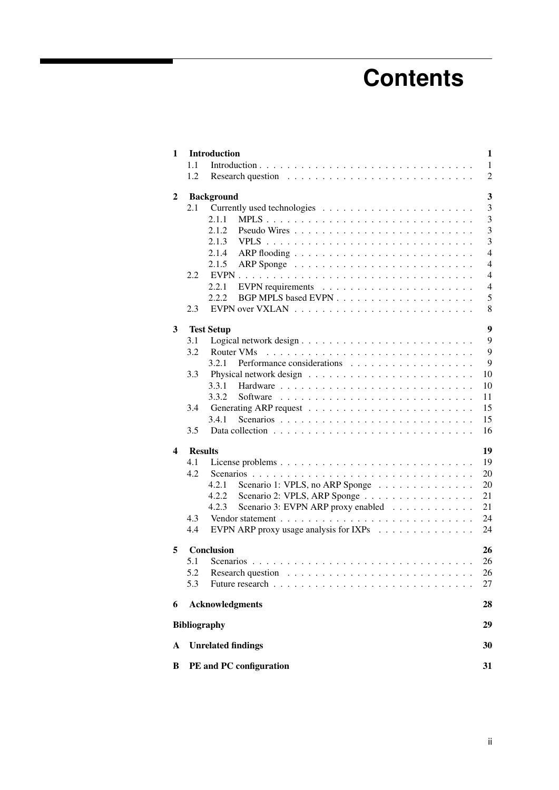# **Contents**

<span id="page-2-0"></span>

| 1 |     | <b>Introduction</b>                                                                                                                                                                                                                                                                                                                                                                                                                                                                                 | 1              |
|---|-----|-----------------------------------------------------------------------------------------------------------------------------------------------------------------------------------------------------------------------------------------------------------------------------------------------------------------------------------------------------------------------------------------------------------------------------------------------------------------------------------------------------|----------------|
|   | 1.1 |                                                                                                                                                                                                                                                                                                                                                                                                                                                                                                     | $\mathbf{1}$   |
|   | 1.2 |                                                                                                                                                                                                                                                                                                                                                                                                                                                                                                     | $\overline{c}$ |
| 2 |     | <b>Background</b>                                                                                                                                                                                                                                                                                                                                                                                                                                                                                   | 3              |
|   | 2.1 |                                                                                                                                                                                                                                                                                                                                                                                                                                                                                                     | 3              |
|   |     | 2.1.1<br>MPLS                                                                                                                                                                                                                                                                                                                                                                                                                                                                                       | 3              |
|   |     | 2.1.2                                                                                                                                                                                                                                                                                                                                                                                                                                                                                               | 3              |
|   |     | 2.1.3                                                                                                                                                                                                                                                                                                                                                                                                                                                                                               | $\overline{3}$ |
|   |     |                                                                                                                                                                                                                                                                                                                                                                                                                                                                                                     | $\overline{4}$ |
|   |     | 2.1.4                                                                                                                                                                                                                                                                                                                                                                                                                                                                                               |                |
|   |     | 2.1.5                                                                                                                                                                                                                                                                                                                                                                                                                                                                                               | $\overline{4}$ |
|   | 2.2 | $EVPN$                                                                                                                                                                                                                                                                                                                                                                                                                                                                                              | $\overline{4}$ |
|   |     | 2.2.1                                                                                                                                                                                                                                                                                                                                                                                                                                                                                               | $\overline{4}$ |
|   |     | 2.2.2                                                                                                                                                                                                                                                                                                                                                                                                                                                                                               | 5              |
|   | 2.3 |                                                                                                                                                                                                                                                                                                                                                                                                                                                                                                     | 8              |
| 3 |     | <b>Test Setup</b>                                                                                                                                                                                                                                                                                                                                                                                                                                                                                   | 9              |
|   | 3.1 |                                                                                                                                                                                                                                                                                                                                                                                                                                                                                                     | 9              |
|   | 3.2 | Router VMs                                                                                                                                                                                                                                                                                                                                                                                                                                                                                          | 9              |
|   |     | 3.2.1                                                                                                                                                                                                                                                                                                                                                                                                                                                                                               | 9              |
|   | 3.3 |                                                                                                                                                                                                                                                                                                                                                                                                                                                                                                     | 10             |
|   |     | 3.3.1                                                                                                                                                                                                                                                                                                                                                                                                                                                                                               | 10             |
|   |     | 3.3.2                                                                                                                                                                                                                                                                                                                                                                                                                                                                                               | 11             |
|   | 3.4 |                                                                                                                                                                                                                                                                                                                                                                                                                                                                                                     | 15             |
|   |     | 3.4.1                                                                                                                                                                                                                                                                                                                                                                                                                                                                                               |                |
|   |     |                                                                                                                                                                                                                                                                                                                                                                                                                                                                                                     | 15             |
|   | 3.5 |                                                                                                                                                                                                                                                                                                                                                                                                                                                                                                     | 16             |
| 4 |     | <b>Results</b>                                                                                                                                                                                                                                                                                                                                                                                                                                                                                      | 19             |
|   | 4.1 |                                                                                                                                                                                                                                                                                                                                                                                                                                                                                                     | 19             |
|   | 4.2 |                                                                                                                                                                                                                                                                                                                                                                                                                                                                                                     | 20             |
|   |     | 4.2.1<br>Scenario 1: VPLS, no ARP Sponge                                                                                                                                                                                                                                                                                                                                                                                                                                                            | 20             |
|   |     | 4.2.2<br>Scenario 2: VPLS, ARP Sponge                                                                                                                                                                                                                                                                                                                                                                                                                                                               | 21             |
|   |     | Scenario 3: EVPN ARP proxy enabled<br>4.2.3                                                                                                                                                                                                                                                                                                                                                                                                                                                         | 21             |
|   | 4.3 |                                                                                                                                                                                                                                                                                                                                                                                                                                                                                                     | 24             |
|   | 4.4 | EVPN ARP proxy usage analysis for IXPs $\ldots \ldots \ldots \ldots$                                                                                                                                                                                                                                                                                                                                                                                                                                | 24             |
|   |     |                                                                                                                                                                                                                                                                                                                                                                                                                                                                                                     |                |
| 5 |     | Conclusion                                                                                                                                                                                                                                                                                                                                                                                                                                                                                          | 26             |
|   | 5.1 |                                                                                                                                                                                                                                                                                                                                                                                                                                                                                                     | 26             |
|   | 5.2 | Research question<br>$\mathbf{1}_{\mathbf{1}_{\mathbf{1}}} \left( \mathbf{1}_{\mathbf{1}_{\mathbf{1}}} \left( \mathbf{1}_{\mathbf{1}_{\mathbf{1}}} \left( \mathbf{1}_{\mathbf{1}_{\mathbf{1}}} \left( \mathbf{1}_{\mathbf{1}_{\mathbf{1}}} \left( \mathbf{1}_{\mathbf{1}_{\mathbf{1}}} \left( \mathbf{1}_{\mathbf{1}_{\mathbf{1}}} \left( \mathbf{1}_{\mathbf{1}_{\mathbf{1}}} \left( \mathbf{1}_{\mathbf{1}_{\mathbf{1}}} \left( \mathbf{1}_{\mathbf{1}_{\mathbf{1}}} \left( \mathbf{1}_{\mathbf{$ | 26             |
|   | 5.3 |                                                                                                                                                                                                                                                                                                                                                                                                                                                                                                     | 27             |
| 6 |     | <b>Acknowledgments</b>                                                                                                                                                                                                                                                                                                                                                                                                                                                                              | 28             |
|   |     | <b>Bibliography</b>                                                                                                                                                                                                                                                                                                                                                                                                                                                                                 | 29             |
| A |     | <b>Unrelated findings</b>                                                                                                                                                                                                                                                                                                                                                                                                                                                                           | 30             |
| B |     | PE and PC configuration                                                                                                                                                                                                                                                                                                                                                                                                                                                                             | 31             |
|   |     |                                                                                                                                                                                                                                                                                                                                                                                                                                                                                                     |                |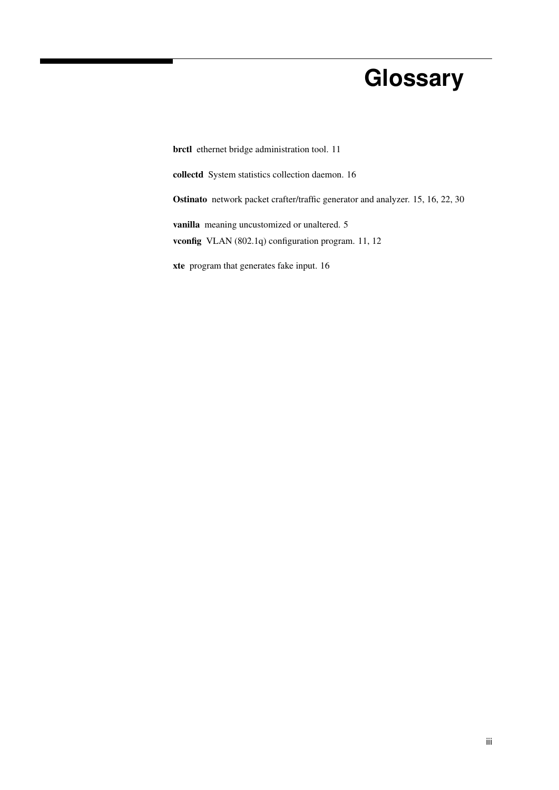# **Glossary**

<span id="page-3-6"></span><span id="page-3-5"></span><span id="page-3-4"></span><span id="page-3-3"></span><span id="page-3-2"></span><span id="page-3-1"></span><span id="page-3-0"></span>brctl ethernet bridge administration tool. [11](#page-16-1) collectd System statistics collection daemon. [16](#page-21-1) Ostinato network packet crafter/traffic generator and analyzer. [15,](#page-20-2) [16,](#page-21-1) [22,](#page-27-0) [30](#page-35-1) vanilla meaning uncustomized or unaltered. [5](#page-5-5) vconfig VLAN (802.1q) configuration program. [11,](#page-16-1) [12](#page-17-0) xte program that generates fake input. [16](#page-21-1)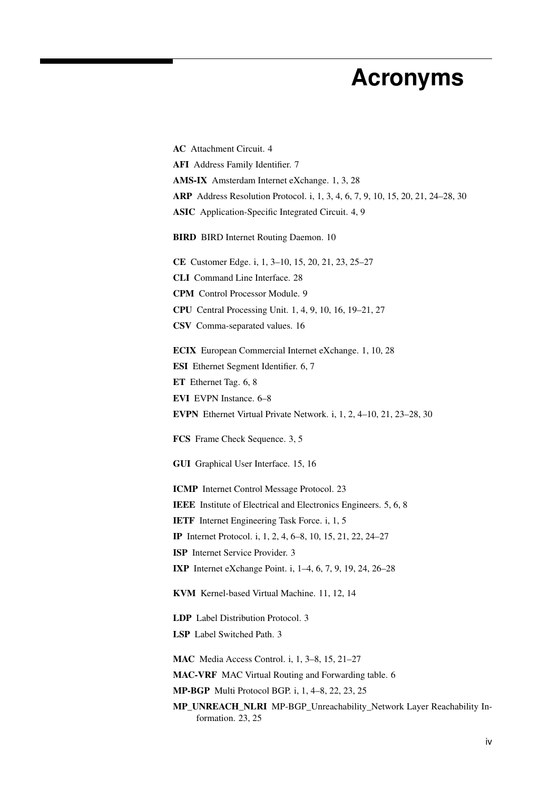# **Acronyms**

<span id="page-4-31"></span><span id="page-4-30"></span><span id="page-4-29"></span><span id="page-4-28"></span><span id="page-4-27"></span><span id="page-4-26"></span><span id="page-4-25"></span><span id="page-4-24"></span><span id="page-4-23"></span><span id="page-4-22"></span><span id="page-4-21"></span><span id="page-4-20"></span><span id="page-4-19"></span><span id="page-4-18"></span><span id="page-4-17"></span><span id="page-4-16"></span><span id="page-4-15"></span><span id="page-4-14"></span><span id="page-4-13"></span><span id="page-4-12"></span><span id="page-4-11"></span><span id="page-4-10"></span><span id="page-4-9"></span><span id="page-4-8"></span><span id="page-4-7"></span><span id="page-4-6"></span><span id="page-4-5"></span><span id="page-4-4"></span><span id="page-4-3"></span><span id="page-4-2"></span><span id="page-4-1"></span><span id="page-4-0"></span>AC Attachment Circuit. [4](#page-4-8) AFI Address Family Identifier. [7](#page-12-0) AMS-IX Amsterdam Internet eXchange. [1,](#page-0-0) [3,](#page-3-0) [28](#page-33-1) ARP Address Resolution Protocol. [i,](#page-0-1) [1,](#page-0-0) [3,](#page-3-0) [4,](#page-4-8) [6,](#page-11-0) [7,](#page-12-0) [9,](#page-14-4) [10,](#page-15-2) [15,](#page-20-2) [20,](#page-25-2) [21,](#page-26-2) [24](#page-29-2)[–28,](#page-33-1) [30](#page-35-1) ASIC Application-Specific Integrated Circuit. [4,](#page-4-8) [9](#page-14-4) BIRD BIRD Internet Routing Daemon. [10](#page-15-2) CE Customer Edge. [i,](#page-0-1) [1,](#page-0-0) [3](#page-3-0)[–10,](#page-15-2) [15,](#page-20-2) [20,](#page-25-2) [21,](#page-26-2) [23,](#page-28-0) [25–](#page-30-0)[27](#page-32-0) CLI Command Line Interface. [28](#page-33-1) CPM Control Processor Module. [9](#page-14-4) CPU Central Processing Unit. [1,](#page-0-0) [4,](#page-4-8) [9,](#page-14-4) [10,](#page-15-2) [16,](#page-21-1) [19](#page-24-2)[–21,](#page-26-2) [27](#page-32-0) CSV Comma-separated values. [16](#page-21-1) ECIX European Commercial Internet eXchange. [1,](#page-0-0) [10,](#page-15-2) [28](#page-33-1) ESI Ethernet Segment Identifier. [6,](#page-11-0) [7](#page-12-0) ET Ethernet Tag. [6,](#page-11-0) [8](#page-13-1) EVI EVPN Instance. [6](#page-11-0)[–8](#page-13-1) EVPN Ethernet Virtual Private Network. [i,](#page-0-1) [1,](#page-0-0) [2,](#page-2-0) [4–](#page-4-8)[10,](#page-15-2) [21,](#page-26-2) [23–](#page-28-0)[28,](#page-33-1) [30](#page-35-1) FCS Frame Check Sequence. [3,](#page-3-0) [5](#page-5-5) GUI Graphical User Interface. [15,](#page-20-2) [16](#page-21-1) ICMP Internet Control Message Protocol. [23](#page-28-0) IEEE Institute of Electrical and Electronics Engineers. [5,](#page-5-5) [6,](#page-11-0) [8](#page-13-1) IETF Internet Engineering Task Force. [i,](#page-0-1) [1,](#page-0-0) [5](#page-5-5) IP Internet Protocol. [i,](#page-0-1) [1,](#page-0-0) [2,](#page-2-0) [4,](#page-4-8) [6–](#page-11-0)[8,](#page-13-1) [10,](#page-15-2) [15,](#page-20-2) [21,](#page-26-2) [22,](#page-27-0) [24](#page-29-2)[–27](#page-32-0) ISP Internet Service Provider. [3](#page-3-0) IXP Internet eXchange Point. [i,](#page-0-1) [1–](#page-0-0)[4,](#page-4-8) [6,](#page-11-0) [7,](#page-12-0) [9,](#page-14-4) [19,](#page-24-2) [24,](#page-29-2) [26](#page-31-4)[–28](#page-33-1) KVM Kernel-based Virtual Machine. [11,](#page-16-1) [12,](#page-17-0) [14](#page-19-0) LDP Label Distribution Protocol. [3](#page-3-0) LSP Label Switched Path. [3](#page-3-0) MAC Media Access Control. [i,](#page-0-1) [1,](#page-0-0) [3–](#page-3-0)[8,](#page-13-1) [15,](#page-20-2) [21–](#page-26-2)[27](#page-32-0) MAC-VRF MAC Virtual Routing and Forwarding table. [6](#page-11-0) MP-BGP Multi Protocol BGP. [i,](#page-0-1) [1,](#page-0-0) [4–](#page-4-8)[8,](#page-13-1) [22,](#page-27-0) [23,](#page-28-0) [25](#page-30-0) MP\_UNREACH\_NLRI MP-BGP\_Unreachability\_Network Layer Reachability Information. [23,](#page-28-0) [25](#page-30-0)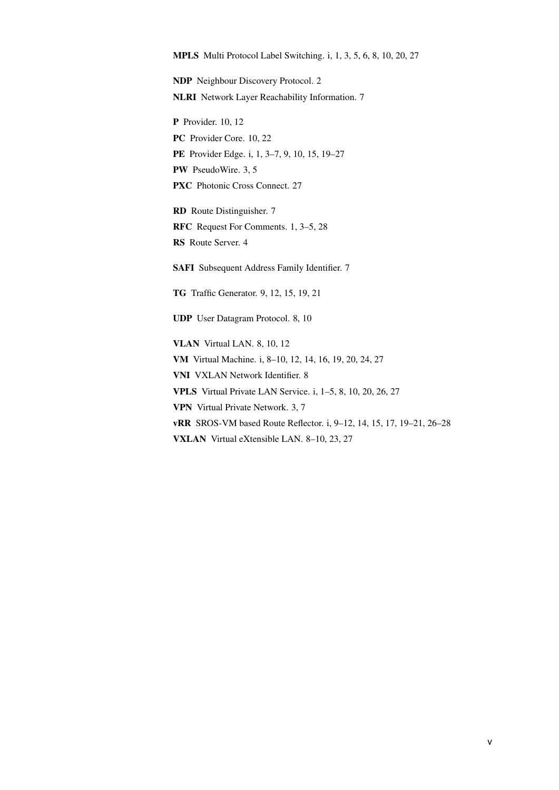<span id="page-5-11"></span><span id="page-5-7"></span><span id="page-5-5"></span><span id="page-5-0"></span>NDP Neighbour Discovery Protocol. [2](#page-2-0) NLRI Network Layer Reachability Information. [7](#page-12-0)

<span id="page-5-20"></span><span id="page-5-19"></span><span id="page-5-4"></span>P Provider. [10,](#page-15-2) [12](#page-17-0) PC Provider Core. [10,](#page-15-2) [22](#page-27-0) PE Provider Edge. [i,](#page-0-1) [1,](#page-0-0) [3](#page-3-0)[–7,](#page-12-0) [9,](#page-14-4) [10,](#page-15-2) [15,](#page-20-2) [19](#page-24-2)[–27](#page-32-0) PW PseudoWire. [3,](#page-3-0) [5](#page-5-5) PXC Photonic Cross Connect. [27](#page-32-0)

<span id="page-5-21"></span><span id="page-5-13"></span><span id="page-5-9"></span><span id="page-5-6"></span>RD Route Distinguisher. [7](#page-12-0) RFC Request For Comments. [1,](#page-0-0) [3](#page-3-0)[–5,](#page-5-5) [28](#page-33-1) RS Route Server. [4](#page-4-8)

<span id="page-5-12"></span><span id="page-5-10"></span>SAFI Subsequent Address Family Identifier. [7](#page-12-0)

<span id="page-5-18"></span>TG Traffic Generator. [9,](#page-14-4) [12,](#page-17-0) [15,](#page-20-2) [19,](#page-24-2) [21](#page-26-2)

<span id="page-5-16"></span>UDP User Datagram Protocol. [8,](#page-13-1) [10](#page-15-2)

<span id="page-5-17"></span><span id="page-5-15"></span><span id="page-5-14"></span><span id="page-5-8"></span><span id="page-5-3"></span><span id="page-5-2"></span><span id="page-5-1"></span>VLAN Virtual LAN. [8,](#page-13-1) [10,](#page-15-2) [12](#page-17-0) VM Virtual Machine. [i,](#page-0-1) [8](#page-13-1)[–10,](#page-15-2) [12,](#page-17-0) [14,](#page-19-0) [16,](#page-21-1) [19,](#page-24-2) [20,](#page-25-2) [24,](#page-29-2) [27](#page-32-0) VNI VXLAN Network Identifier. [8](#page-13-1) VPLS Virtual Private LAN Service. [i,](#page-0-1) [1](#page-0-0)[–5,](#page-5-5) [8,](#page-13-1) [10,](#page-15-2) [20,](#page-25-2) [26,](#page-31-4) [27](#page-32-0) VPN Virtual Private Network. [3,](#page-3-0) [7](#page-12-0) vRR SROS-VM based Route Reflector. [i,](#page-0-1) [9–](#page-14-4)[12,](#page-17-0) [14,](#page-19-0) [15,](#page-20-2) [17,](#page-22-0) [19](#page-24-2)[–21,](#page-26-2) [26](#page-31-4)[–28](#page-33-1) VXLAN Virtual eXtensible LAN. [8–](#page-13-1)[10,](#page-15-2) [23,](#page-28-0) [27](#page-32-0)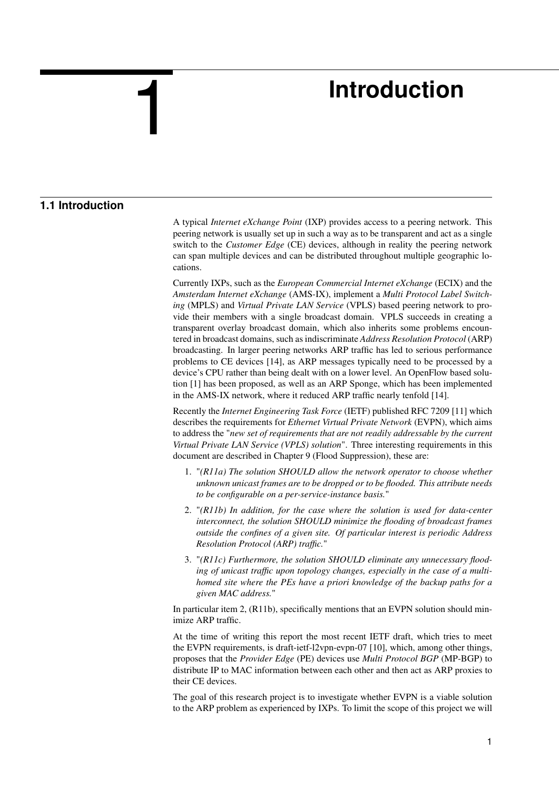# **Introduction**

# **1.1 Introduction**

<span id="page-6-0"></span>1

<span id="page-6-1"></span>A typical *[Internet eXchange Point](#page-4-3)* (IXP) provides access to a peering network. This peering network is usually set up in such a way as to be transparent and act as a single switch to the *[Customer Edge](#page-4-7)* (CE) devices, although in reality the peering network can span multiple devices and can be distributed throughout multiple geographic locations.

Currently [IXPs](#page-4-3), such as the *[European Commercial Internet eXchange](#page-4-9)* (ECIX) and the *[Amsterdam Internet eXchange](#page-4-10)* (AMS-IX), implement a *[Multi Protocol Label Switch](#page-5-0)ing* [\(MPLS\)](#page-5-0) and *[Virtual Private LAN Service](#page-5-1)* (VPLS) based peering network to provide their members with a single broadcast domain. [VPLS](#page-5-1) succeeds in creating a transparent overlay broadcast domain, which also inherits some problems encountered in broadcast domains, such as indiscriminate *[Address Resolution Protocol](#page-4-2)* (ARP) broadcasting. In larger peering networks [ARP](#page-4-2) traffic has led to serious performance problems to [CE](#page-4-7) devices [\[14\]](#page-34-1), as [ARP](#page-4-2) messages typically need to be processed by a device's [CPU](#page-4-11) rather than being dealt with on a lower level. An OpenFlow based solution [\[1\]](#page-34-2) has been proposed, as well as an [ARP](#page-4-2) Sponge, which has been implemented in the [AMS-IX](#page-4-10) network, where it reduced [ARP](#page-4-2) traffic nearly tenfold [\[14\]](#page-34-1).

Recently the *[Internet Engineering Task Force](#page-4-1)* (IETF) published [RFC](#page-5-6) 7209 [\[11\]](#page-34-3) which describes the requirements for *[Ethernet Virtual Private Network](#page-4-0)* (EVPN), which aims to address the "*new set of requirements that are not readily addressable by the current Virtual Private LAN Service (VPLS) solution*". Three interesting requirements in this document are described in Chapter 9 (Flood Suppression), these are:

- 1. "*(R11a) The solution SHOULD allow the network operator to choose whether unknown unicast frames are to be dropped or to be flooded. This attribute needs to be configurable on a per-service-instance basis.*"
- 2. "*(R11b) In addition, for the case where the solution is used for data-center interconnect, the solution SHOULD minimize the flooding of broadcast frames outside the confines of a given site. Of particular interest is periodic Address Resolution Protocol (ARP) traffic.*"
- 3. "*(R11c) Furthermore, the solution SHOULD eliminate any unnecessary flooding of unicast traffic upon topology changes, especially in the case of a multihomed site where the PEs have a priori knowledge of the backup paths for a given MAC address.*"

In particular item 2, (R11b), specifically mentions that an [EVPN](#page-4-0) solution should minimize [ARP](#page-4-2) traffic.

At the time of writing this report the most recent [IETF](#page-4-1) draft, which tries to meet the [EVPN](#page-4-0) requirements, is draft-ietf-l2vpn-evpn-07 [\[10\]](#page-34-4), which, among other things, proposes that the *[Provider Edge](#page-5-4)* (PE) devices use *[Multi Protocol BGP](#page-4-6)* (MP-BGP) to distribute [IP](#page-4-5) to [MAC](#page-4-4) information between each other and then act as [ARP](#page-4-2) proxies to their [CE](#page-4-7) devices.

The goal of this research project is to investigate whether [EVPN](#page-4-0) is a viable solution to the [ARP](#page-4-2) problem as experienced by [IXPs.](#page-4-3) To limit the scope of this project we will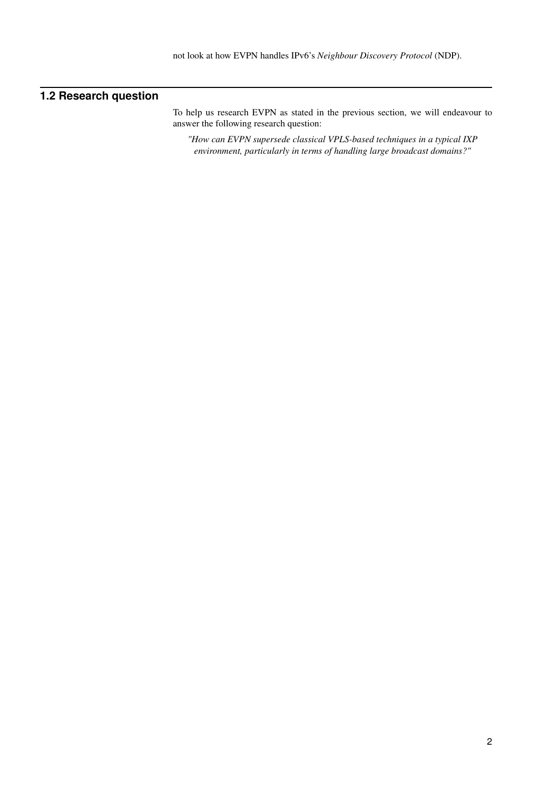# **1.2 Research question**

<span id="page-7-0"></span>To help us research [EVPN](#page-4-0) as stated in the previous section, we will endeavour to answer the following research question:

*"How can [EVPN](#page-4-0) supersede classical [VPLS-](#page-5-1)based techniques in a typical [IXP](#page-4-3) environment, particularly in terms of handling large broadcast domains?"*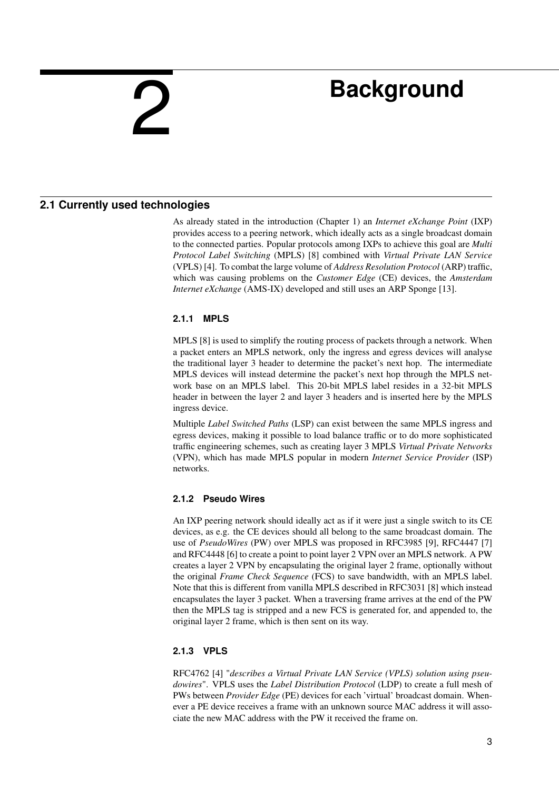# <span id="page-8-0"></span>2

# **Background**

# **2.1 Currently used technologies**

<span id="page-8-1"></span>As already stated in the introduction (Chapter [1\)](#page-6-0) an *[Internet eXchange Point](#page-4-3)* (IXP) provides access to a peering network, which ideally acts as a single broadcast domain to the connected parties. Popular protocols among IXPs to achieve this goal are *[Multi](#page-5-0) [Protocol Label Switching](#page-5-0)* (MPLS) [\[8\]](#page-34-5) combined with *[Virtual Private LAN Service](#page-5-1)* [\(VPLS\)](#page-5-1) [\[4\]](#page-34-6). To combat the large volume of *[Address Resolution Protocol](#page-4-2)* (ARP) traffic, which was causing problems on the *[Customer Edge](#page-4-7)* (CE) devices, the *[Amsterdam](#page-4-10) [Internet eXchange](#page-4-10)* (AMS-IX) developed and still uses an [ARP](#page-4-2) Sponge [\[13\]](#page-34-7).

## <span id="page-8-2"></span>**2.1.1 MPLS**

[MPLS](#page-5-0) [\[8\]](#page-34-5) is used to simplify the routing process of packets through a network. When a packet enters an [MPLS](#page-5-0) network, only the ingress and egress devices will analyse the traditional layer 3 header to determine the packet's next hop. The intermediate [MPLS](#page-5-0) devices will instead determine the packet's next hop through the [MPLS](#page-5-0) network base on an [MPLS](#page-5-0) label. This 20-bit [MPLS](#page-5-0) label resides in a 32-bit [MPLS](#page-5-0) header in between the layer 2 and layer 3 headers and is inserted here by the [MPLS](#page-5-0) ingress device.

Multiple *[Label Switched Paths](#page-4-12)* (LSP) can exist between the same [MPLS](#page-5-0) ingress and egress devices, making it possible to load balance traffic or to do more sophisticated traffic engineering schemes, such as creating layer 3 [MPLS](#page-5-0) *[Virtual Private Networks](#page-5-8)* [\(VPN\),](#page-5-8) which has made [MPLS](#page-5-0) popular in modern *[Internet Service Provider](#page-4-13)* (ISP) networks.

## <span id="page-8-3"></span>**2.1.2 Pseudo Wires**

An [IXP](#page-4-3) peering network should ideally act as if it were just a single switch to its [CE](#page-4-7) devices, as e.g. the [CE](#page-4-7) devices should all belong to the same broadcast domain. The use of *[PseudoWires](#page-5-9)* (PW) over [MPLS](#page-5-0) was proposed in [RFC3](#page-5-6)985 [\[9\]](#page-34-8), [RFC4](#page-5-6)447 [\[7\]](#page-34-9) and [RFC4](#page-5-6)448 [\[6\]](#page-34-10) to create a point to point layer 2 [VPN](#page-5-8) over an [MPLS](#page-5-0) network. A [PW](#page-5-9) creates a layer 2 [VPN](#page-5-8) by encapsulating the original layer 2 frame, optionally without the original *[Frame Check Sequence](#page-4-14)* (FCS) to save bandwidth, with an [MPLS](#page-5-0) label. Note that this is different from vanilla [MPLS](#page-5-0) described in [RFC3](#page-5-6)031 [\[8\]](#page-34-5) which instead encapsulates the layer 3 packet. When a traversing frame arrives at the end of the [PW](#page-5-9) then the [MPLS](#page-5-0) tag is stripped and a new [FCS](#page-4-14) is generated for, and appended to, the original layer 2 frame, which is then sent on its way.

## <span id="page-8-4"></span>**2.1.3 VPLS**

[RFC4](#page-5-6)762 [\[4\]](#page-34-6) "*describes a Virtual Private LAN Service (VPLS) solution using pseudowires*". [VPLS](#page-5-1) uses the *[Label Distribution Protocol](#page-4-15)* (LDP) to create a full mesh of [PWs](#page-5-9) between *[Provider Edge](#page-5-4)* (PE) devices for each 'virtual' broadcast domain. Whenever a [PE](#page-5-4) device receives a frame with an unknown source [MAC](#page-4-4) address it will associate the new [MAC](#page-4-4) address with the [PW](#page-5-9) it received the frame on.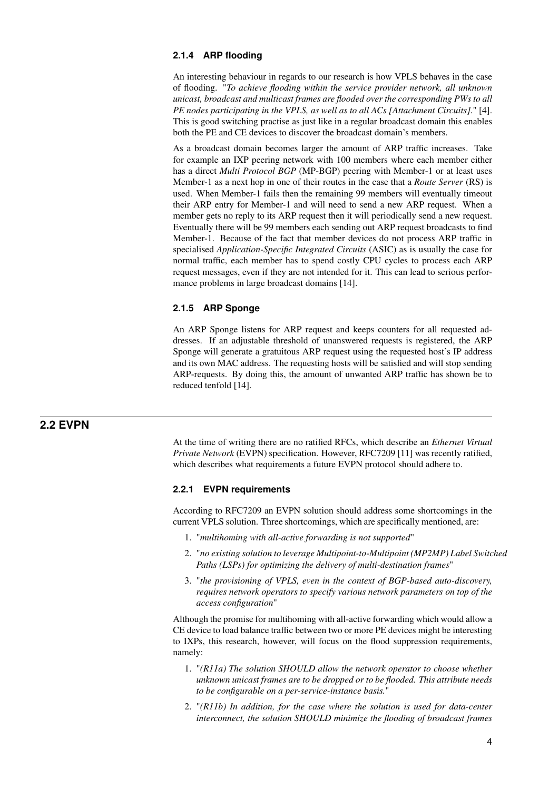### <span id="page-9-0"></span>**2.1.4 ARP flooding**

An interesting behaviour in regards to our research is how [VPLS](#page-5-1) behaves in the case of flooding. "*To achieve flooding within the service provider network, all unknown unicast, broadcast and multicast frames are flooded over the corresponding PWs to all PE nodes participating in the VPLS, as well as to all [ACs \[Attachment Circuits\].](#page-4-16)*" [\[4\]](#page-34-6). This is good switching practise as just like in a regular broadcast domain this enables both the [PE](#page-5-4) and [CE](#page-4-7) devices to discover the broadcast domain's members.

As a broadcast domain becomes larger the amount of [ARP](#page-4-2) traffic increases. Take for example an [IXP](#page-4-3) peering network with 100 members where each member either has a direct *[Multi Protocol BGP](#page-4-6)* (MP-BGP) peering with Member-1 or at least uses Member-1 as a next hop in one of their routes in the case that a *[Route Server](#page-5-10)* (RS) is used. When Member-1 fails then the remaining 99 members will eventually timeout their [ARP](#page-4-2) entry for Member-1 and will need to send a new [ARP](#page-4-2) request. When a member gets no reply to its [ARP](#page-4-2) request then it will periodically send a new request. Eventually there will be 99 members each sending out [ARP](#page-4-2) request broadcasts to find Member-1. Because of the fact that member devices do not process [ARP](#page-4-2) traffic in specialised *[Application-Specific Integrated Circuits](#page-4-17)* (ASIC) as is usually the case for normal traffic, each member has to spend costly [CPU](#page-4-11) cycles to process each [ARP](#page-4-2) request messages, even if they are not intended for it. This can lead to serious performance problems in large broadcast domains [\[14\]](#page-34-1).

### <span id="page-9-1"></span>**2.1.5 ARP Sponge**

An ARP Sponge listens for ARP request and keeps counters for all requested addresses. If an adjustable threshold of unanswered requests is registered, the ARP Sponge will generate a gratuitous ARP request using the requested host's [IP](#page-4-5) address and its own [MAC](#page-4-4) address. The requesting hosts will be satisfied and will stop sending [ARP-](#page-4-2)requests. By doing this, the amount of unwanted ARP traffic has shown be to reduced tenfold [\[14\]](#page-34-1).

## **2.2 EVPN**

<span id="page-9-2"></span>At the time of writing there are no ratified [RFCs,](#page-5-6) which describe an *[Ethernet Virtual](#page-4-0) [Private Network](#page-4-0)* (EVPN) specification. However, [RFC7](#page-5-6)209 [\[11\]](#page-34-3) was recently ratified, which describes what requirements a future [EVPN](#page-4-0) protocol should adhere to.

## <span id="page-9-3"></span>**2.2.1 EVPN requirements**

According to [RFC7](#page-5-6)209 an [EVPN](#page-4-0) solution should address some shortcomings in the current [VPLS](#page-5-1) solution. Three shortcomings, which are specifically mentioned, are:

- 1. "*multihoming with all-active forwarding is not supported*"
- 2. "*no existing solution to leverage Multipoint-to-Multipoint (MP2MP) Label Switched Paths (LSPs) for optimizing the delivery of multi-destination frames*"
- 3. "*the provisioning of VPLS, even in the context of BGP-based auto-discovery, requires network operators to specify various network parameters on top of the access configuration*"

Although the promise for multihoming with all-active forwarding which would allow a [CE](#page-4-7) device to load balance traffic between two or more [PE](#page-5-4) devices might be interesting to [IXPs,](#page-4-3) this research, however, will focus on the flood suppression requirements, namely:

- 1. "*(R11a) The solution SHOULD allow the network operator to choose whether unknown unicast frames are to be dropped or to be flooded. This attribute needs to be configurable on a per-service-instance basis.*"
- 2. "*(R11b) In addition, for the case where the solution is used for data-center interconnect, the solution SHOULD minimize the flooding of broadcast frames*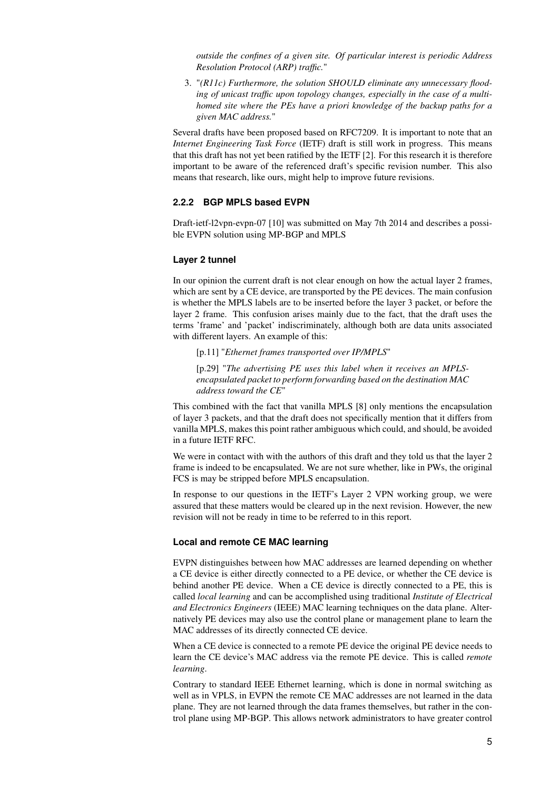*outside the confines of a given site. Of particular interest is periodic Address Resolution Protocol (ARP) traffic.*"

3. "*(R11c) Furthermore, the solution SHOULD eliminate any unnecessary flooding of unicast traffic upon topology changes, especially in the case of a multihomed site where the PEs have a priori knowledge of the backup paths for a given MAC address.*"

Several drafts have been proposed based on [RFC7](#page-5-6)209. It is important to note that an *[Internet Engineering Task Force](#page-4-1)* (IETF) draft is still work in progress. This means that this draft has not yet been ratified by the [IETF](#page-4-1) [\[2\]](#page-34-11). For this research it is therefore important to be aware of the referenced draft's specific revision number. This also means that research, like ours, might help to improve future revisions.

## <span id="page-10-0"></span>**2.2.2 BGP MPLS based EVPN**

Draft-ietf-l2vpn-evpn-07 [\[10\]](#page-34-4) was submitted on May 7th 2014 and describes a possible [EVPN](#page-4-0) solution using [MP-BGP](#page-4-6) and [MPLS](#page-5-0)

#### **Layer 2 tunnel**

In our opinion the current draft is not clear enough on how the actual layer 2 frames, which are sent by a [CE](#page-4-7) device, are transported by the [PE](#page-5-4) devices. The main confusion is whether the [MPLS](#page-5-0) labels are to be inserted before the layer 3 packet, or before the layer 2 frame. This confusion arises mainly due to the fact, that the draft uses the terms 'frame' and 'packet' indiscriminately, although both are data units associated with different layers. An example of this:

[p.11] "*Ethernet frames transported over IP/MPLS*"

[p.29] "The advertising PE uses this label when it receives an MPLS*encapsulated packet to perform forwarding based on the destination MAC address toward the CE*"

This combined with the fact that [vanilla](#page-3-1) [MPLS](#page-5-0) [\[8\]](#page-34-5) only mentions the encapsulation of layer 3 packets, and that the draft does not specifically mention that it differs from [vanilla](#page-3-1) [MPLS,](#page-5-0) makes this point rather ambiguous which could, and should, be avoided in a future [IETF](#page-4-1) [RFC.](#page-5-6)

We were in contact with with the authors of this draft and they told us that the layer 2 frame is indeed to be encapsulated. We are not sure whether, like in [PWs,](#page-5-9) the original [FCS](#page-4-14) is may be stripped before [MPLS](#page-5-0) encapsulation.

In response to our questions in the [IETF'](#page-4-1)s Layer 2 VPN working group, we were assured that these matters would be cleared up in the next revision. However, the new revision will not be ready in time to be referred to in this report.

#### <span id="page-10-1"></span>**Local and remote CE MAC learning**

[EVPN](#page-4-0) distinguishes between how [MAC](#page-4-4) addresses are learned depending on whether a [CE](#page-4-7) device is either directly connected to a [PE](#page-5-4) device, or whether the [CE](#page-4-7) device is behind another [PE](#page-5-4) device. When a [CE](#page-4-7) device is directly connected to a [PE,](#page-5-4) this is called *local learning* and can be accomplished using traditional *[Institute of Electrical](#page-4-18) [and Electronics Engineers](#page-4-18)* (IEEE) [MAC](#page-4-4) learning techniques on the data plane. Alternatively [PE](#page-5-4) devices may also use the control plane or management plane to learn the [MAC](#page-4-4) addresses of its directly connected [CE](#page-4-7) device.

When a [CE](#page-4-7) device is connected to a remote [PE](#page-5-4) device the original [PE](#page-5-4) device needs to learn the [CE](#page-4-7) device's [MAC](#page-4-4) address via the remote [PE](#page-5-4) device. This is called *remote learning*.

Contrary to standard [IEEE](#page-4-18) Ethernet learning, which is done in normal switching as well as in [VPLS,](#page-5-1) in [EVPN](#page-4-0) the remote [CE](#page-4-7) [MAC](#page-4-4) addresses are not learned in the data plane. They are not learned through the data frames themselves, but rather in the control plane using [MP-BGP.](#page-4-6) This allows network administrators to have greater control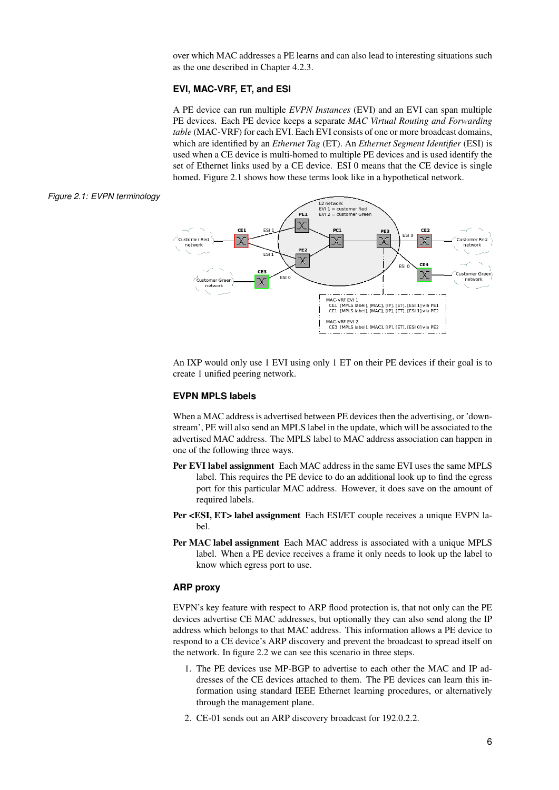<span id="page-11-0"></span>over which [MAC](#page-4-4) addresses a [PE](#page-5-4) learns and can also lead to interesting situations such as the one described in Chapter [4.2.3.](#page-28-1)

#### **EVI, MAC-VRF, ET, and ESI**

A [PE](#page-5-4) device can run multiple *[EVPN Instances](#page-4-19)* (EVI) and an [EVI](#page-4-19) can span multiple [PE](#page-5-4) devices. Each [PE](#page-5-4) device keeps a separate *[MAC Virtual Routing and Forwarding](#page-4-20) table* [\(MAC-VRF\)](#page-4-20) for each [EVI.](#page-4-19) Each [EVI](#page-4-19) consists of one or more broadcast domains, which are identified by an *[Ethernet Tag](#page-4-21)* (ET). An *[Ethernet Segment Identifier](#page-4-22)* (ESI) is used when a [CE](#page-4-7) device is multi-homed to multiple [PE](#page-5-4) devices and is used identify the set of Ethernet links used by a [CE](#page-4-7) device. [ESI](#page-4-22) 0 means that the [CE](#page-4-7) device is single homed. Figure [2.1](#page-11-1) shows how these terms look like in a hypothetical network.

#### *Figure 2.1: EVPN terminology*

<span id="page-11-1"></span>

An [IXP](#page-4-3) would only use 1 [EVI](#page-4-19) using only 1 [ET](#page-4-21) on their [PE](#page-5-4) devices if their goal is to create 1 unified peering network.

## <span id="page-11-2"></span>**EVPN MPLS labels**

When a [MAC](#page-4-4) address is advertised between [PE](#page-5-4) devices then the advertising, or 'downstream', [PE](#page-5-4) will also send an [MPLS](#page-5-0) label in the update, which will be associated to the advertised [MAC](#page-4-4) address. The [MPLS](#page-5-0) label to [MAC](#page-4-4) address association can happen in one of the following three ways.

- Per [EVI](#page-4-19) label assignment Each [MAC](#page-4-4) address in the same [EVI](#page-4-19) uses the same [MPLS](#page-5-0) label. This requires the [PE](#page-5-4) device to do an additional look up to find the egress port for this particular [MAC](#page-4-4) address. However, it does save on the amount of required labels.
- Per [<ESI,](#page-4-22) [ET>](#page-4-21) label assignment Each [ESI](#page-4-22)[/ET](#page-4-21) couple receives a unique [EVPN](#page-4-0) label.
- Per [MAC](#page-4-4) label assignment Each [MAC](#page-4-4) address is associated with a unique [MPLS](#page-5-0) label. When a [PE](#page-5-4) device receives a frame it only needs to look up the label to know which egress port to use.

#### **ARP proxy**

[EVPN'](#page-4-0)s key feature with respect to [ARP](#page-4-2) flood protection is, that not only can the [PE](#page-5-4) devices advertise [CE](#page-4-7) [MAC](#page-4-4) addresses, but optionally they can also send along the [IP](#page-4-5) address which belongs to that [MAC](#page-4-4) address. This information allows a [PE](#page-5-4) device to respond to a [CE](#page-4-7) device's [ARP](#page-4-2) discovery and prevent the broadcast to spread itself on the network. In figure [2.2](#page-12-1) we can see this scenario in three steps.

- 1. The [PE](#page-5-4) devices use [MP-BGP](#page-4-6) to advertise to each other the [MAC](#page-4-4) and [IP](#page-4-5) addresses of the [CE](#page-4-7) devices attached to them. The [PE](#page-5-4) devices can learn this information using standard [IEEE](#page-4-18) Ethernet learning procedures, or alternatively through the management plane.
- 2. [CE-](#page-4-7)01 sends out an [ARP](#page-4-2) discovery broadcast for 192.0.2.2.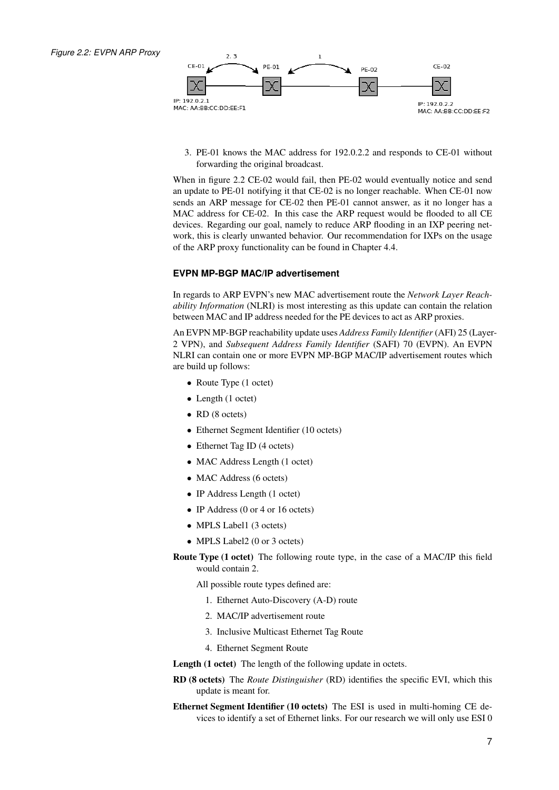<span id="page-12-1"></span><span id="page-12-0"></span>

3. [PE-](#page-5-4)01 knows the [MAC](#page-4-4) address for 192.0.2.2 and responds to [CE-](#page-4-7)01 without forwarding the original broadcast.

When in figure [2.2](#page-12-1) [CE-](#page-4-7)02 would fail, then [PE-](#page-5-4)02 would eventually notice and send an update to [PE-](#page-5-4)01 notifying it that [CE-](#page-4-7)02 is no longer reachable. When [CE-](#page-4-7)01 now sends an [ARP](#page-4-2) message for [CE-](#page-4-7)02 then [PE-](#page-5-4)01 cannot answer, as it no longer has a [MAC](#page-4-4) address for [CE-](#page-4-7)02. In this case the [ARP](#page-4-2) request would be flooded to all [CE](#page-4-7) devices. Regarding our goal, namely to reduce [ARP](#page-4-2) flooding in an [IXP](#page-4-3) peering network, this is clearly unwanted behavior. Our recommendation for [IXPs](#page-4-3) on the usage of the [ARP](#page-4-2) proxy functionality can be found in Chapter [4.4.](#page-29-0)

### **EVPN MP-BGP MAC/IP advertisement**

In regards to [ARP](#page-4-2) [EVPN'](#page-4-0)s new [MAC](#page-4-4) advertisement route the *[Network Layer Reach](#page-5-11)[ability Information](#page-5-11)* (NLRI) is most interesting as this update can contain the relation between [MAC](#page-4-4) and [IP](#page-4-5) address needed for the [PE](#page-5-4) devices to act as [ARP](#page-4-2) proxies.

An [EVPN](#page-4-0) [MP-BGP](#page-4-6) reachability update uses *[Address Family Identifier](#page-4-23)* (AFI) 25 (Layer-2 [VPN\)](#page-5-8), and *[Subsequent Address Family Identifier](#page-5-12)* (SAFI) 70 [\(EVPN\)](#page-4-0). An [EVPN](#page-4-0) [NLRI](#page-5-11) can contain one or more [EVPN](#page-4-0) [MP-BGP](#page-4-6) [MAC](#page-4-4)[/IP](#page-4-5) advertisement routes which are build up follows:

- Route Type (1 octet)
- Length (1 octet)
- RD (8 octets)
- Ethernet Segment Identifier (10 octets)
- Ethernet Tag ID (4 octets)
- MAC Address Length (1 octet)
- MAC Address (6 octets)
- IP Address Length (1 octet)
- IP Address (0 or 4 or 16 octets)
- MPLS Label1 (3 octets)
- MPLS Label2 (0 or 3 octets)
- Route Type (1 octet) The following route type, in the case of a [MAC/](#page-4-4)[IP](#page-4-5) this field would contain 2.

All possible route types defined are:

- 1. Ethernet Auto-Discovery (A-D) route
- 2. MAC/IP advertisement route
- 3. Inclusive Multicast Ethernet Tag Route
- 4. Ethernet Segment Route

Length (1 octet) The length of the following update in octets.

- RD (8 octets) The *[Route Distinguisher](#page-5-13)* (RD) identifies the specific [EVI,](#page-4-19) which this update is meant for.
- Ethernet Segment Identifier (10 octets) The [ESI](#page-4-22) is used in multi-homing [CE](#page-4-7) devices to identify a set of Ethernet links. For our research we will only use [ESI](#page-4-22) 0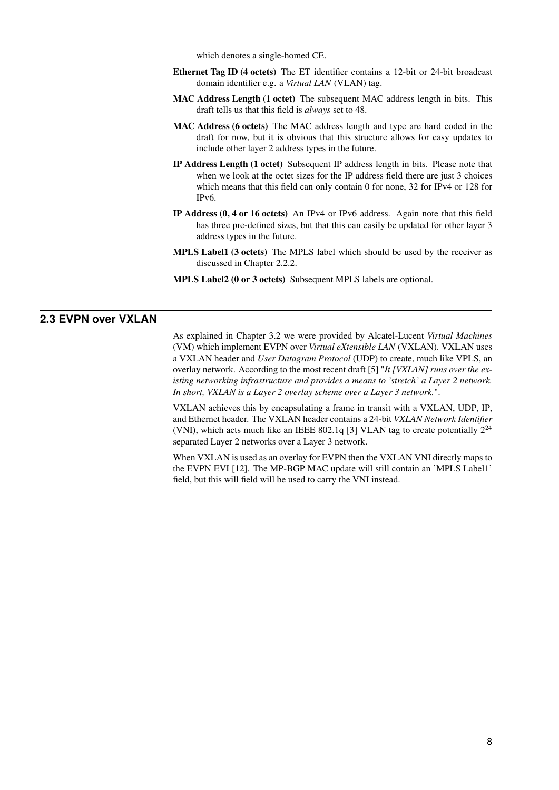which denotes a single-homed [CE.](#page-4-7)

- <span id="page-13-1"></span>Ethernet Tag ID (4 octets) The [ET](#page-4-21) identifier contains a 12-bit or 24-bit broadcast domain identifier e.g. a *[Virtual LAN](#page-5-14)* (VLAN) tag.
- MAC Address Length (1 octet) The subsequent [MAC](#page-4-4) address length in bits. This draft tells us that this field is *always* set to 48.
- MAC Address (6 octets) The [MAC](#page-4-4) address length and type are hard coded in the draft for now, but it is obvious that this structure allows for easy updates to include other layer 2 address types in the future.
- IP Address Length (1 octet) Subsequent [IP](#page-4-5) address length in bits. Please note that when we look at the octet sizes for the [IP](#page-4-5) address field there are just 3 choices which means that this field can only contain 0 for none, 32 for IPv4 or 128 for IPv6.
- IP Address (0, 4 or 16 octets) An [IPv](#page-4-5)4 or [IPv](#page-4-5)6 address. Again note that this field has three pre-defined sizes, but that this can easily be updated for other layer 3 address types in the future.
- MPLS Label1 (3 octets) The [MPLS](#page-5-0) label which should be used by the receiver as discussed in Chapter [2.2.2.](#page-11-2)
- <span id="page-13-0"></span>MPLS Label2 (0 or 3 octets) Subsequent [MPLS](#page-5-0) labels are optional.

# **2.3 EVPN over VXLAN**

As explained in Chapter [3.2](#page-14-2) we were provided by Alcatel-Lucent *[Virtual Machines](#page-5-3)* [\(VM\)](#page-5-3) which implement [EVPN](#page-4-0) over *[Virtual eXtensible LAN](#page-5-15)* (VXLAN). [VXLAN](#page-5-15) uses a [VXLAN](#page-5-15) header and *[User Datagram Protocol](#page-5-16)* (UDP) to create, much like [VPLS,](#page-5-1) an overlay network. According to the most recent draft [\[5\]](#page-34-12) "*It [VXLAN] runs over the existing networking infrastructure and provides a means to 'stretch' a Layer 2 network. In short, VXLAN is a Layer 2 overlay scheme over a Layer 3 network.*".

[VXLAN](#page-5-15) achieves this by encapsulating a frame in transit with a [VXLAN,](#page-5-15) [UDP,](#page-5-16) [IP,](#page-4-5) and Ethernet header. The [VXLAN](#page-5-15) header contains a 24-bit *[VXLAN Network Identifier](#page-5-17)* [\(VNI\),](#page-5-17) which acts much like an [IEEE](#page-4-18) 802.1q [\[3\]](#page-34-13) [VLAN](#page-5-14) tag to create potentially  $2^{24}$ separated Layer 2 networks over a Layer 3 network.

When [VXLAN](#page-5-15) is used as an overlay for [EVPN](#page-4-0) then the [VXLAN](#page-5-15) [VNI](#page-5-17) directly maps to the [EVPN](#page-4-0) [EVI](#page-4-19) [\[12\]](#page-34-14). The [MP-BGP](#page-4-6) [MAC](#page-4-4) update will still contain an ['MPLS](#page-5-0) Label1' field, but this will field will be used to carry the [VNI](#page-5-17) instead.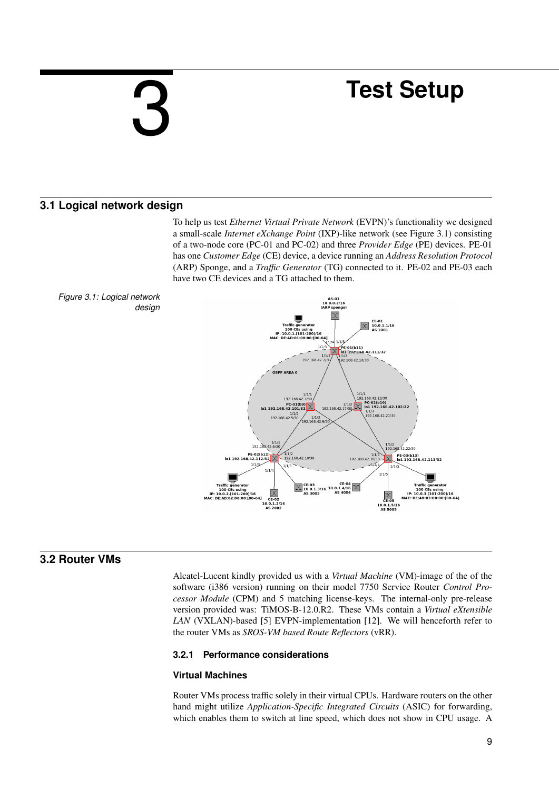# <span id="page-14-4"></span><span id="page-14-0"></span>3

# **Test Setup**

# **3.1 Logical network design**

<span id="page-14-1"></span>To help us test *[Ethernet Virtual Private Network](#page-4-0)* (EVPN)'s functionality we designed a small-scale *[Internet eXchange Point](#page-4-3)* (IXP)-like network (see Figure [3.1\)](#page-14-5) consisting of a two-node core (PC-01 and PC-02) and three *[Provider Edge](#page-5-4)* (PE) devices. [PE-](#page-5-4)01 has one *[Customer Edge](#page-4-7)* (CE) device, a device running an *[Address Resolution Protocol](#page-4-2)* [\(ARP\)](#page-4-2) Sponge, and a *[Traffic Generator](#page-5-18)* (TG) connected to it. [PE-](#page-5-4)02 and [PE-](#page-5-4)03 each have two [CE](#page-4-7) devices and a [TG](#page-5-18) attached to them.



<span id="page-14-5"></span>

# **3.2 Router VMs**

<span id="page-14-2"></span>Alcatel-Lucent kindly provided us with a *[Virtual Machine](#page-5-3)* (VM)-image of the of the software (i386 version) running on their model 7750 Service Router *[Control Pro](#page-4-24)[cessor Module](#page-4-24)* (CPM) and 5 matching license-keys. The internal-only pre-release version provided was: TiMOS-B-12.0.R2. These [VMs](#page-5-3) contain a *[Virtual eXtensible](#page-5-15) LAN* [\(VXLAN\)-](#page-5-15)based [\[5\]](#page-34-12) [EVPN-](#page-4-0)implementation [\[12\]](#page-34-14). We will henceforth refer to the router [VMs](#page-5-3) as *[SROS-VM based Route Reflectors](#page-5-2)* (vRR).

## <span id="page-14-3"></span>**3.2.1 Performance considerations**

## <span id="page-14-6"></span>**Virtual Machines**

Router [VMs](#page-5-3) process traffic solely in their virtual [CPUs.](#page-4-11) Hardware routers on the other hand might utilize *[Application-Specific Integrated Circuits](#page-4-17)* (ASIC) for forwarding, which enables them to switch at line speed, which does not show in [CPU](#page-4-11) usage. A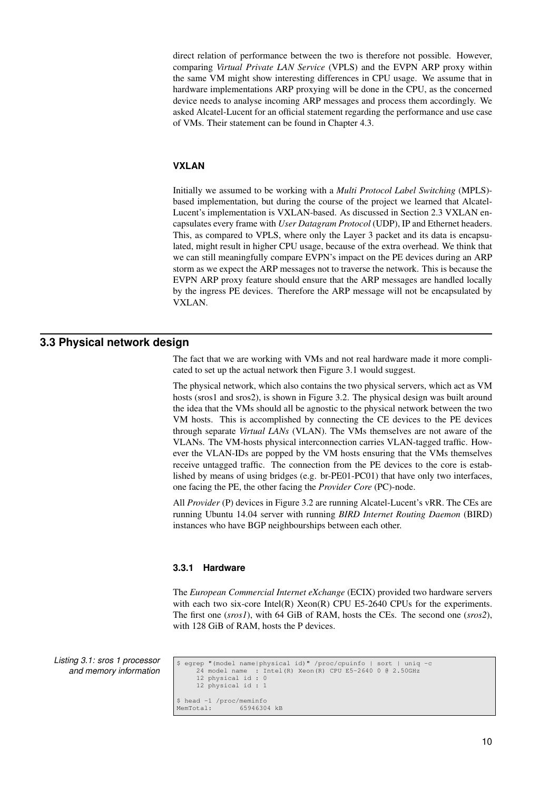<span id="page-15-2"></span>direct relation of performance between the two is therefore not possible. However, comparing *[Virtual Private LAN Service](#page-5-1)* (VPLS) and the [EVPN](#page-4-0) [ARP](#page-4-2) proxy within the same [VM](#page-5-3) might show interesting differences in [CPU](#page-4-11) usage. We assume that in hardware implementations [ARP](#page-4-2) proxying will be done in the [CPU,](#page-4-11) as the concerned device needs to analyse incoming [ARP](#page-4-2) messages and process them accordingly. We asked Alcatel-Lucent for an official statement regarding the performance and use case of [VMs.](#page-5-3) Their statement can be found in Chapter [4.3.](#page-29-1)

#### **VXLAN**

Initially we assumed to be working with a *[Multi Protocol Label Switching](#page-5-0)* (MPLS) based implementation, but during the course of the project we learned that Alcatel-Lucent's implementation is [VXLAN-](#page-5-15)based. As discussed in Section [2.3](#page-13-0) [VXLAN](#page-5-15) encapsulates every frame with *[User Datagram Protocol](#page-5-16)* (UDP), [IP](#page-4-5) and Ethernet headers. This, as compared to [VPLS,](#page-5-1) where only the Layer 3 packet and its data is encapsulated, might result in higher [CPU](#page-4-11) usage, because of the extra overhead. We think that we can still meaningfully compare [EVPN'](#page-4-0)s impact on the [PE](#page-5-4) devices during an [ARP](#page-4-2) storm as we expect the [ARP](#page-4-2) messages not to traverse the network. This is because the EVPN ARP proxy feature should ensure that the [ARP](#page-4-2) messages are handled locally by the ingress [PE](#page-5-4) devices. Therefore the ARP message will not be encapsulated by [VXLAN.](#page-5-15)

# **3.3 Physical network design**

<span id="page-15-0"></span>The fact that we are working with [VMs](#page-5-3) and not real hardware made it more complicated to set up the actual network then Figure [3.1](#page-14-5) would suggest.

The physical network, which also contains the two physical servers, which act as VM hosts (sros1 and sros2), is shown in Figure [3.2.](#page-16-2) The physical design was built around the idea that the VMs should all be agnostic to the physical network between the two VM hosts. This is accomplished by connecting the [CE](#page-4-7) devices to the [PE](#page-5-4) devices through separate *[Virtual LANs](#page-5-14)* (VLAN). The [VMs](#page-5-3) themselves are not aware of the [VLANs.](#page-5-14) The [VM-](#page-5-3)hosts physical interconnection carries [VLAN-](#page-5-14)tagged traffic. However the [VLAN-](#page-5-14)IDs are popped by the [VM](#page-5-3) hosts ensuring that the [VMs](#page-5-3) themselves receive untagged traffic. The connection from the [PE](#page-5-4) devices to the core is established by means of using bridges (e.g. br-PE01-PC01) that have only two interfaces, one facing the [PE,](#page-5-4) the other facing the *[Provider Core](#page-5-19)* (PC)-node.

All *[Provider](#page-5-20)* (P) devices in Figure [3.2](#page-16-2) are running Alcatel-Lucent's [vRR.](#page-5-2) The [CEs](#page-4-7) are running Ubuntu 14.04 server with running *[BIRD Internet Routing Daemon](#page-4-25)* (BIRD) instances who have BGP neighbourships between each other.

#### <span id="page-15-1"></span>**3.3.1 Hardware**

The *[European Commercial Internet eXchange](#page-4-9)* (ECIX) provided two hardware servers with each two six-core Intel $(R)$  Xeon $(R)$  CPU E5-2640 [CPUs](#page-4-11) for the experiments. The first one (*sros1*), with 64 GiB of RAM, hosts the [CEs.](#page-4-7) The second one (*sros2*), with 128 GiB of RAM, hosts the [P](#page-5-20) devices.

*Listing 3.1: sros 1 processor and memory information*

\$ egrep "(model name|physical id)" /proc/cpuinfo | sort | uniq -c  $Intel(R) Xeon(R) CPU E5-2640 0 0 2.50GHz$ 12 physical id : 0 12 physical id : 1 \$ head -1 /proc/meminfo<br>MemTotal: 6594630 65946304 kB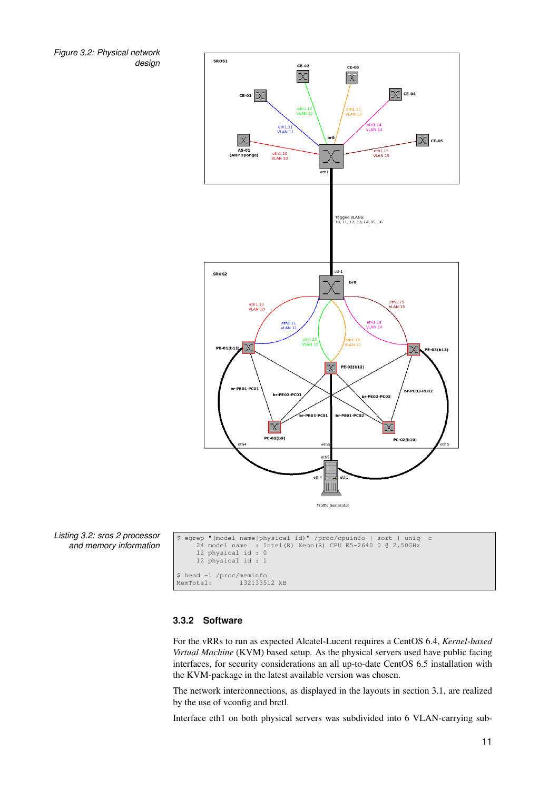<span id="page-16-1"></span>*Figure 3.2: Physical network design*

<span id="page-16-2"></span>

*Listing 3.2: sros 2 processor and memory information*

```
$ egrep "(model name|physical id)" /proc/cpuinfo | sort | uniq -c
24 model name : Intel(R) Xeon(R) CPU E5-2640 0 @ 2.50GHz
       12 physical id : 0
       12 physical id : 1
$ head -1 /proc/meminfo
MemTotal: 132133512 kB
```
## <span id="page-16-0"></span>**3.3.2 Software**

For the [vRRs](#page-5-2) to run as expected Alcatel-Lucent requires a CentOS 6.4, *[Kernel-based](#page-4-26) [Virtual Machine](#page-4-26)* (KVM) based setup. As the physical servers used have public facing interfaces, for security considerations an all up-to-date CentOS 6.5 installation with the [KVM-](#page-4-26)package in the latest available version was chosen.

The network interconnections, as displayed in the layouts in section [3.1,](#page-14-1) are realized by the use of [vconfig](#page-3-2) and [brctl.](#page-3-3)

Interface eth1 on both physical servers was subdivided into 6 VLAN-carrying sub-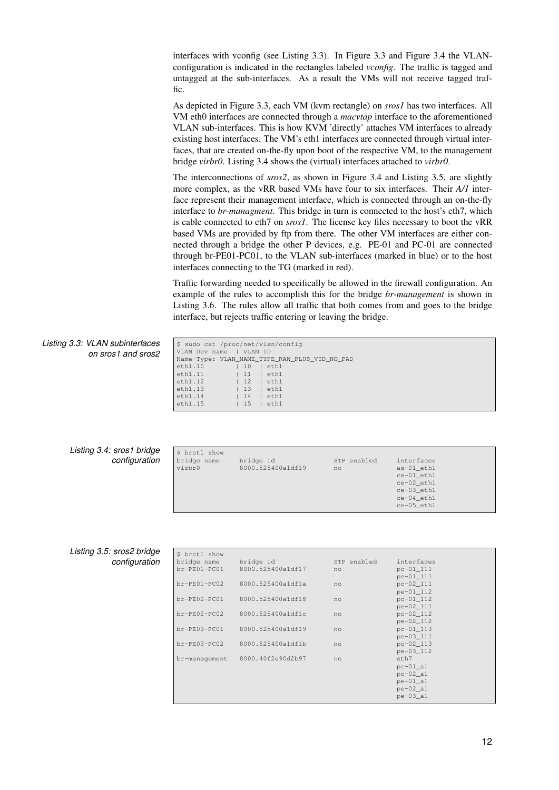<span id="page-17-0"></span>interfaces with [vconfig](#page-3-2) (see Listing [3.3\)](#page-17-1). In Figure [3.3](#page-18-0) and Figure [3.4](#page-18-1) the [VLAN](#page-5-14)configuration is indicated in the rectangles labeled *vconfig*. The traffic is tagged and untagged at the sub-interfaces. As a result the [VMs](#page-5-3) will not receive tagged traffic.

As depicted in Figure [3.3,](#page-18-0) each [VM](#page-5-3) (kvm rectangle) on *sros1* has two interfaces. All [VM](#page-5-3) eth0 interfaces are connected through a *macvtap* interface to the aforementioned VLAN sub-interfaces. This is how [KVM](#page-4-26) 'directly' attaches [VM](#page-5-3) interfaces to already existing host interfaces. The [VM'](#page-5-3)s eth1 interfaces are connected through virtual interfaces, that are created on-the-fly upon boot of the respective [VM,](#page-5-3) to the management bridge *virbr0*. Listing [3.4](#page-17-2) shows the (virtual) interfaces attached to *virbr0*.

The interconnections of *sros2*, as shown in Figure [3.4](#page-18-1) and Listing [3.5,](#page-17-3) are slightly more complex, as the [vRR](#page-5-2) based [VMs](#page-5-3) have four to six interfaces. Their *A/1* interface represent their management interface, which is connected through an on-the-fly interface to *br-managment*. This bridge in turn is connected to the host's eth7, which is cable connected to eth7 on *sros1*. The license key files necessary to boot the [vRR](#page-5-2) based [VMs](#page-5-3) are provided by ftp from there. The other [VM](#page-5-3) interfaces are either connected through a bridge the other [P](#page-5-20) devices, e.g. PE-01 and PC-01 are connected through br-PE01-PC01, to the [VLAN](#page-5-14) sub-interfaces (marked in blue) or to the host interfaces connecting to the [TG](#page-5-18) (marked in red).

<span id="page-17-1"></span>Traffic forwarding needed to specifically be allowed in the firewall configuration. An example of the rules to accomplish this for the bridge *br-management* is shown in Listing [3.6.](#page-19-1) The rules allow all traffic that both comes from and goes to the bridge interface, but rejects traffic entering or leaving the bridge.

| Listing 3.3: VLAN subinterfaces | \$ sudo cat /proc/net/vlan/confiq                                                                                                                                                                    |
|---------------------------------|------------------------------------------------------------------------------------------------------------------------------------------------------------------------------------------------------|
| on sros1 and sros2              | I VLAN ID<br>VLAN Dev name                                                                                                                                                                           |
|                                 | Name-Type: VLAN_NAME_TYPE_RAW_PLUS_VID_NO_PAD<br>eth1.10<br>10<br>eth1<br>eth1.11<br>111<br>eth1<br>eth1.12<br>12<br>eth1<br>eth1.13<br>13<br>eth1<br>eth1.14<br>14<br>eth1<br>eth1.15<br>15<br>eth1 |

| Listing 3.4: sros1 bridge |  |
|---------------------------|--|
| configuration             |  |

<span id="page-17-2"></span>

| \$ brctl show |                   |             |            |  |
|---------------|-------------------|-------------|------------|--|
| bridge name   | bridge id         | STP enabled | interfaces |  |
| virbr0        | 8000.525400a1df19 | no          | as-01 eth1 |  |
|               |                   |             | ce-01 eth1 |  |
|               |                   |             | ce-02 eth1 |  |
|               |                   |             | ce-03_eth1 |  |
|               |                   |             | ce-04 eth1 |  |
|               |                   |             | ce-05 eth1 |  |

### *Listing 3.5: sros2 bridge configuration*

<span id="page-17-3"></span>

| \$ brctl show  |                   |             |                        |
|----------------|-------------------|-------------|------------------------|
| bridge name    | bridge id         | STP enabled | interfaces             |
| br-PE01-PC01   | 8000.525400a1df17 | no          | pc-01 111              |
|                |                   |             | pe-01 111              |
| $br-PE01-PC02$ | 8000.525400a1dfla | no          | $pc - 02 - 111$        |
|                |                   |             | pe-01 112              |
| br-PE02-PC01   | 8000.525400a1df18 | no          | pc-01 112              |
|                |                   |             | pe-02_111              |
| $br-PE02-PC02$ | 8000.525400a1df1c | no          | $pc - 02 - 112$        |
|                |                   |             | pe-02 112              |
| br-PE03-PC01   | 8000.525400a1df19 | no          | $pc - 01 - 113$        |
| $br-PE03-PC02$ | 8000.525400a1df1b |             | pe-03 111<br>pc-02 113 |
|                |                   | no          | pe-03 112              |
| br-management  | 8000.40f2e90d2b97 | no          | eth7                   |
|                |                   |             | $pc-01$ al             |
|                |                   |             | $pc-02 a1$             |
|                |                   |             | $pe-01$ _al            |
|                |                   |             | $pe-02$ _al            |
|                |                   |             | $pe-03 a1$             |
|                |                   |             |                        |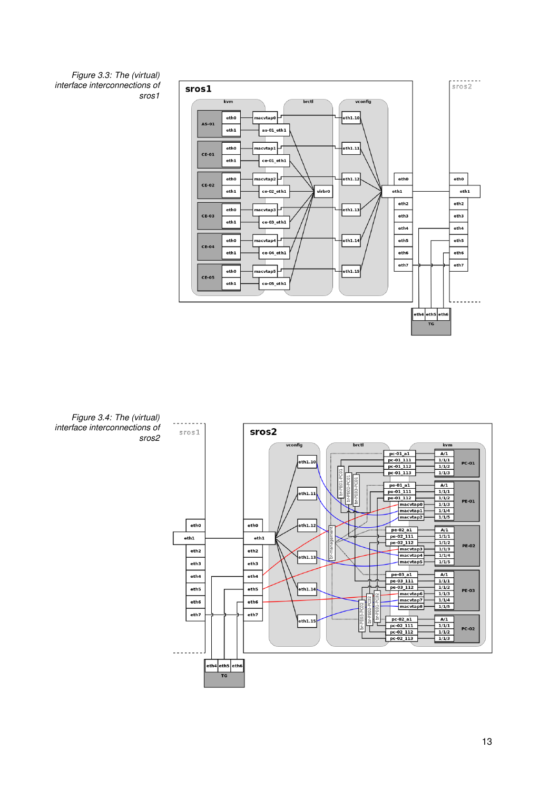<span id="page-18-0"></span>



<span id="page-18-1"></span>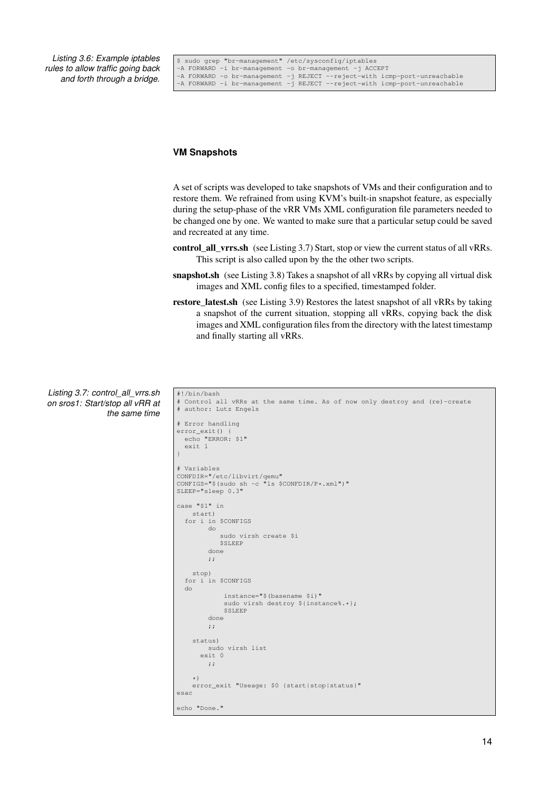<span id="page-19-0"></span>*Listing 3.6: Example iptables rules to allow traffic going back and forth through a bridge.*

<span id="page-19-1"></span>

|  | S sudo grep "br-management" /etc/sysconfig/iptables    |  |                                                                           |
|--|--------------------------------------------------------|--|---------------------------------------------------------------------------|
|  | -A FORWARD -i br-management -o br-management -j ACCEPT |  |                                                                           |
|  |                                                        |  | -A FORWARD -o br-management -j REJECT --reject-with icmp-port-unreachable |
|  |                                                        |  | -A FORWARD -i br-management -j REJECT --reject-with icmp-port-unreachable |

### **VM Snapshots**

A set of scripts was developed to take snapshots of [VMs](#page-5-3) and their configuration and to restore them. We refrained from using [KVM'](#page-4-26)s built-in snapshot feature, as especially during the setup-phase of the [vRR](#page-5-2) [VMs](#page-5-3) XML configuration file parameters needed to be changed one by one. We wanted to make sure that a particular setup could be saved and recreated at any time.

- control\_all\_vrrs.sh (see Listing [3.7\)](#page-19-2) Start, stop or view the current status of all [vRRs.](#page-5-2) This script is also called upon by the the other two scripts.
- snapshot.sh (see Listing [3.8\)](#page-20-3) Takes a snapshot of all [vRRs](#page-5-2) by copying all virtual disk images and XML config files to a specified, timestamped folder.
- <span id="page-19-2"></span>restore\_latest.sh (see Listing [3.9\)](#page-22-1) Restores the latest snapshot of all [vRRs](#page-5-2) by taking a snapshot of the current situation, stopping all [vRRs,](#page-5-2) copying back the disk images and XML configuration files from the directory with the latest timestamp and finally starting all [vRRs.](#page-5-2)

```
Listing 3.7: control_all_vrrs.sh
on sros1: Start/stop all vRR at
                 the same time
                                      #!/bin/bash
                                      # Control all vRRs at the same time. As of now only destroy and (re)-create
# author: Lutz Engels
                                      # Error handling
                                      error_exit() {
                                        echo "ERROR: $1"
exit 1
                                      }
                                      # Variables
                                      CONFDIR="/etc/libvirt/qemu"
CONFIGS="$(sudo sh -c "ls $CONFDIR/P*.xml")"
                                      SLEEP="sleep 0.3"
                                      case "$1" in
                                          start)
                                        for i in $CONFIGS
                                               do
                                                 sudo virsh create $i
                                                  $SLEEP
                                               done
                                               ;;
                                          stop)
                                        for i in $CONFIGS
                                        do
                                                    instance="$(basename $i)"
                                                    sudo virsh destroy ${instance%.*};
                                                    SSLEEP
                                               done
                                               ;;
                                          status)
                                               sudo virsh list
                                             exit 0
                                               ;;
```
error\_exit "Useage: \$0 {start|stop|status}"

\*)

echo "Done."

esac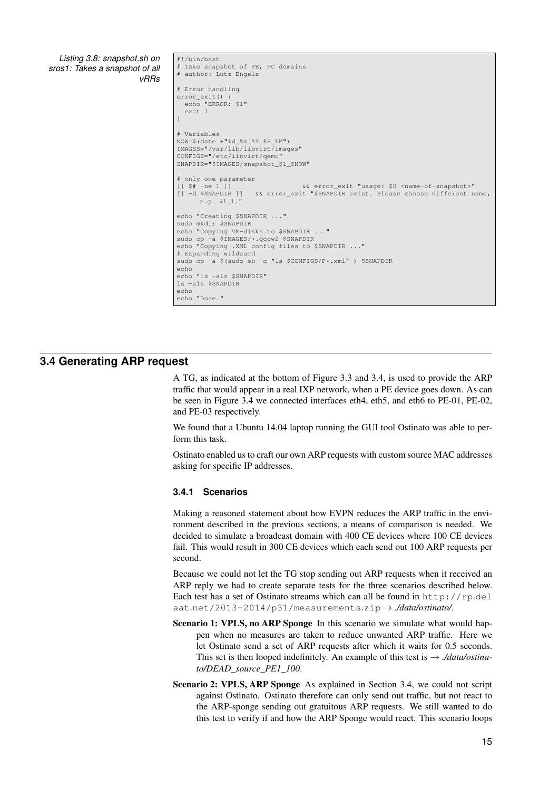<span id="page-20-3"></span><span id="page-20-2"></span>*Listing 3.8: snapshot.sh on sros1: Takes a snapshot of all [vRRs](#page-5-2)* #!/bin/bash # Take snapshot of PE, PC domains # author: Lutz Engels # Error handling error\_exit() { echo "ERROR: \$1" exit 1 } # Variables NOW=\$(date +"%d\_%m\_%Y\_%H\_%M") IMAGES="/var/lib/libvirt/images" CONFIGS="/etc/libvirt/qemu" SNAPDIR="\$IMAGES/snapshot\_\$1\_\$NOW" # only one parameter [[ \$# -ne 1 ]] && error\_exit "usage: \$0 <name-of-snapshot>" [[ -d \$SNAPDIR ]] && error\_exit "\$SNAPDIR exist. Please choose different name, e.g. \$1\_1." echo "Creating \$SNAPDIR ..." sudo mkdir \$SNAPDIR echo "Copying VM-disks to \$SNAPDIR ..." sudo cp -a \$IMAGES/\*.qcow2 \$SNAPDIR<br>echo "Copying .XML config files to \$SNAPDIR ..." # Expanding wildcard sudo cp -a \$(sudo sh -c "ls \$CONFIGS/P\*.xml" ) \$SNAPDIR echo echo "ls -als \$SNAPDIR" ls -als \$SNAPDIR echo echo "Done."

# **3.4 Generating ARP request**

<span id="page-20-0"></span>A [TG,](#page-5-18) as indicated at the bottom of Figure [3.3](#page-18-0) and [3.4,](#page-18-1) is used to provide the ARP traffic that would appear in a real IXP network, when a [PE](#page-5-4) device goes down. As can be seen in Figure [3.4](#page-18-1) we connected interfaces eth4, eth5, and eth6 to [PE-](#page-5-4)01, [PE-](#page-5-4)02, and [PE-](#page-5-4)03 respectively.

We found that a Ubuntu 14.04 laptop running the [GUI](#page-4-27) tool [Ostinato](#page-3-4) was able to perform this task.

[Ostinato](#page-3-4) enabled us to craft our own [ARP](#page-4-2) requests with custom source [MAC](#page-4-4) addresses asking for specific [IP](#page-4-5) addresses.

#### <span id="page-20-1"></span>**3.4.1 Scenarios**

Making a reasoned statement about how EVPN reduces the ARP traffic in the environment described in the previous sections, a means of comparison is needed. We decided to simulate a broadcast domain with 400 [CE](#page-4-7) devices where 100 [CE](#page-4-7) devices fail. This would result in 300 [CE](#page-4-7) devices which each send out 100 [ARP](#page-4-2) requests per second.

Because we could not let the [TG](#page-5-18) stop sending out [ARP](#page-4-2) requests when it received an [ARP](#page-4-2) reply we had to create separate tests for the three scenarios described below. Each test has a set of [Ostinato](#page-3-4) streams which can all be found in  $http://rp.del$  $http://rp.del$ aat.[net/2013-2014/p31/measurements](http://rp.delaat.net/2013-2014/p31/measurements.zip).zip → *./data/ostinato/*.

- Scenario 1: VPLS, no ARP Sponge In this scenario we simulate what would happen when no measures are taken to reduce unwanted ARP traffic. Here we let [Ostinato](#page-3-4) send a set of [ARP](#page-4-2) requests after which it waits for 0.5 seconds. This set is then looped indefinitely. An example of this test is  $\rightarrow$  *./data/ostinato/DEAD\_source\_PE1\_100*.
- Scenario 2: VPLS, ARP Sponge As explained in Section [3.4,](#page-20-0) we could not script against [Ostinato.](#page-3-4) [Ostinato](#page-3-4) therefore can only send out traffic, but not react to the ARP-sponge sending out gratuitous ARP requests. We still wanted to do this test to verify if and how the [ARP](#page-4-2) Sponge would react. This scenario loops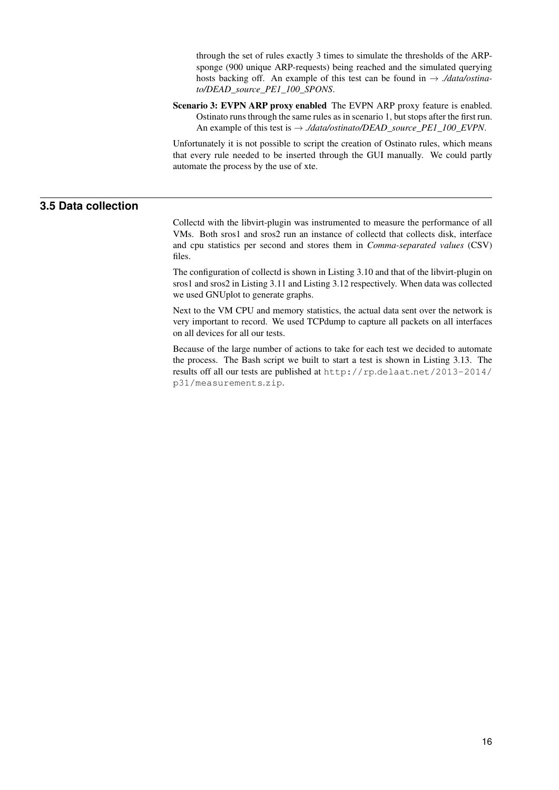<span id="page-21-1"></span>through the set of rules exactly 3 times to simulate the thresholds of the ARPsponge (900 unique ARP-requests) being reached and the simulated querying hosts backing off. An example of this test can be found in  $\rightarrow$  *./data/ostinato/DEAD\_source\_PE1\_100\_SPONS*.

Scenario 3: EVPN ARP proxy enabled The EVPN ARP proxy feature is enabled. Ostinato runs through the same rules as in scenario 1, but stops after the first run. An example of this test is → *./data/ostinato/DEAD\_source\_PE1\_100\_EVPN*.

<span id="page-21-0"></span>Unfortunately it is not possible to script the creation of [Ostinato](#page-3-4) rules, which means that every rule needed to be inserted through the [GUI](#page-4-27) manually. We could partly automate the process by the use of [xte.](#page-3-5)

# **3.5 Data collection**

[Collectd](#page-3-6) with the libvirt-plugin was instrumented to measure the performance of all [VMs.](#page-5-3) Both sros1 and sros2 run an instance of [collectd](#page-3-6) that collects disk, interface and cpu statistics per second and stores them in *[Comma-separated values](#page-4-28)* (CSV) files.

The configuration of [collectd](#page-3-6) is shown in Listing [3.10](#page-22-2) and that of the libvirt-plugin on sros1 and sros2 in Listing [3.11](#page-23-0) and Listing [3.12](#page-23-1) respectively. When data was collected we used GNUplot to generate graphs.

Next to the [VM](#page-5-3) [CPU](#page-4-11) and memory statistics, the actual data sent over the network is very important to record. We used TCPdump to capture all packets on all interfaces on all devices for all our tests.

Because of the large number of actions to take for each test we decided to automate the process. The Bash script we built to start a test is shown in Listing [3.13.](#page-23-2) The results off all our tests are published at http://rp.delaat.[net/2013-2014/](http://rp.delaat.net/2013-2014/p31/measurements.zip) [p31/measurements](http://rp.delaat.net/2013-2014/p31/measurements.zip).zip.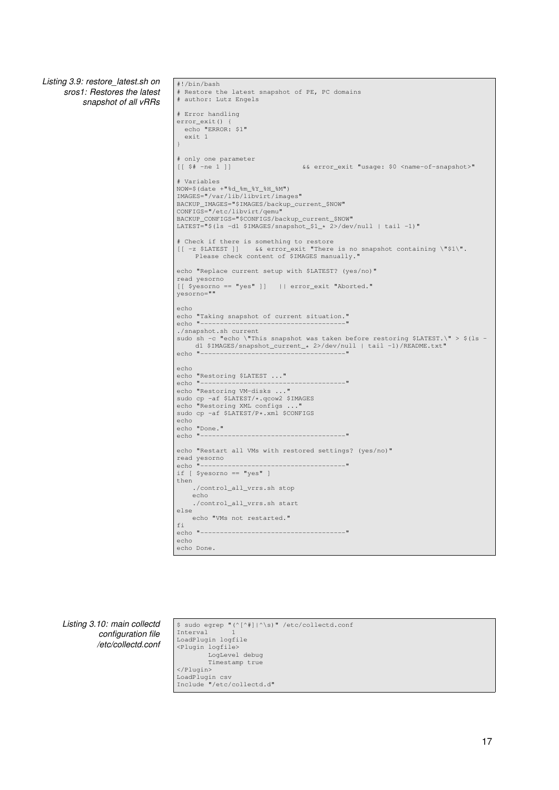<span id="page-22-0"></span>*Listing 3.9: restore\_latest.sh on sros1: Restores the latest snapshot of all [vRRs](#page-5-2)*

```
#!/bin/bash
# Restore the latest snapshot of PE, PC domains
# author: Lutz Engels
# Error handling
error_exit() {
 echo "ERROR: $1"
  exit 1
}
# only one parameter
                                         [[ $# -ne 1 ]] && error_exit "usage: $0 <name-of-snapshot>"
# Variables
NOW=$(date +"%d_%m_%Y_%H_%M")
IMAGES="/var/lib/libvirt/images"
BACKUP_IMAGES="$IMAGES/backup_current_$NOW"
CONFIGS="/etc/libvirt/qemu"
BACKUP_CONFIGS="$CONFIGS/backup_current_$NOW"
LATEST="$(ls -d1 $IMAGES/snapshot_$1_* 2>/dev/null | tail -1)"
# Check if there is something to restore
[[ -z $LATEST ]] && error_exit "There is no snapshot containing \"$1\".
Please check content of $IMAGES manually."
echo "Replace current setup with $LATEST? (yes/no)"
read yesorno
[[ $yesorno == "yes" ]] || error_exit "Aborted."
yesorno=""
echo
echo "Taking snapshot of current situation."
echo "-
./snapshot.sh current
sudo sh -c "echo \"This snapshot was taken before restoring $LATEST.\" > $(ls -<br>d1 $IMAGES/snapshot_current_* 2>/dev/null | tail -1)/README.txt"<br>echo "---------------------------------"
echo
echo "Restoring $LATEST ..."<br>echo "----------------------
echo "-------------------------------------"
echo "Restoring VM-disks ..."
sudo cp -af $LATEST/*.qcow2 $IMAGES
echo "Restoring XML configs ..."
sudo cp -af $LATEST/P*.xml $CONFIGS
echo
echo "Done."
echo "--echo "Restart all VMs with restored settings? (yes/no)"
read yesorno<br>echo "-------
                                  echo "-------------------------------------"
if [ $yesorno == "yes" ]
then
     ./control_all_vrrs.sh stop
     echo
     ./control_all_vrrs.sh start
else
   echo "VMs not restarted."
f_iecho "-------------------------------------"
echo
echo Done.
```
*Listing 3.10: main collectd configuration file /etc/collectd.conf* <span id="page-22-2"></span>\$ sudo egrep "(^[^#]|^\s)" /etc/collectd.conf Interval LoadPlugin logfile <Plugin logfile> LogLevel debug Timestamp true </Plugin> LoadPlugin csv Include "/etc/collectd.d"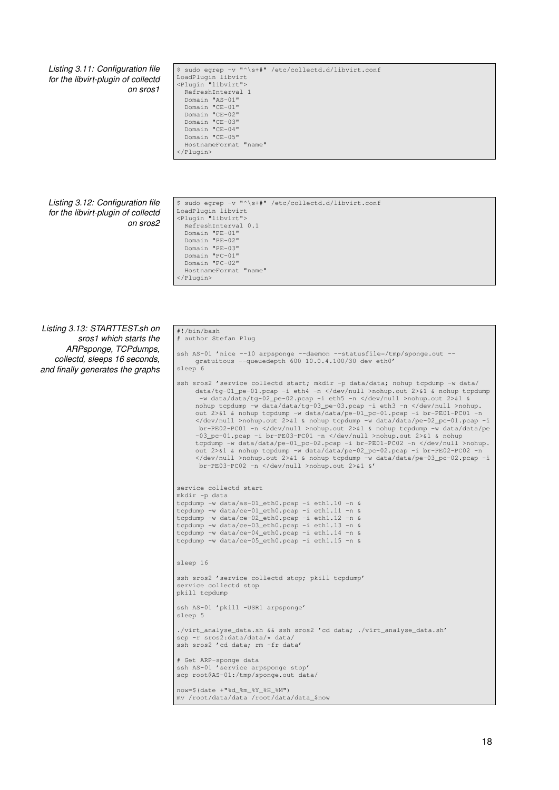#### *Listing 3.11: Configuration file for the libvirt-plugin of collectd on sros1*

<span id="page-23-0"></span>

| \$ sudo egrep -v "^\s+#" /etc/collectd.d/libvirt.conf |
|-------------------------------------------------------|
| LoadPlugin libvirt                                    |
| <plugin "libvirt"=""></plugin>                        |
| RefreshInterval 1                                     |
| Domain "AS-01"                                        |
| Domain "CE-01"                                        |
| Domain "CE-02"                                        |
| Domain "CE-03"                                        |
| Domain "CE-04"                                        |
| Domain "CE-05"                                        |
| HostnameFormat "name"                                 |
|                                                       |

#### *Listing 3.12: Configuration file for the libvirt-plugin of collectd on sros2*

<span id="page-23-1"></span>\$ sudo egrep -v "^\s+#" /etc/collectd.d/libvirt.conf LoadPlugin libvirt <Plugin "libvirt"> RefreshInterval 0.1 Domain "PE-01" Domain "PE-02" Domain "PE-03" Domain "PC-01" Domain "PC-02" HostnameFormat "name" </Plugin>

*Listing 3.13: STARTTEST.sh on sros1 which starts the ARPsponge, TCPdumps, collectd, sleeps 16 seconds, and finally generates the graphs*

#### <span id="page-23-2"></span>#!/bin/bash # author Stefan Plug

```
ssh AS-01 'nice --10 arpsponge --daemon --statusfile=/tmp/sponge.out --
    gratuitous --queuedepth 600 10.0.4.100/30 dev eth0'
sleep 6
ssh sros2 'service collectd start; mkdir -p data/data; nohup tcpdump -w data/
      data/tg-01_pe-01.pcap -i eth4 -n </dev/null >nohup.out 2>&1 & nohup tcpdump
-w data/data/tg-02_pe-02.pcap -i eth5 -n </dev/null >nohup.out 2>&1 &
      nohup tcpdump -w data/data/tg-03_pe-03.pcap -i eth3 -n </dev/null >nohup.
      out 2>&1 & nohup tcpdump -w data/data/pe-01_pc-01.pcap -i br-PE01-PC01 -n
      </dev/null >nohup.out 2>&1 & nohup tcpdump -w data/data/pe-02_pc-01.pcap -i
      br-PE02-PC01 -n </dev/null >nohup.out 2>&1 & nohup tcpdump -w data/data/pe
-03_pc-01.pcap -i br-PE03-PC01 -n </dev/null >nohup.out 2>&1 & nohup
      tcpdump -w data/data/pe-01_pc-02.pcap -i br-PE01-PC02 -n </dev/null >nohup.
      out 2>&1 & nohup tcpdump -w data/data/pe-02_pc-02.pcap -i br-PE02-PC02 -n
</dev/null >nohup.out 2>&1 & nohup tcpdump -w data/data/pe-03_pc-02.pcap -i
       br-PE03-PC02 -n </dev/null >nohup.out 2>&1 &'
service collectd start
mkdir -p data
tcpdump -w data/as-01_eth0.pcap -i eth1.10 -n &
tcpdump -w data/ce-01_eth0.pcap -i eth1.11 -n &
tcpdump -w data/ce-02_eth0.pcap -i eth1.12 -n &
tcpdump -w data/ce-03_eth0.pcap -i eth1.13 -n &
tcpdump -w data/ce-04_eth0.pcap -i eth1.14 -n &
tcpdump -w data/ce-05_eth0.pcap -i eth1.15 -n &
sleep 16
ssh sros2 'service collectd stop; pkill tcpdump'
service collectd stop
pkill tcpdump
ssh AS-01 'pkill -USR1 arpsponge'
sleep 5
./virt_analyse_data.sh && ssh sros2 'cd data; ./virt_analyse_data.sh'
scp -r sros2:data/data/* data/
ssh sros2 'cd data; rm -fr data'
# Get ARP-sponge data
ssh AS-01 'service arpsponge stop'
scp root@AS-01:/tmp/sponge.out data/
now=$(date +<mark>"%d_%m_%Y_%H_%M")</mark><br>mv /root/data/data /root/data/data_$now
```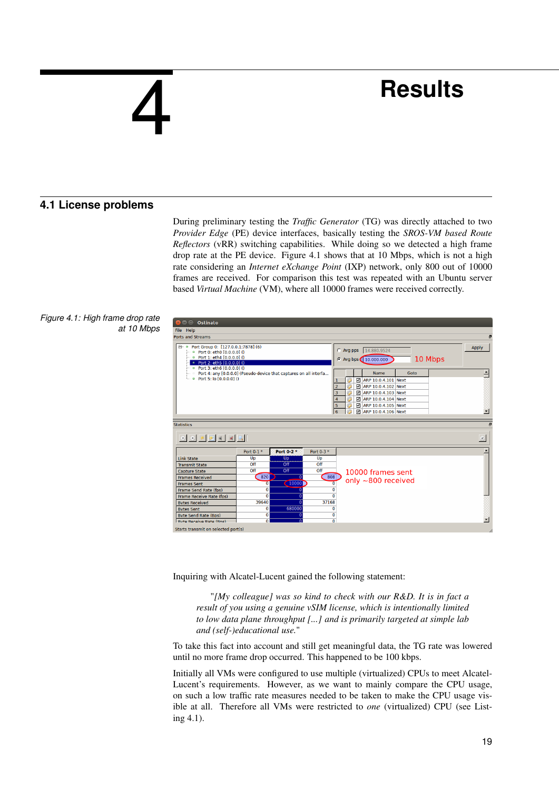# <span id="page-24-2"></span><span id="page-24-0"></span>4

# **Results**

# **4.1 License problems**

<span id="page-24-1"></span>During preliminary testing the *[Traffic Generator](#page-5-18)* (TG) was directly attached to two *[Provider Edge](#page-5-4)* (PE) device interfaces, basically testing the *[SROS-VM based Route](#page-5-2) [Reflectors](#page-5-2)* (vRR) switching capabilities. While doing so we detected a high frame drop rate at the [PE](#page-5-4) device. Figure [4.1](#page-24-3) shows that at 10 Mbps, which is not a high rate considering an *[Internet eXchange Point](#page-4-3)* (IXP) network, only 800 out of 10000 frames are received. For comparison this test was repeated with an Ubuntu server based *[Virtual Machine](#page-5-3)* (VM), where all 10000 frames were received correctly.



<span id="page-24-3"></span>

| <b>O</b> Ostinato                                                                                                                            |                       |            |                 |                     |                                               |      |         |                                     |
|----------------------------------------------------------------------------------------------------------------------------------------------|-----------------------|------------|-----------------|---------------------|-----------------------------------------------|------|---------|-------------------------------------|
| File Help                                                                                                                                    |                       |            |                 |                     |                                               |      |         |                                     |
| <b>Ports and Streams</b>                                                                                                                     |                       |            |                 |                     |                                               |      |         | Đ                                   |
| <b>E</b> • Port Group 0: [127.0.0.1:7878] (6)<br>$- 9$ Port 0: eth0 $[0.0.0.01]$<br>• Port 1: eth4 [0.0.0.0] ()<br>Port 2: eth5 [0.0.0.0] () |                       |            |                 |                     | C Avg pps 14.880,9524<br>C Avg bps 10.000.000 |      | 10 Mbps | <b>Apply</b>                        |
| Port 3: eth6 [0.0.0.0] ()<br>$\circ$<br>Port 4: any [0.0.0.0] (Pseudo-device that captures on all interfa                                    |                       |            |                 |                     | <b>Name</b>                                   | Goto |         | ≐                                   |
| ● Port 5: lo [0.0.0.0] ()                                                                                                                    |                       |            |                 | 1                   | ARP 10.0.4.101 Next                           |      |         |                                     |
|                                                                                                                                              |                       |            |                 | $\overline{2}$      | ARP 10.0.4.102 Next                           |      |         |                                     |
|                                                                                                                                              |                       |            |                 | 3                   | ARP 10.0.4.103 Next                           |      |         |                                     |
|                                                                                                                                              |                       |            |                 | $\overline{4}$      | ARP 10.0.4.104 Next                           |      |         |                                     |
|                                                                                                                                              |                       |            |                 | 5                   | ARP 10.0.4.105 Next                           |      |         |                                     |
|                                                                                                                                              |                       |            |                 | 6                   | ARP 10.0.4.106 Next                           |      |         |                                     |
|                                                                                                                                              |                       |            |                 |                     |                                               |      |         |                                     |
| <b>Statistics</b>                                                                                                                            |                       |            |                 |                     |                                               |      |         |                                     |
|                                                                                                                                              |                       |            |                 |                     |                                               |      |         | $\left\langle \delta \right\rangle$ |
|                                                                                                                                              | Port 0-1 *            | Port 0-2 * | Port 0-3 *      |                     |                                               |      |         |                                     |
| <b>Link State</b>                                                                                                                            | Up                    | Up         | Up              |                     |                                               |      |         |                                     |
| <b>Transmit State</b>                                                                                                                        | Off                   | Off        | O <sub>ff</sub> |                     |                                               |      |         |                                     |
| <b>Capture State</b>                                                                                                                         | Off                   | Off        | Off             |                     | 10000 frames sent                             |      |         |                                     |
| <b>Frames Received</b>                                                                                                                       | 820                   | $\Omega$   | 808             |                     | only $\sim$ 800 received                      |      |         |                                     |
| <b>Frames Sent</b>                                                                                                                           | $\overline{0}$        | 10000      |                 | $\overline{0}$      |                                               |      |         |                                     |
| Frame Send Rate (fps)                                                                                                                        | $\bullet$             | 0          |                 | Ō                   |                                               |      |         |                                     |
| Frame Receive Rate (fps)                                                                                                                     | $\Omega$              | $\Omega$   |                 | $\Omega$            |                                               |      |         |                                     |
| <b>Bytes Received</b>                                                                                                                        | 39640                 | $\Omega$   | 37168           |                     |                                               |      |         |                                     |
| <b>Bytes Sent</b>                                                                                                                            | $\bullet$             | 680000     |                 | $\bf{0}$            |                                               |      |         |                                     |
| <b>Byte Send Rate (Bps)</b><br><b>Ryte Receive Rate (Rnc)</b>                                                                                | $\bullet$<br>$\Omega$ | 0          |                 | 0<br>$\overline{0}$ |                                               |      |         |                                     |
|                                                                                                                                              |                       |            |                 |                     |                                               |      |         |                                     |
| Starts transmit on selected port(s)                                                                                                          |                       |            |                 |                     |                                               |      |         |                                     |

Inquiring with Alcatel-Lucent gained the following statement:

"*[My colleague] was so kind to check with our R&D. It is in fact a result of you using a genuine vSIM license, which is intentionally limited to low data plane throughput [...] and is primarily targeted at simple lab and (self-)educational use.*"

To take this fact into account and still get meaningful data, the [TG](#page-5-18) rate was lowered until no more frame drop occurred. This happened to be 100 kbps.

Initially all [VMs](#page-5-3) were configured to use multiple (virtualized) [CPUs](#page-4-11) to meet Alcatel-Lucent's requirements. However, as we want to mainly compare the [CPU](#page-4-11) usage, on such a low traffic rate measures needed to be taken to make the [CPU](#page-4-11) usage visible at all. Therefore all [VMs](#page-5-3) were restricted to *one* (virtualized) CPU (see Listing [4.1\)](#page-25-3).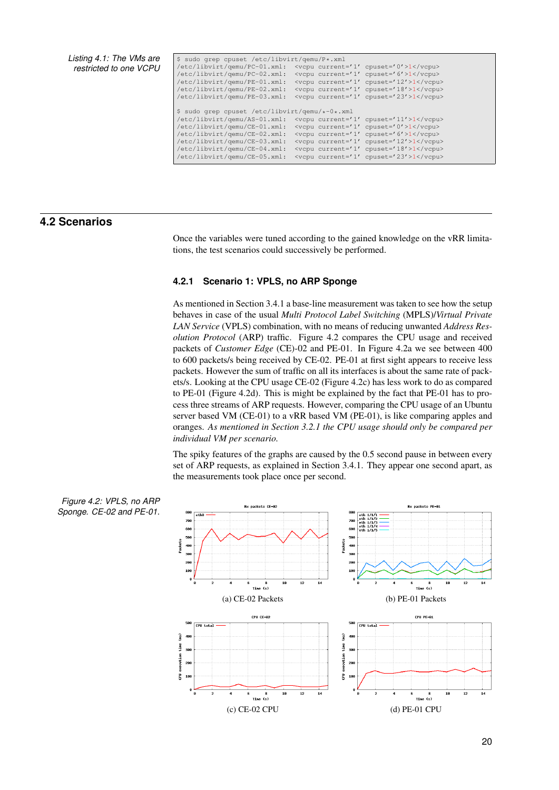<span id="page-25-2"></span>*Listing 4.1: The [VMs](#page-5-3) are restricted to one [VCPU](#page-4-11)*

<span id="page-25-3"></span>

| \$ sudo qrep cpuset /etc/libvirt/qemu/P*.xml   |                                                                                                |                           |
|------------------------------------------------|------------------------------------------------------------------------------------------------|---------------------------|
| /etc/libvirt/gemu/PC-01.xml:                   | <vcpu <="" current="1" td=""><td><math>cpuset=' 0' &gt;1</math></td></vcpu>                    | $cpuset=' 0' >1$          |
| /etc/libvirt/qemu/PC-02.xml:                   | <vcpu <="" current="1" td=""><td><math>cpuset=' 6' &gt; 1 &lt; /vcpu</math></td></vcpu>        | $cpuset=' 6' > 1 < /vcpu$ |
| /etc/libvirt/qemu/PE-01.xml:                   | <vcpu <="" current="1" td=""><td><math>cpuset='12' &gt;1</math></td></vcpu>                    | $cpuset='12' >1$          |
| /etc/libvirt/gemu/PE-02.xml:                   | <vcpu <="" current="1" td=""><td><math>cpuset='18' &gt;1</math></td></vcpu>                    | $cpuset='18' >1$          |
| /etc/libvirt/qemu/PE-03.xml:                   | <vcpu <="" current="1" td=""><td><math>cpuset='23'</math>&gt;<math>1</math>cpu&gt;</td></vcpu> | $cpuset='23'$ > $1$ cpu>  |
|                                                |                                                                                                |                           |
|                                                |                                                                                                |                           |
| \$ sudo grep cpuset /etc/libvirt/gemu/*-0*.xml |                                                                                                |                           |
| /etc/libvirt/qemu/AS-01.xml:                   | <vcpu <="" current="1" td=""><td><math>cpuset='11'</math>&gt;1cpu&gt;</td></vcpu>              | $cpuset='11'$ >1cpu>      |
| /etc/libvirt/qemu/CE-01.xml:                   | <vcpu <="" current="1" td=""><td><math>cpuset=' 0' &gt;1</math></td></vcpu>                    | $cpuset=' 0' >1$          |
| /etc/libvirt/qemu/CE-02.xml:                   | <vcpu <="" current="1" td=""><td><math>cpuset=' 6' &gt;1</math></td></vcpu>                    | $cpuset=' 6' >1$          |
| /etc/libvirt/qemu/CE-03.xml:                   | <vcpu <="" current="1" td=""><td><math>cpuset='12' &gt;1</math></td></vcpu>                    | $cpuset='12' >1$          |
| /etc/libvirt/gemu/CE-04.xml:                   | <vcpu <="" current="1" td=""><td><math>cpuset='18'</math>&gt;<math>1</math>cpu&gt;</td></vcpu> | $cpuset='18'$ > $1$ cpu>  |

# **4.2 Scenarios**

<span id="page-25-0"></span>Once the variables were tuned according to the gained knowledge on the [vRR](#page-5-2) limitations, the test scenarios could successively be performed.

## <span id="page-25-1"></span>**4.2.1 Scenario 1: VPLS, no ARP Sponge**

As mentioned in Section [3.4.1](#page-20-1) a base-line measurement was taken to see how the setup behaves in case of the usual *[Multi Protocol Label Switching](#page-5-0)* (MPLS)/*[Virtual Private](#page-5-1) [LAN Service](#page-5-1)* (VPLS) combination, with no means of reducing unwanted *[Address Res](#page-4-2)[olution Protocol](#page-4-2)* (ARP) traffic. Figure [4.2](#page-25-4) compares the [CPU](#page-4-11) usage and received packets of *[Customer Edge](#page-4-7)* (CE)-02 and [PE-](#page-5-4)01. In Figure [4.2a](#page-25-4) we see between 400 to 600 packets/s being received by [CE-](#page-4-7)02. [PE-](#page-5-4)01 at first sight appears to receive less packets. However the sum of traffic on all its interfaces is about the same rate of packets/s. Looking at the [CPU](#page-4-11) usage [CE-](#page-4-7)02 (Figure [4.2c\)](#page-25-4) has less work to do as compared to [PE-](#page-5-4)01 (Figure [4.2d\)](#page-25-4). This is might be explained by the fact that [PE-](#page-5-4)01 has to process three streams of [ARP](#page-4-2) requests. However, comparing the [CPU](#page-4-11) usage of an Ubuntu server based [VM](#page-5-3) [\(CE-](#page-4-7)01) to a [vRR](#page-5-2) based [VM](#page-5-3) [\(PE-](#page-5-4)01), is like comparing apples and oranges. *As mentioned in Section [3.2.1](#page-14-6) the [CPU](#page-4-11) usage should only be compared per individual [VM](#page-5-3) per scenario.*

<span id="page-25-4"></span>The spiky features of the graphs are caused by the 0.5 second pause in between every set of ARP requests, as explained in Section [3.4.1.](#page-20-1) They appear one second apart, as the measurements took place once per second.

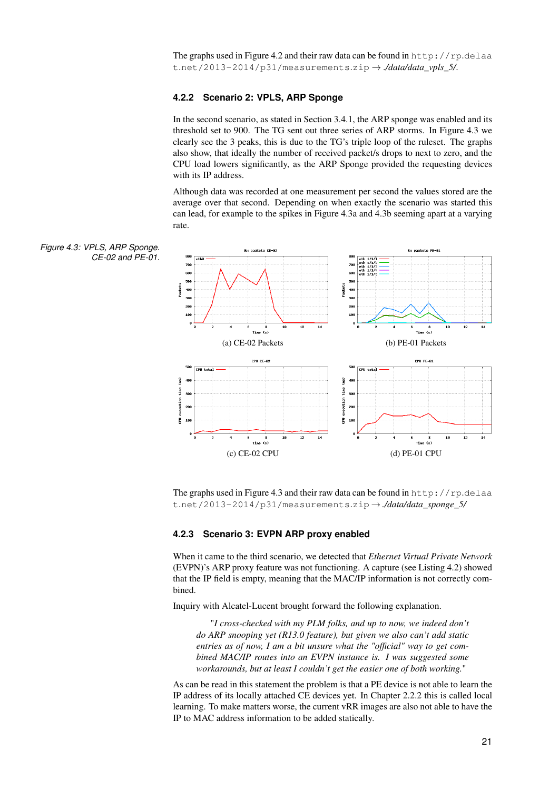<span id="page-26-2"></span>The graphs used in Figure [4.2](#page-25-4) and their raw data can be found in [http://rp](http://rp.delaat.net/2013-2014/p31/measurements.zip).delaa t.[net/2013-2014/p31/measurements](http://rp.delaat.net/2013-2014/p31/measurements.zip).zip → *./data/data\_vpls\_5/*.

### <span id="page-26-0"></span>**4.2.2 Scenario 2: VPLS, ARP Sponge**

In the second scenario, as stated in Section [3.4.1,](#page-20-1) the ARP sponge was enabled and its threshold set to 900. The [TG](#page-5-18) sent out three series of ARP storms. In Figure [4.3](#page-26-3) we clearly see the 3 peaks, this is due to the [TG'](#page-5-18)s triple loop of the ruleset. The graphs also show, that ideally the number of received packet/s drops to next to zero, and the [CPU](#page-4-11) load lowers significantly, as the [ARP](#page-4-2) Sponge provided the requesting devices with its [IP](#page-4-5) address.

<span id="page-26-3"></span>Although data was recorded at one measurement per second the values stored are the average over that second. Depending on when exactly the scenario was started this can lead, for example to the spikes in Figure [4.3a](#page-26-3) and [4.3b](#page-26-3) seeming apart at a varying rate.



The graphs used in Figure [4.3](#page-26-3) and their raw data can be found in [http://rp](http://rp.delaat.net/2013-2014/p31/measurements.zip).delaa t.[net/2013-2014/p31/measurements](http://rp.delaat.net/2013-2014/p31/measurements.zip).zip → *./data/data\_sponge\_5/*

#### <span id="page-26-1"></span>**4.2.3 Scenario 3: EVPN ARP proxy enabled**

When it came to the third scenario, we detected that *[Ethernet Virtual Private Network](#page-4-0)* [\(EVPN\)'](#page-4-0)s ARP proxy feature was not functioning. A capture (see Listing [4.2\)](#page-27-1) showed that the [IP](#page-4-5) field is empty, meaning that the [MAC/](#page-4-4)[IP](#page-4-5) information is not correctly combined.

Inquiry with Alcatel-Lucent brought forward the following explanation.

"*I cross-checked with my PLM folks, and up to now, we indeed don't do ARP snooping yet (R13.0 feature), but given we also can't add static entries as of now, I am a bit unsure what the "official" way to get combined MAC/IP routes into an EVPN instance is. I was suggested some workarounds, but at least I couldn't get the easier one of both working.*"

As can be read in this statement the problem is that a [PE](#page-5-4) device is not able to learn the [IP](#page-4-5) address of its locally attached [CE](#page-4-7) devices yet. In Chapter [2.2.2](#page-10-1) this is called local learning. To make matters worse, the current [vRR](#page-5-2) images are also not able to have the [IP](#page-4-5) to [MAC](#page-4-4) address information to be added statically.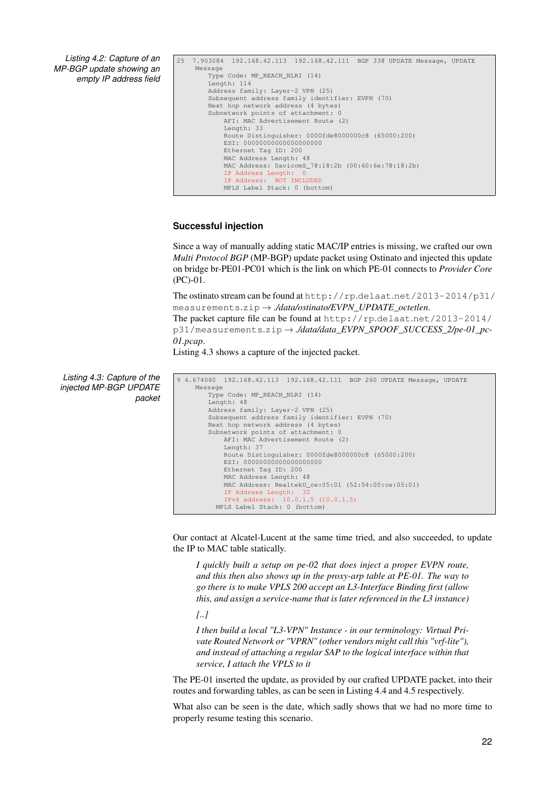<span id="page-27-0"></span>*Listing 4.2: Capture of an MP-BGP update showing an empty IP address field*

```
25 7.903084 192.168.42.113 192.168.42.111 BGP 338 UPDATE Message, UPDATE
     Message
        Type Code: MP_REACH_NLRI (14)
        Length: 114
        Address family: Layer-2 VPN (25)
        Subsequent address family identifier: EVPN (70)
        Next hop network address (4 bytes)
        Subnetwork points of attachment: 0
            AFI: MAC Advertisement Route (2)
            Length: 33
            Route Distinguisher: 0000fde8000000c8 (65000:200)
ESI: 00000000000000000000
            Ethernet Tag ID: 200
            MAC Address Length: 48
            MAC Address: DavicomS_78:18:2b (00:60:6e:78:18:2b)
            IP Address Length:
               Address: NOT INCLUDED
            MPLS Label Stack: 0 (bottom)
```
## **Successful injection**

Since a way of manually adding static [MAC/](#page-4-4)[IP](#page-4-5) entries is missing, we crafted our own *[Multi Protocol BGP](#page-4-6)* (MP-BGP) update packet using [Ostinato](#page-3-4) and injected this update on bridge br-PE01-PC01 which is the link on which [PE-](#page-5-4)01 connects to *[Provider Core](#page-5-19)* [\(PC\)-](#page-5-19)01.

The ostinato stream can be found at  $http://rp.delaat.net/2013-2014/p31/$  $http://rp.delaat.net/2013-2014/p31/$ [measurements](http://rp.delaat.net/2013-2014/p31/measurements.zip).zip → *./data/ostinato/EVPN\_UPDATE\_octetlen*.

The packet capture file can be found at http://rp.delaat.[net/2013-2014/](http://rp.delaat.net/2013-2014/p31/measurements.zip) [p31/measurements](http://rp.delaat.net/2013-2014/p31/measurements.zip).zip → *./data/data\_EVPN\_SPOOF\_SUCCESS\_2/pe-01\_pc-01.pcap*.

Listing [4.3](#page-27-2) shows a capture of the injected packet.

*Listing 4.3: Capture of the injected MP-BGP UPDATE packet*

```
9 4.674060 192.168.42.113 192.168.42.111 BGP 260 UPDATE Message, UPDATE
    Message
        Type Code: MP_REACH_NLRI (14)
        Length: 48
        Address family: Layer-2 VPN (25)
        Subsequent address family identifier: EVPN (70)
        Next hop network address (4 bytes)
        Subnetwork points of attachment:
            AFI: MAC Advertisement Route (2)
            Length: 37
            Route Distinguisher: 0000fde8000000c8 (65000:200)
            EST: 000000000000000000000
            Ethernet Tag ID: 200
MAC Address Length: 48
            MAC Address: RealtekU_ce:05:01 (52:54:00:ce:05:01)
            IP Address Length:
            IPv4 address: 10.0.1.5 (10.0.1.5)
          MPLS Label Stack: 0 (bottom)
```
Our contact at Alcatel-Lucent at the same time tried, and also succeeded, to update the [IP](#page-4-5) to [MAC](#page-4-4) table statically.

*I quickly built a setup on pe-02 that does inject a proper EVPN route, and this then also shows up in the proxy-arp table at PE-01. The way to go there is to make VPLS 200 accept an L3-Interface Binding first (allow this, and assign a service-name that is later referenced in the L3 instance)*

*[..]*

*I then build a local "L3-VPN" Instance - in our terminology: Virtual Private Routed Network or "VPRN" (other vendors might call this "vrf-lite"), and instead of attaching a regular SAP to the logical interface within that service, I attach the VPLS to it*

The [PE-](#page-5-4)01 inserted the update, as provided by our crafted UPDATE packet, into their routes and forwarding tables, as can be seen in Listing [4.4](#page-28-2) and [4.5](#page-28-3) respectively.

What also can be seen is the date, which sadly shows that we had no more time to properly resume testing this scenario.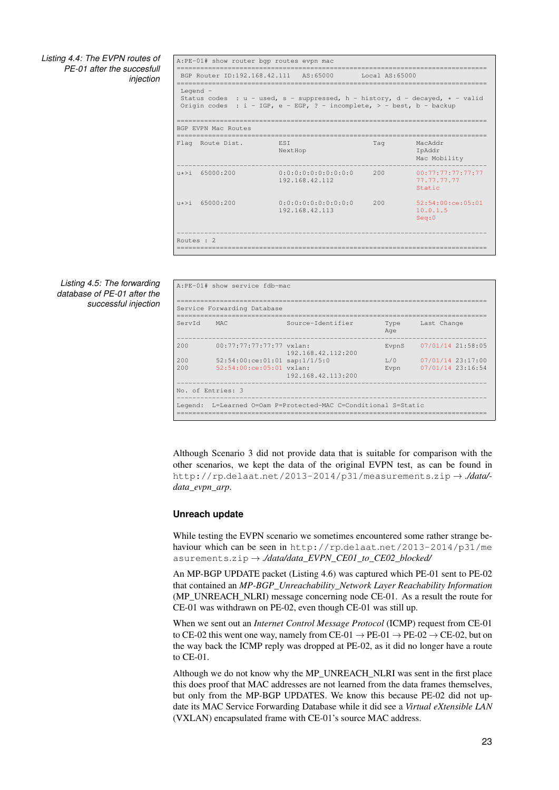<span id="page-28-0"></span>*Listing 4.4: The EVPN routes of PE-01 after the succesfull injection*

<span id="page-28-2"></span>

|                         | A:PE-01# show router bgp routes evpn mac                                                                                                                          |                |                                            |
|-------------------------|-------------------------------------------------------------------------------------------------------------------------------------------------------------------|----------------|--------------------------------------------|
|                         | BGP Router ID:192.168.42.111 AS:65000                                                                                                                             | Local AS:65000 |                                            |
| Legend -                | Status codes : $u - u$ sed, s - suppressed, h - history, d - decayed, $\star$ - valid<br>Origin codes : $i - IGP$ , e - EGP, ? - incomplete, > - best, b - backup |                |                                            |
| BGP EVPN Mac Routes     |                                                                                                                                                                   |                |                                            |
| Flaq Route Dist.        | <b>EST</b><br>NextHop                                                                                                                                             | Tag            | MacAddr<br>IpAddr<br>Mac Mobility          |
| $u \star > i$ 65000:200 | 0:0:0:0:0:0:0:0:0:0:0<br>192.168.42.112                                                                                                                           | 200            | 00:77:77:77:77:77<br>77.77.77.77<br>Static |
| $u*>i$ 65000:200        | 0:0:0:0:0:0:0:0:0:0:0<br>192.168.42.113                                                                                                                           | 200            | 52:54:00:ce:05:01<br>10.0.1.5<br>Seq:0     |
| Routes $\cdot$ 2        |                                                                                                                                                                   |                |                                            |

*Listing 4.5: The forwarding database of PE-01 after the successful injection*

<span id="page-28-3"></span>

| ServId | MAC                                | Source-Identifier  | Type  | Last Change       |
|--------|------------------------------------|--------------------|-------|-------------------|
|        |                                    |                    | Age   |                   |
| 200    | $00:77:77:77:77:77$ vxlan:         |                    | EvpnS | 07/01/14 21:58:05 |
|        |                                    | 192.168.42.112:200 |       |                   |
| 200    | $52:54:00:ce:01:01$ sap: $1/1/5:0$ |                    | T/0   | 07/01/14 23:17:00 |
| 200    | 52:54:00:ce:05:01 vxlan:           |                    | Evpn  | 07/01/14 23:16:54 |
|        |                                    | 192.168.42.113:200 |       |                   |

Although Scenario 3 did not provide data that is suitable for comparison with the other scenarios, we kept the data of the original [EVPN](#page-4-0) test, as can be found in http://rp.delaat.[net/2013-2014/p31/measurements](http://rp.delaat.net/2013-2014/p31/measurements.zip).zip → *./data/ data\_evpn\_arp*.

#### <span id="page-28-1"></span>**Unreach update**

While testing the [EVPN](#page-4-0) scenario we sometimes encountered some rather strange behaviour which can be seen in http://rp.delaat.[net/2013-2014/p31/me](http://rp.delaat.net/2013-2014/p31/measurements.zip) [asurements](http://rp.delaat.net/2013-2014/p31/measurements.zip).zip → *./data/data\_EVPN\_CE01\_to\_CE02\_blocked/*

An [MP-BGP](#page-4-6) UPDATE packet (Listing [4.6\)](#page-29-3) was captured which [PE-](#page-5-4)01 sent to [PE-](#page-5-4)02 that contained an *[MP-BGP\\_Unreachability\\_Network Layer Reachability Information](#page-4-29)* [\(MP\\_UNREACH\\_NLRI\)](#page-4-29) message concerning node [CE-](#page-4-7)01. As a result the route for [CE-](#page-4-7)01 was withdrawn on [PE-](#page-5-4)02, even though [CE-](#page-4-7)01 was still up.

When we sent out an *[Internet Control Message Protocol](#page-4-30)* (ICMP) request from [CE-](#page-4-7)01 to [CE-](#page-4-7)02 this went one way, namely from CE-01  $\rightarrow$  [PE-](#page-5-4)01  $\rightarrow$  PE-02  $\rightarrow$  CE-02, but on the way back the [ICMP](#page-4-30) reply was dropped at [PE-](#page-5-4)02, as it did no longer have a route to [CE-](#page-4-7)01.

Although we do not know why the [MP\\_UNREACH\\_NLRI](#page-4-29) was sent in the first place this does proof that [MAC](#page-4-4) addresses are not learned from the data frames themselves, but only from the [MP-BGP](#page-4-6) UPDATES. We know this because [PE-](#page-5-4)02 did not update its [MAC](#page-4-4) Service Forwarding Database while it did see a *[Virtual eXtensible LAN](#page-5-15)* [\(VXLAN\)](#page-5-15) encapsulated frame with [CE-](#page-4-7)01's source [MAC](#page-4-4) address.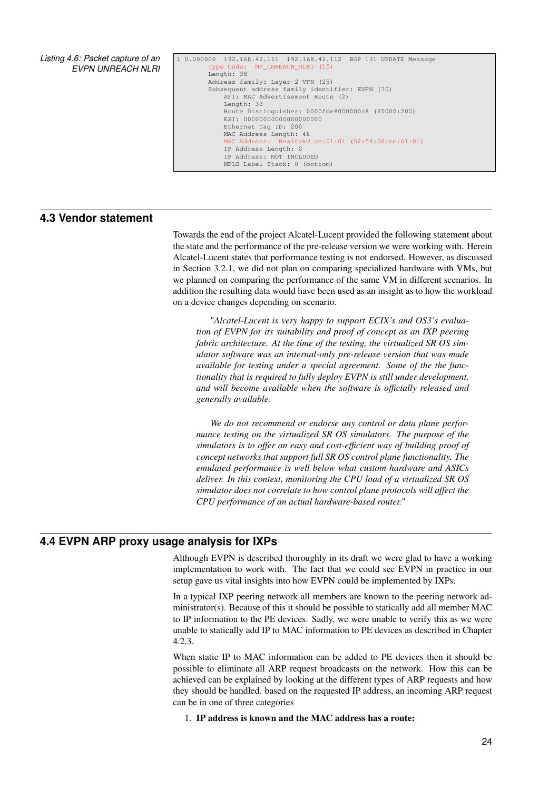<span id="page-29-2"></span>*Listing 4.6: Packet capture of an EVPN UNREACH NLRI*

```
1 0.000000 192.168.42.111 192.168.42.112 BGP 131 UPDATE Message
         .<br>Type Code: MP_UNREACH_NLRI (15)
        Length: 38
        Address family: Layer-2 VPN (25)
        Subsequent address family identifier: EVPN (70)
            AFI: MAC Advertisement Route (2)
            Length: 33
             Route Distinguisher: 0000fde8000000c8 (65000:200)
ESI: 00000000000000000000
            Ethernet Tag ID: 200
            MAC Address Length: 48
                 MAC Address: RealtekU_ce:01:01 (52:54:00:ce:01:01)
            IP Address Length: 0
            IP Address: NOT INCLUDED
            MPLS Label Stack: 0 (bottom)
```
## **4.3 Vendor statement**

<span id="page-29-1"></span>Towards the end of the project Alcatel-Lucent provided the following statement about the state and the performance of the pre-release version we were working with. Herein Alcatel-Lucent states that performance testing is not endorsed. However, as discussed in Section [3.2.1,](#page-14-6) we did not plan on comparing specialized hardware with [VMs,](#page-5-3) but we planned on comparing the performance of the same [VM](#page-5-3) in different scenarios. In addition the resulting data would have been used as an insight as to how the workload on a device changes depending on scenario.

"*Alcatel-Lucent is very happy to support ECIX's and OS3's evaluation of EVPN for its suitability and proof of concept as an IXP peering fabric architecture. At the time of the testing, the virtualized SR OS simulator software was an internal-only pre-release version that was made available for testing under a special agreement. Some of the the functionality that is required to fully deploy EVPN is still under development, and will become available when the software is officially released and generally available.*

*We do not recommend or endorse any control or data plane performance testing on the virtualized SR OS simulators. The purpose of the simulators is to offer an easy and cost-efficient way of building proof of concept networks that support full SR OS control plane functionality. The emulated performance is well below what custom hardware and ASICs deliver. In this context, monitoring the CPU load of a virtualized SR OS simulator does not correlate to how control plane protocols will affect the CPU performance of an actual hardware-based router.*"

## **4.4 EVPN ARP proxy usage analysis for IXPs**

<span id="page-29-0"></span>Although [EVPN](#page-4-0) is described thoroughly in its draft we were glad to have a working implementation to work with. The fact that we could see [EVPN](#page-4-0) in practice in our setup gave us vital insights into how [EVPN](#page-4-0) could be implemented by [IXPs.](#page-4-3)

In a typical [IXP](#page-4-3) peering network all members are known to the peering network administrator(s). Because of this it should be possible to statically add all member [MAC](#page-4-4) to [IP](#page-4-5) information to the [PE](#page-5-4) devices. Sadly, we were unable to verify this as we were unable to statically add [IP](#page-4-5) to [MAC](#page-4-4) information to [PE](#page-5-4) devices as described in Chapter [4.2.3.](#page-26-1)

When static [IP](#page-4-5) to [MAC](#page-4-4) information can be added to [PE](#page-5-4) devices then it should be possible to eliminate all [ARP](#page-4-2) request broadcasts on the network. How this can be achieved can be explained by looking at the different types of [ARP](#page-4-2) requests and how they should be handled. based on the requested [IP](#page-4-5) address, an incoming [ARP](#page-4-2) request can be in one of three categories

1. [IP](#page-4-5) address is known and the [MAC](#page-4-4) address has a route: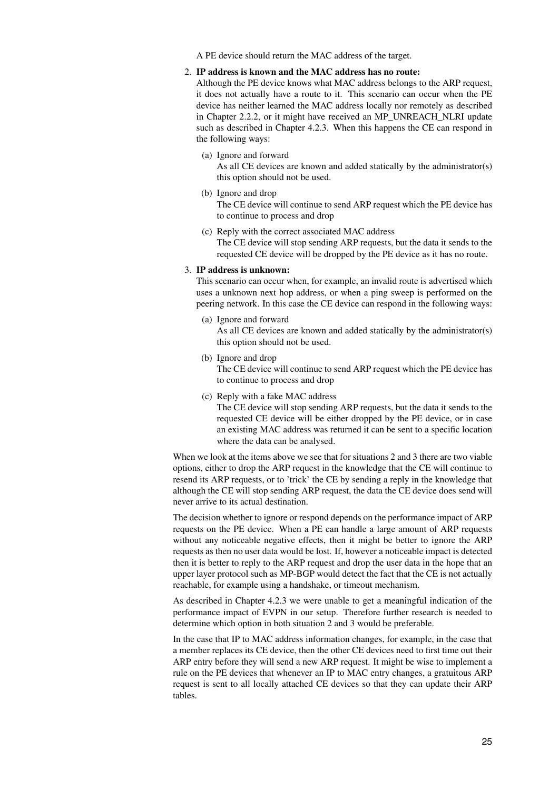<span id="page-30-0"></span>A [PE](#page-5-4) device should return the [MAC](#page-4-4) address of the target.

#### 2. [IP](#page-4-5) address is known and the [MAC](#page-4-4) address has no route:

Although the [PE](#page-5-4) device knows what [MAC](#page-4-4) address belongs to the [ARP](#page-4-2) request, it does not actually have a route to it. This scenario can occur when the [PE](#page-5-4) device has neither learned the [MAC](#page-4-4) address locally nor remotely as described in Chapter [2.2.2,](#page-10-1) or it might have received an [MP\\_UNREACH\\_NLRI](#page-4-29) update such as described in Chapter [4.2.3.](#page-28-1) When this happens the [CE](#page-4-7) can respond in the following ways:

(a) Ignore and forward

As all [CE](#page-4-7) devices are known and added statically by the administrator(s) this option should not be used.

- (b) Ignore and drop The [CE](#page-4-7) device will continue to send [ARP](#page-4-2) request which the [PE](#page-5-4) device has to continue to process and drop
- (c) Reply with the correct associated [MAC](#page-4-4) address The [CE](#page-4-7) device will stop sending [ARP](#page-4-2) requests, but the data it sends to the requested [CE](#page-4-7) device will be dropped by the [PE](#page-5-4) device as it has no route.

### 3. [IP](#page-4-5) address is unknown:

This scenario can occur when, for example, an invalid route is advertised which uses a unknown next hop address, or when a ping sweep is performed on the peering network. In this case the [CE](#page-4-7) device can respond in the following ways:

- (a) Ignore and forward As all [CE](#page-4-7) devices are known and added statically by the administrator(s) this option should not be used.
	- (b) Ignore and drop The [CE](#page-4-7) device will continue to send [ARP](#page-4-2) request which the [PE](#page-5-4) device has to continue to process and drop
	- (c) Reply with a fake [MAC](#page-4-4) address The [CE](#page-4-7) device will stop sending [ARP](#page-4-2) requests, but the data it sends to the requested [CE](#page-4-7) device will be either dropped by the [PE](#page-5-4) device, or in case an existing [MAC](#page-4-4) address was returned it can be sent to a specific location where the data can be analysed.

When we look at the items above we see that for situations 2 and 3 there are two viable options, either to drop the [ARP](#page-4-2) request in the knowledge that the [CE](#page-4-7) will continue to resend its [ARP](#page-4-2) requests, or to 'trick' the [CE](#page-4-7) by sending a reply in the knowledge that although the [CE](#page-4-7) will stop sending [ARP](#page-4-2) request, the data the [CE](#page-4-7) device does send will never arrive to its actual destination.

The decision whether to ignore or respond depends on the performance impact of [ARP](#page-4-2) requests on the [PE](#page-5-4) device. When a [PE](#page-5-4) can handle a large amount of [ARP](#page-4-2) requests without any noticeable negative effects, then it might be better to ignore the [ARP](#page-4-2) requests as then no user data would be lost. If, however a noticeable impact is detected then it is better to reply to the [ARP](#page-4-2) request and drop the user data in the hope that an upper layer protocol such as [MP-BGP](#page-4-6) would detect the fact that the [CE](#page-4-7) is not actually reachable, for example using a handshake, or timeout mechanism.

As described in Chapter [4.2.3](#page-26-1) we were unable to get a meaningful indication of the performance impact of [EVPN](#page-4-0) in our setup. Therefore further research is needed to determine which option in both situation 2 and 3 would be preferable.

In the case that [IP](#page-4-5) to [MAC](#page-4-4) address information changes, for example, in the case that a member replaces its [CE](#page-4-7) device, then the other [CE](#page-4-7) devices need to first time out their [ARP](#page-4-2) entry before they will send a new [ARP](#page-4-2) request. It might be wise to implement a rule on the [PE](#page-5-4) devices that whenever an [IP](#page-4-5) to [MAC](#page-4-4) entry changes, a gratuitous [ARP](#page-4-2) request is sent to all locally attached [CE](#page-4-7) devices so that they can update their [ARP](#page-4-2) tables.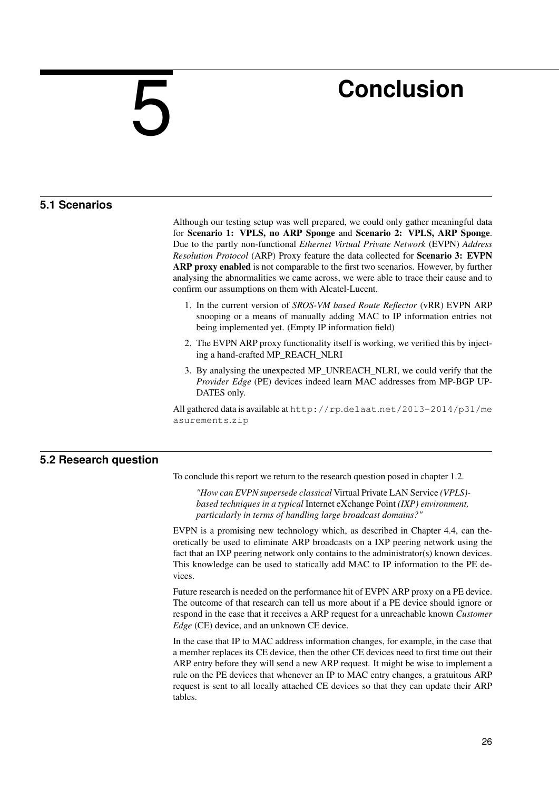# <span id="page-31-4"></span><span id="page-31-0"></span>5

# **Conclusion**

# **5.1 Scenarios**

<span id="page-31-1"></span>Although our testing setup was well prepared, we could only gather meaningful data for Scenario 1: VPLS, no ARP Sponge and Scenario 2: VPLS, ARP Sponge. Due to the partly non-functional *[Ethernet Virtual Private Network](#page-4-0)* (EVPN) *[Address](#page-4-2) [Resolution Protocol](#page-4-2)* (ARP) Proxy feature the data collected for Scenario 3: EVPN ARP proxy enabled is not comparable to the first two scenarios. However, by further analysing the abnormalities we came across, we were able to trace their cause and to confirm our assumptions on them with Alcatel-Lucent.

- 1. In the current version of *[SROS-VM based Route Reflector](#page-5-2)* (vRR) [EVPN](#page-4-0) [ARP](#page-4-2) snooping or a means of manually adding [MAC](#page-4-4) to [IP](#page-4-5) information entries not being implemented yet. (Empty IP information field)
- 2. The [EVPN](#page-4-0) [ARP](#page-4-2) proxy functionality itself is working, we verified this by injecting a hand-crafted MP\_REACH\_NLRI
- 3. By analysing the unexpected MP\_UNREACH\_NLRI, we could verify that the *[Provider Edge](#page-5-4)* (PE) devices indeed learn MAC addresses from MP-BGP UP-DATES only.

<span id="page-31-2"></span>All gathered data is available at http://rp.delaat.[net/2013-2014/p31/me](http://rp.delaat.net/2013-2014/p31/measurements.zip) [asurements](http://rp.delaat.net/2013-2014/p31/measurements.zip).zip

# **5.2 Research question**

To conclude this report we return to the research question posed in chapter [1.2.](#page-7-0)

*"How can [EVPN](#page-4-0) supersede classical* [Virtual Private LAN Service](#page-5-1) *(VPLS) based techniques in a typical* [Internet eXchange Point](#page-4-3) *(IXP) environment, particularly in terms of handling large broadcast domains?"*

[EVPN](#page-4-0) is a promising new technology which, as described in Chapter [4.4,](#page-29-0) can theoretically be used to eliminate [ARP](#page-4-2) broadcasts on a [IXP](#page-4-3) peering network using the fact that an [IXP](#page-4-3) peering network only contains to the administrator(s) known devices. This knowledge can be used to statically add [MAC](#page-4-4) to [IP](#page-4-5) information to the [PE](#page-5-4) devices.

Future research is needed on the performance hit of [EVPN](#page-4-0) [ARP](#page-4-2) proxy on a [PE](#page-5-4) device. The outcome of that research can tell us more about if a [PE](#page-5-4) device should ignore or respond in the case that it receives a [ARP](#page-4-2) request for a unreachable known *[Customer](#page-4-7) [Edge](#page-4-7)* (CE) device, and an unknown [CE](#page-4-7) device.

<span id="page-31-3"></span>In the case that [IP](#page-4-5) to [MAC](#page-4-4) address information changes, for example, in the case that a member replaces its [CE](#page-4-7) device, then the other [CE](#page-4-7) devices need to first time out their [ARP](#page-4-2) entry before they will send a new [ARP](#page-4-2) request. It might be wise to implement a rule on the [PE](#page-5-4) devices that whenever an [IP](#page-4-5) to [MAC](#page-4-4) entry changes, a gratuitous [ARP](#page-4-2) request is sent to all locally attached [CE](#page-4-7) devices so that they can update their [ARP](#page-4-2) tables.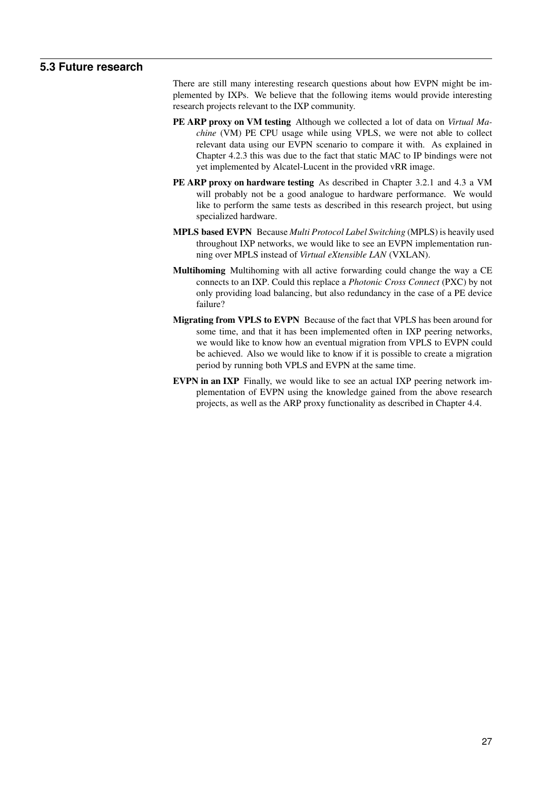# <span id="page-32-0"></span>**5.3 Future research**

There are still many interesting research questions about how [EVPN](#page-4-0) might be implemented by [IXPs.](#page-4-3) We believe that the following items would provide interesting research projects relevant to the [IXP](#page-4-3) community.

- PE ARP proxy on VM testing Although we collected a lot of data on *[Virtual Ma](#page-5-3)chine* [\(VM\)](#page-5-3) [PE](#page-5-4) [CPU](#page-4-11) usage while using [VPLS,](#page-5-1) we were not able to collect relevant data using our [EVPN](#page-4-0) scenario to compare it with. As explained in Chapter [4.2.3](#page-26-1) this was due to the fact that static [MAC](#page-4-4) to [IP](#page-4-5) bindings were not yet implemented by Alcatel-Lucent in the provided [vRR](#page-5-2) image.
- PE ARP proxy on hardware testing As described in Chapter [3.2.1](#page-14-6) and [4.3](#page-29-1) a [VM](#page-5-3) will probably not be a good analogue to hardware performance. We would like to perform the same tests as described in this research project, but using specialized hardware.
- MPLS based EVPN Because *[Multi Protocol Label Switching](#page-5-0)* (MPLS) is heavily used throughout [IXP](#page-4-3) networks, we would like to see an [EVPN](#page-4-0) implementation running over [MPLS](#page-5-0) instead of *[Virtual eXtensible LAN](#page-5-15)* (VXLAN).
- Multihoming Multihoming with all active forwarding could change the way a [CE](#page-4-7) connects to an [IXP.](#page-4-3) Could this replace a *[Photonic Cross Connect](#page-5-21)* (PXC) by not only providing load balancing, but also redundancy in the case of a [PE](#page-5-4) device failure?
- Migrating from VPLS to EVPN Because of the fact that [VPLS](#page-5-1) has been around for some time, and that it has been implemented often in [IXP](#page-4-3) peering networks, we would like to know how an eventual migration from [VPLS](#page-5-1) to [EVPN](#page-4-0) could be achieved. Also we would like to know if it is possible to create a migration period by running both [VPLS](#page-5-1) and [EVPN](#page-4-0) at the same time.
- EVPN in an IXP Finally, we would like to see an actual [IXP](#page-4-3) peering network implementation of [EVPN](#page-4-0) using the knowledge gained from the above research projects, as well as the [ARP](#page-4-2) proxy functionality as described in Chapter [4.4.](#page-29-0)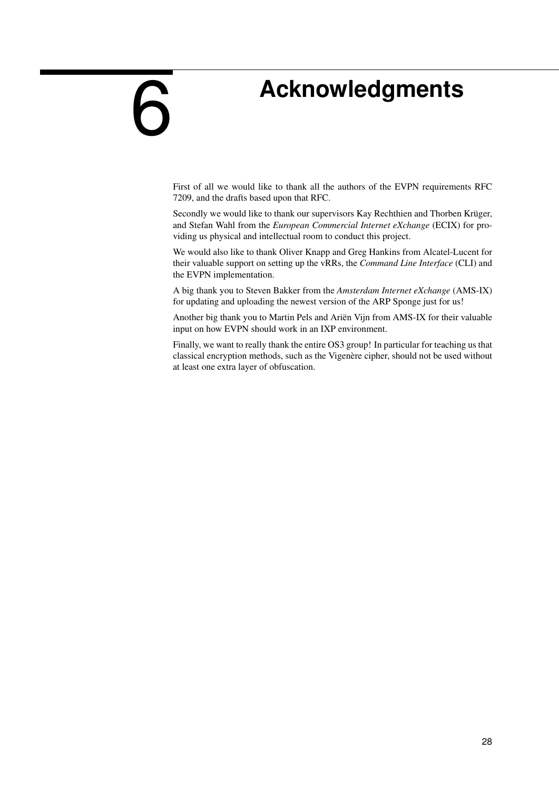# **Acknowledgments**

<span id="page-33-1"></span><span id="page-33-0"></span>6

First of all we would like to thank all the authors of the [EVPN](#page-4-0) requirements [RFC](#page-5-6) 7209, and the drafts based upon that [RFC.](#page-5-6)

Secondly we would like to thank our supervisors Kay Rechthien and Thorben Krüger, and Stefan Wahl from the *[European Commercial Internet eXchange](#page-4-9)* (ECIX) for providing us physical and intellectual room to conduct this project.

We would also like to thank Oliver Knapp and Greg Hankins from Alcatel-Lucent for their valuable support on setting up the [vRRs,](#page-5-2) the *[Command Line Interface](#page-4-31)* (CLI) and the [EVPN](#page-4-0) implementation.

A big thank you to Steven Bakker from the *[Amsterdam Internet eXchange](#page-4-10)* (AMS-IX) for updating and uploading the newest version of the [ARP](#page-4-2) Sponge just for us!

Another big thank you to Martin Pels and Ariën Vijn from [AMS-IX](#page-4-10) for their valuable input on how [EVPN](#page-4-0) should work in an [IXP](#page-4-3) environment.

Finally, we want to really thank the entire OS3 group! In particular for teaching us that classical encryption methods, such as the Vigenère cipher, should not be used without at least one extra layer of obfuscation.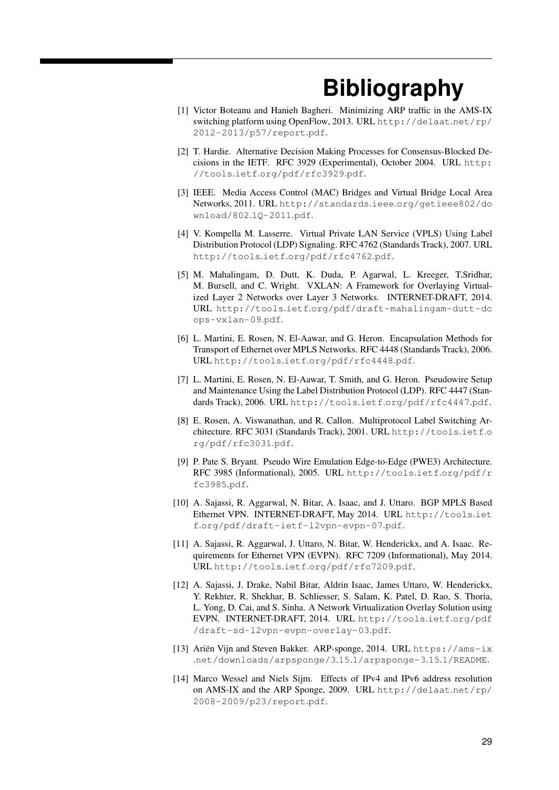# **Bibliography**

- <span id="page-34-2"></span><span id="page-34-0"></span>[1] Victor Boteanu and Hanieh Bagheri. Minimizing ARP traffic in the AMS-IX switching platform using OpenFlow, 2013. URL [http://delaat](http://delaat.net/rp/2012-2013/p57/report.pdf).net/rp/ [2012-2013/p57/report](http://delaat.net/rp/2012-2013/p57/report.pdf).pdf.
- <span id="page-34-11"></span>[2] T. Hardie. Alternative Decision Making Processes for Consensus-Blocked Decisions in the IETF. RFC 3929 (Experimental), October 2004. URL [http:](http://tools.ietf.org/pdf/rfc3929.pdf) //tools.ietf.[org/pdf/rfc3929](http://tools.ietf.org/pdf/rfc3929.pdf).pdf.
- <span id="page-34-13"></span>[3] IEEE. Media Access Control (MAC) Bridges and Virtual Bridge Local Area Networks, 2011. URL http://standards.ieee.[org/getieee802/do](http://standards.ieee.org/getieee802/download/802.1Q-2011.pdf) [wnload/802](http://standards.ieee.org/getieee802/download/802.1Q-2011.pdf).1Q-2011.pdf.
- <span id="page-34-6"></span>[4] V. Kompella M. Lasserre. Virtual Private LAN Service (VPLS) Using Label Distribution Protocol (LDP) Signaling. RFC 4762 (Standards Track), 2007. URL http://tools.ietf.[org/pdf/rfc4762](http://tools.ietf.org/pdf/rfc4762.pdf).pdf.
- <span id="page-34-12"></span>[5] M. Mahalingam, D. Dutt, K. Duda, P. Agarwal, L. Kreeger, T.Sridhar, M. Bursell, and C. Wright. VXLAN: A Framework for Overlaying Virtualized Layer 2 Networks over Layer 3 Networks. INTERNET-DRAFT, 2014. URL http://tools.ietf.[org/pdf/draft-mahalingam-dutt-dc](http://tools.ietf.org/pdf/draft-mahalingam-dutt-dcops-vxlan-09.pdf) [ops-vxlan-09](http://tools.ietf.org/pdf/draft-mahalingam-dutt-dcops-vxlan-09.pdf).pdf.
- <span id="page-34-10"></span>[6] L. Martini, E. Rosen, N. El-Aawar, and G. Heron. Encapsulation Methods for Transport of Ethernet over MPLS Networks. RFC 4448 (Standards Track), 2006. URL http://tools.ietf.[org/pdf/rfc4448](http://tools.ietf.org/pdf/rfc4448.pdf).pdf.
- <span id="page-34-9"></span>[7] L. Martini, E. Rosen, N. El-Aawar, T. Smith, and G. Heron. Pseudowire Setup and Maintenance Using the Label Distribution Protocol (LDP). RFC 4447 (Standards Track), 2006. URL http://tools.ietf.[org/pdf/rfc4447](http://tools.ietf.org/pdf/rfc4447.pdf).pdf.
- <span id="page-34-5"></span>[8] E. Rosen, A. Viswanathan, and R. Callon. Multiprotocol Label Switching Architecture. RFC 3031 (Standards Track), 2001. URL [http://tools](http://tools.ietf.org/pdf/rfc3031.pdf).ietf.o [rg/pdf/rfc3031](http://tools.ietf.org/pdf/rfc3031.pdf).pdf.
- <span id="page-34-8"></span>[9] P. Pate S. Bryant. Pseudo Wire Emulation Edge-to-Edge (PWE3) Architecture. RFC 3985 (Informational), 2005. URL [http://tools](http://tools.ietf.org/pdf/rfc3985.pdf).ietf.org/pdf/r [fc3985](http://tools.ietf.org/pdf/rfc3985.pdf).pdf.
- <span id="page-34-4"></span>[10] A. Sajassi, R. Aggarwal, N. Bitar, A. Isaac, and J. Uttaro. BGP MPLS Based Ethernet VPN. INTERNET-DRAFT, May 2014. URL [http://tools](http://tools.ietf.org/pdf/draft-ietf-l2vpn-evpn-07.pdf).iet f.[org/pdf/draft-ietf-l2vpn-evpn-07](http://tools.ietf.org/pdf/draft-ietf-l2vpn-evpn-07.pdf).pdf.
- <span id="page-34-3"></span>[11] A. Sajassi, R. Aggarwal, J. Uttaro, N. Bitar, W. Henderickx, and A. Isaac. Requirements for Ethernet VPN (EVPN). RFC 7209 (Informational), May 2014. URL http://tools.ietf.[org/pdf/rfc7209](http://tools.ietf.org/pdf/rfc7209.pdf).pdf.
- <span id="page-34-14"></span>[12] A. Sajassi, J. Drake, Nabil Bitar, Aldrin Isaac, James Uttaro, W. Henderickx, Y. Rekhter, R. Shekhar, B. Schliesser, S. Salam, K. Patel, D. Rao, S. Thoria, L. Yong, D. Cai, and S. Sinha. A Network Virtualization Overlay Solution using EVPN. INTERNET-DRAFT, 2014. URL [http://tools](http://tools.ietf.org/pdf/draft-sd-l2vpn-evpn-overlay-03.pdf).ietf.org/pdf [/draft-sd-l2vpn-evpn-overlay-03](http://tools.ietf.org/pdf/draft-sd-l2vpn-evpn-overlay-03.pdf).pdf.
- <span id="page-34-7"></span>[13] Ariën Vijn and Steven Bakker. ARP-sponge, 2014. URL [https://ams-ix](https://ams-ix.net/downloads/arpsponge/3.15.1/arpsponge-3.15.1/README) .[net/downloads/arpsponge/3](https://ams-ix.net/downloads/arpsponge/3.15.1/arpsponge-3.15.1/README).15.1/arpsponge-3.15.1/README.
- <span id="page-34-1"></span>[14] Marco Wessel and Niels Sijm. Effects of IPv4 and IPv6 address resolution on AMS-IX and the ARP Sponge, 2009. URL [http://delaat](http://delaat.net/rp/2008-2009/p23/report.pdf).net/rp/ [2008-2009/p23/report](http://delaat.net/rp/2008-2009/p23/report.pdf).pdf.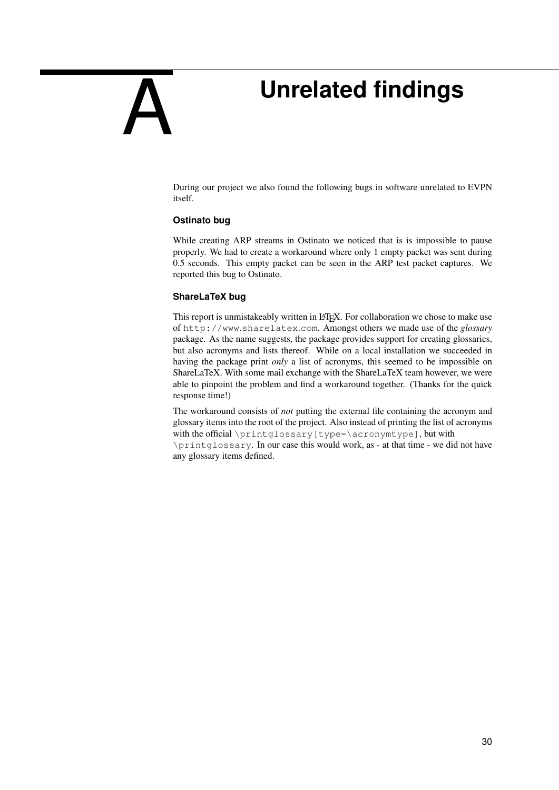# **Unrelated findings**

During our project we also found the following bugs in software unrelated to [EVPN](#page-4-0) itself.

## **Ostinato bug**

<span id="page-35-1"></span><span id="page-35-0"></span>A

While creating [ARP](#page-4-2) streams in [Ostinato](#page-3-4) we noticed that is is impossible to pause properly. We had to create a workaround where only 1 empty packet was sent during 0.5 seconds. This empty packet can be seen in the [ARP](#page-4-2) test packet captures. We reported this bug to [Ostinato.](#page-3-4)

#### **ShareLaTeX bug**

This report is unmistakeably written in LATEX. For collaboration we chose to make use of [http://www](http://www.sharelatex.com).sharelatex.com. Amongst others we made use of the *glossary* package. As the name suggests, the package provides support for creating glossaries, but also acronyms and lists thereof. While on a local installation we succeeded in having the package print *only* a list of acronyms, this seemed to be impossible on ShareLaTeX. With some mail exchange with the ShareLaTeX team however, we were able to pinpoint the problem and find a workaround together. (Thanks for the quick response time!)

The workaround consists of *not* putting the external file containing the acronym and glossary items into the root of the project. Also instead of printing the list of acronyms with the official \printglossary[type=\acronymtype], but with \printglossary. In our case this would work, as - at that time - we did not have any glossary items defined.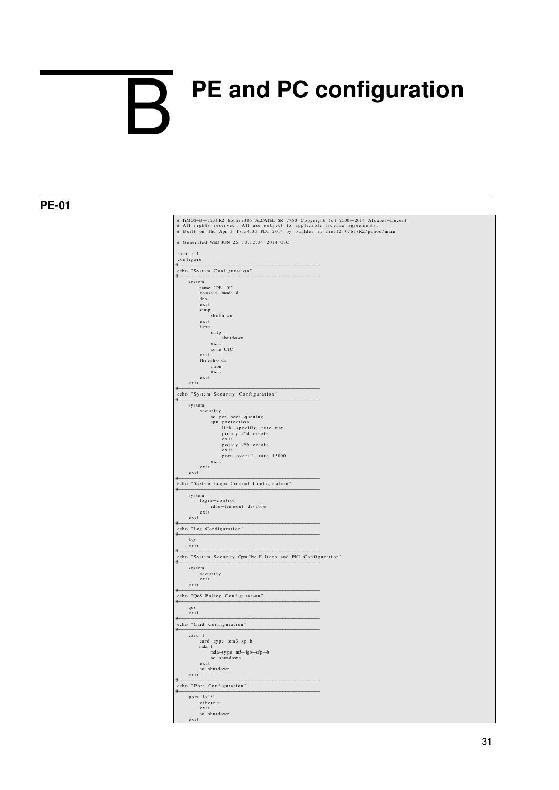# <span id="page-36-0"></span>**PE and PC configuration**  $\mathsf{R}$

# $P<sub>E-01</sub>$

| # Generated WED JUN 25 13:12:34 2014 UTC<br>exit all<br>configure<br>#<br>echo "System Configuration"<br>#<br>system<br>name "PE-01"<br>chassis-mode d<br>dns<br>exit<br>snmp<br>shutdown<br>exit<br>time<br>sntp<br>shutdown<br>exit<br>zone UTC<br>exit<br>thresholds<br>rmon<br>exit<br>exit<br>exit<br>#<br>echo "System Security Configuration"<br>#<br>system<br>security<br>no per-peer-queuing<br>cpu-protection<br>link-specific-rate max<br>policy 254 create<br>exit<br>policy 255 create<br>exit<br>port-overall-rate 15000<br>exit<br>exit<br>exit<br>#<br>echo "System Login Control Configuration"<br>#<br>system<br>login-control<br>idle-timeout disable<br>exist<br>$ext{exit}$<br>#<br>echo "Log Configuration"<br>#<br>log<br>$ext{exit}$<br>#<br>echo "System Security Cpm Hw Filters and PKI Configuration"<br>#<br>system<br>security<br>$ext{exit}$<br>exit<br>#<br>echo "QoS Policy Configuration"<br>#<br>qos<br>$ext{exit}$<br>#<br>echo "Card Configuration"<br>#<br>card 1<br>card-type iom3-xp-b<br>mda 1<br>mda-type m5-lgb-sfp-b<br>no shutdown<br>$e$ x i t<br>no shutdown<br>exist<br>#<br>echo "Port Configuration"<br>#<br>port 1/1/1<br>ethernet<br>exit |  |
|-----------------------------------------------------------------------------------------------------------------------------------------------------------------------------------------------------------------------------------------------------------------------------------------------------------------------------------------------------------------------------------------------------------------------------------------------------------------------------------------------------------------------------------------------------------------------------------------------------------------------------------------------------------------------------------------------------------------------------------------------------------------------------------------------------------------------------------------------------------------------------------------------------------------------------------------------------------------------------------------------------------------------------------------------------------------------------------------------------------------------------------------------------------------------------------------------|--|
|                                                                                                                                                                                                                                                                                                                                                                                                                                                                                                                                                                                                                                                                                                                                                                                                                                                                                                                                                                                                                                                                                                                                                                                               |  |
|                                                                                                                                                                                                                                                                                                                                                                                                                                                                                                                                                                                                                                                                                                                                                                                                                                                                                                                                                                                                                                                                                                                                                                                               |  |
|                                                                                                                                                                                                                                                                                                                                                                                                                                                                                                                                                                                                                                                                                                                                                                                                                                                                                                                                                                                                                                                                                                                                                                                               |  |
|                                                                                                                                                                                                                                                                                                                                                                                                                                                                                                                                                                                                                                                                                                                                                                                                                                                                                                                                                                                                                                                                                                                                                                                               |  |
|                                                                                                                                                                                                                                                                                                                                                                                                                                                                                                                                                                                                                                                                                                                                                                                                                                                                                                                                                                                                                                                                                                                                                                                               |  |
|                                                                                                                                                                                                                                                                                                                                                                                                                                                                                                                                                                                                                                                                                                                                                                                                                                                                                                                                                                                                                                                                                                                                                                                               |  |
|                                                                                                                                                                                                                                                                                                                                                                                                                                                                                                                                                                                                                                                                                                                                                                                                                                                                                                                                                                                                                                                                                                                                                                                               |  |
|                                                                                                                                                                                                                                                                                                                                                                                                                                                                                                                                                                                                                                                                                                                                                                                                                                                                                                                                                                                                                                                                                                                                                                                               |  |
|                                                                                                                                                                                                                                                                                                                                                                                                                                                                                                                                                                                                                                                                                                                                                                                                                                                                                                                                                                                                                                                                                                                                                                                               |  |
|                                                                                                                                                                                                                                                                                                                                                                                                                                                                                                                                                                                                                                                                                                                                                                                                                                                                                                                                                                                                                                                                                                                                                                                               |  |
|                                                                                                                                                                                                                                                                                                                                                                                                                                                                                                                                                                                                                                                                                                                                                                                                                                                                                                                                                                                                                                                                                                                                                                                               |  |
|                                                                                                                                                                                                                                                                                                                                                                                                                                                                                                                                                                                                                                                                                                                                                                                                                                                                                                                                                                                                                                                                                                                                                                                               |  |
|                                                                                                                                                                                                                                                                                                                                                                                                                                                                                                                                                                                                                                                                                                                                                                                                                                                                                                                                                                                                                                                                                                                                                                                               |  |
|                                                                                                                                                                                                                                                                                                                                                                                                                                                                                                                                                                                                                                                                                                                                                                                                                                                                                                                                                                                                                                                                                                                                                                                               |  |
|                                                                                                                                                                                                                                                                                                                                                                                                                                                                                                                                                                                                                                                                                                                                                                                                                                                                                                                                                                                                                                                                                                                                                                                               |  |
|                                                                                                                                                                                                                                                                                                                                                                                                                                                                                                                                                                                                                                                                                                                                                                                                                                                                                                                                                                                                                                                                                                                                                                                               |  |
|                                                                                                                                                                                                                                                                                                                                                                                                                                                                                                                                                                                                                                                                                                                                                                                                                                                                                                                                                                                                                                                                                                                                                                                               |  |
|                                                                                                                                                                                                                                                                                                                                                                                                                                                                                                                                                                                                                                                                                                                                                                                                                                                                                                                                                                                                                                                                                                                                                                                               |  |
|                                                                                                                                                                                                                                                                                                                                                                                                                                                                                                                                                                                                                                                                                                                                                                                                                                                                                                                                                                                                                                                                                                                                                                                               |  |
|                                                                                                                                                                                                                                                                                                                                                                                                                                                                                                                                                                                                                                                                                                                                                                                                                                                                                                                                                                                                                                                                                                                                                                                               |  |
|                                                                                                                                                                                                                                                                                                                                                                                                                                                                                                                                                                                                                                                                                                                                                                                                                                                                                                                                                                                                                                                                                                                                                                                               |  |
|                                                                                                                                                                                                                                                                                                                                                                                                                                                                                                                                                                                                                                                                                                                                                                                                                                                                                                                                                                                                                                                                                                                                                                                               |  |
|                                                                                                                                                                                                                                                                                                                                                                                                                                                                                                                                                                                                                                                                                                                                                                                                                                                                                                                                                                                                                                                                                                                                                                                               |  |
|                                                                                                                                                                                                                                                                                                                                                                                                                                                                                                                                                                                                                                                                                                                                                                                                                                                                                                                                                                                                                                                                                                                                                                                               |  |
|                                                                                                                                                                                                                                                                                                                                                                                                                                                                                                                                                                                                                                                                                                                                                                                                                                                                                                                                                                                                                                                                                                                                                                                               |  |
|                                                                                                                                                                                                                                                                                                                                                                                                                                                                                                                                                                                                                                                                                                                                                                                                                                                                                                                                                                                                                                                                                                                                                                                               |  |
|                                                                                                                                                                                                                                                                                                                                                                                                                                                                                                                                                                                                                                                                                                                                                                                                                                                                                                                                                                                                                                                                                                                                                                                               |  |
|                                                                                                                                                                                                                                                                                                                                                                                                                                                                                                                                                                                                                                                                                                                                                                                                                                                                                                                                                                                                                                                                                                                                                                                               |  |
|                                                                                                                                                                                                                                                                                                                                                                                                                                                                                                                                                                                                                                                                                                                                                                                                                                                                                                                                                                                                                                                                                                                                                                                               |  |
|                                                                                                                                                                                                                                                                                                                                                                                                                                                                                                                                                                                                                                                                                                                                                                                                                                                                                                                                                                                                                                                                                                                                                                                               |  |
|                                                                                                                                                                                                                                                                                                                                                                                                                                                                                                                                                                                                                                                                                                                                                                                                                                                                                                                                                                                                                                                                                                                                                                                               |  |
|                                                                                                                                                                                                                                                                                                                                                                                                                                                                                                                                                                                                                                                                                                                                                                                                                                                                                                                                                                                                                                                                                                                                                                                               |  |
|                                                                                                                                                                                                                                                                                                                                                                                                                                                                                                                                                                                                                                                                                                                                                                                                                                                                                                                                                                                                                                                                                                                                                                                               |  |
|                                                                                                                                                                                                                                                                                                                                                                                                                                                                                                                                                                                                                                                                                                                                                                                                                                                                                                                                                                                                                                                                                                                                                                                               |  |
|                                                                                                                                                                                                                                                                                                                                                                                                                                                                                                                                                                                                                                                                                                                                                                                                                                                                                                                                                                                                                                                                                                                                                                                               |  |
|                                                                                                                                                                                                                                                                                                                                                                                                                                                                                                                                                                                                                                                                                                                                                                                                                                                                                                                                                                                                                                                                                                                                                                                               |  |
|                                                                                                                                                                                                                                                                                                                                                                                                                                                                                                                                                                                                                                                                                                                                                                                                                                                                                                                                                                                                                                                                                                                                                                                               |  |
|                                                                                                                                                                                                                                                                                                                                                                                                                                                                                                                                                                                                                                                                                                                                                                                                                                                                                                                                                                                                                                                                                                                                                                                               |  |
|                                                                                                                                                                                                                                                                                                                                                                                                                                                                                                                                                                                                                                                                                                                                                                                                                                                                                                                                                                                                                                                                                                                                                                                               |  |
|                                                                                                                                                                                                                                                                                                                                                                                                                                                                                                                                                                                                                                                                                                                                                                                                                                                                                                                                                                                                                                                                                                                                                                                               |  |
|                                                                                                                                                                                                                                                                                                                                                                                                                                                                                                                                                                                                                                                                                                                                                                                                                                                                                                                                                                                                                                                                                                                                                                                               |  |
|                                                                                                                                                                                                                                                                                                                                                                                                                                                                                                                                                                                                                                                                                                                                                                                                                                                                                                                                                                                                                                                                                                                                                                                               |  |
|                                                                                                                                                                                                                                                                                                                                                                                                                                                                                                                                                                                                                                                                                                                                                                                                                                                                                                                                                                                                                                                                                                                                                                                               |  |
|                                                                                                                                                                                                                                                                                                                                                                                                                                                                                                                                                                                                                                                                                                                                                                                                                                                                                                                                                                                                                                                                                                                                                                                               |  |
|                                                                                                                                                                                                                                                                                                                                                                                                                                                                                                                                                                                                                                                                                                                                                                                                                                                                                                                                                                                                                                                                                                                                                                                               |  |
|                                                                                                                                                                                                                                                                                                                                                                                                                                                                                                                                                                                                                                                                                                                                                                                                                                                                                                                                                                                                                                                                                                                                                                                               |  |
|                                                                                                                                                                                                                                                                                                                                                                                                                                                                                                                                                                                                                                                                                                                                                                                                                                                                                                                                                                                                                                                                                                                                                                                               |  |
|                                                                                                                                                                                                                                                                                                                                                                                                                                                                                                                                                                                                                                                                                                                                                                                                                                                                                                                                                                                                                                                                                                                                                                                               |  |
|                                                                                                                                                                                                                                                                                                                                                                                                                                                                                                                                                                                                                                                                                                                                                                                                                                                                                                                                                                                                                                                                                                                                                                                               |  |
|                                                                                                                                                                                                                                                                                                                                                                                                                                                                                                                                                                                                                                                                                                                                                                                                                                                                                                                                                                                                                                                                                                                                                                                               |  |
|                                                                                                                                                                                                                                                                                                                                                                                                                                                                                                                                                                                                                                                                                                                                                                                                                                                                                                                                                                                                                                                                                                                                                                                               |  |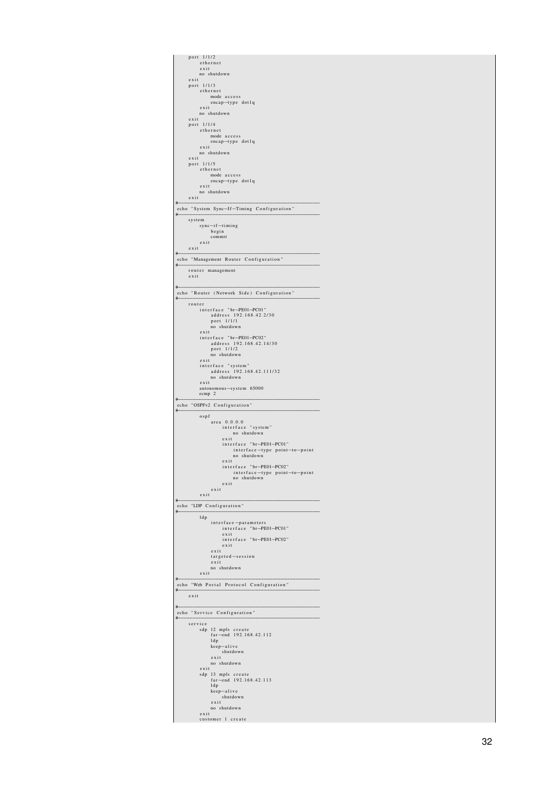| port 1/1/2<br>ethernet                                    |
|-----------------------------------------------------------|
| exit                                                      |
| no shutdown<br>exit                                       |
| 1/1/3<br>port<br>ethernet                                 |
| mode access                                               |
| encap-type dotlq<br>exit                                  |
| no shutdown                                               |
| exit<br>1/1/4<br>port                                     |
| ethernet                                                  |
| mode access<br>encap-type dotlq                           |
| exit                                                      |
| no shutdown<br>exit                                       |
| 1/1/5<br>port<br>ethernet                                 |
| mode access                                               |
| encap-type dotlq<br>exit                                  |
| no shutdown                                               |
| exist<br>#                                                |
| echo "System Sync-If-Timing Configuration"<br>#           |
| system                                                    |
| sync-if-timing<br>begin                                   |
| commit                                                    |
| exist<br>exit                                             |
| #                                                         |
| echo "Management Router Configuration"<br>#               |
| router management<br>exit                                 |
|                                                           |
| #<br>echo "Router (Network Side) Configuration"           |
| #                                                         |
| router<br>interface "br-PE01-PC01"                        |
| address 192.168.42.2/30<br>port 1/1/1                     |
| no shutdown                                               |
| exit<br>interface "br-PE01-PC02"                          |
| address 192.168.42.14/30                                  |
| port 1/1/2<br>no shutdown                                 |
| exit                                                      |
| interface "system"<br>address 192.168.42.111/32           |
| no shutdown<br>exit                                       |
|                                                           |
|                                                           |
| autonomous-system 65000<br>ecmp 2                         |
| #<br>echo "OSPFv2 Configuration"                          |
| #                                                         |
| ospf<br>area 0.0.0.0                                      |
| interface "system"<br>no shutdown                         |
| exit                                                      |
| interface "br-PE01-PC01"<br>interface-type point-to-point |
| no shutdown                                               |
| exit<br>interface "br-PE01-PC02"                          |
| interface-type point-to-point                             |
| no shutdown<br>exit                                       |
| exit<br>exit                                              |
|                                                           |
| echo "LDP Configuration"<br>#                             |
| ldp                                                       |
| interface-parameters<br>interface "br-PE01-PC01"          |
| exit                                                      |
| interface "br-PE01-PC02"<br>exit                          |
| exit<br>targeted-session                                  |
| exit                                                      |
| no shutdown<br>exit                                       |
| #                                                         |
| echo "Web Portal Protocol Configuration"<br>#             |
| exit                                                      |
| #                                                         |
| echo "Service Configuration"<br>#                         |
| service                                                   |
| sdp 12 mpls create<br>far-end 192.168.42.112              |
| ldp<br>keep-alive                                         |
| shutdown                                                  |
| exit<br>no shutdown                                       |
| exit                                                      |
| sdp 13 mpls create<br>far-end 192.168.42.113              |
| ldp                                                       |
| keep-alive<br>shutdown                                    |
| $ext{exit}$                                               |
| no shutdown<br>exit<br>customer 1 create                  |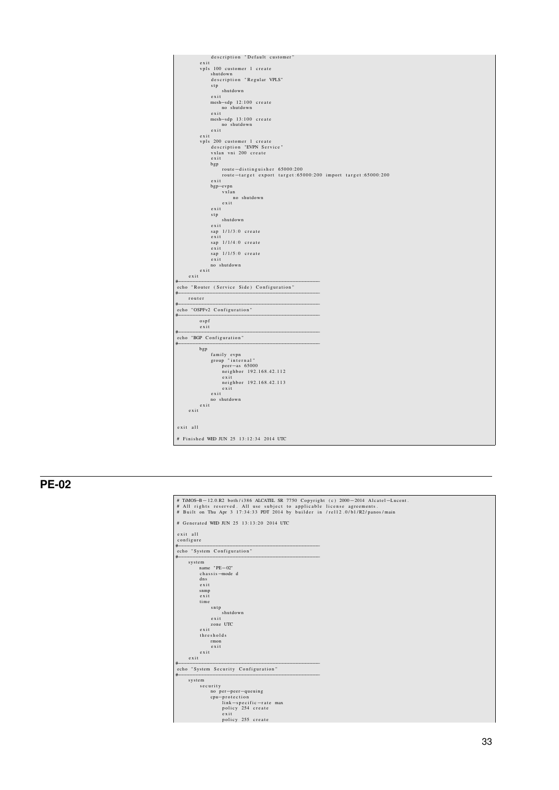

# **PE-02**

 $\Gamma$ 

| exit all<br>configure                     |  |
|-------------------------------------------|--|
| #<br>echo "System Configuration"          |  |
| #<br>system                               |  |
| name $"PE-02"$                            |  |
| chassis-mode d                            |  |
| dns                                       |  |
| exit                                      |  |
| snmp                                      |  |
| exit                                      |  |
| time                                      |  |
| sntp                                      |  |
| shutdown                                  |  |
| $e$ x i t                                 |  |
| zone UTC<br>exit                          |  |
| thresholds                                |  |
| rmon                                      |  |
| exit                                      |  |
| $e$ x i t                                 |  |
| $e$ x i t                                 |  |
| #<br>echo "System Security Configuration" |  |
| #<br>system                               |  |
| security                                  |  |
| no per-peer-queuing                       |  |
| cpu-protection                            |  |
| link-specific-rate max                    |  |
| policy 254 create                         |  |
| $e$ x i t                                 |  |
| policy 255 create                         |  |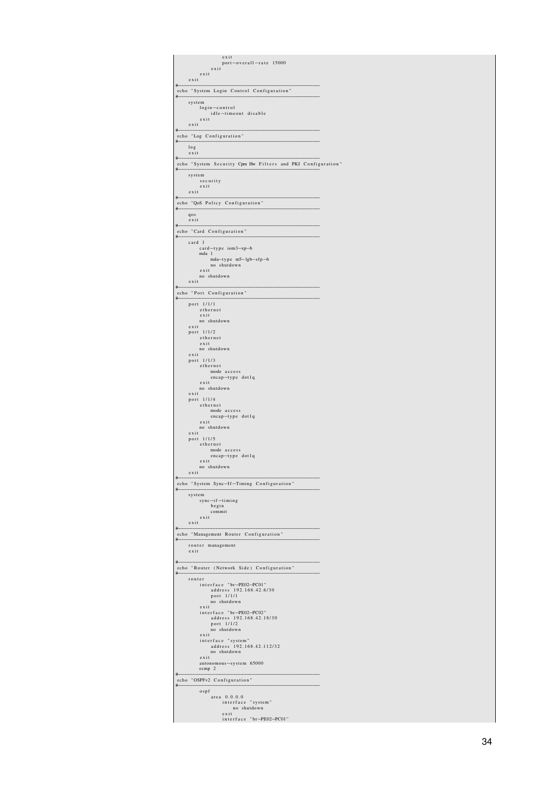| exit<br>port-overall-rate 15000                                  |
|------------------------------------------------------------------|
| exit<br>exit                                                     |
| exit<br>#                                                        |
| echo "System Login Control Configuration"<br>#                   |
| system<br>login-control                                          |
| idle-timeout disable<br>exist                                    |
| exit<br>#                                                        |
| echo "Log Configuration"<br>#                                    |
| log<br>exit                                                      |
| #<br>echo "System Security Cpm Hw Filters and PKI Configuration" |
| #<br>system                                                      |
| security<br>exit                                                 |
| exit<br>#                                                        |
| echo "QoS Policy Configuration"<br>#<br>qos                      |
| exit<br>#                                                        |
| echo "Card Configuration"<br>#                                   |
| card 1<br>card-type iom3-xp-b                                    |
| mda 1<br>mda-type m5-lgb-sfp-b                                   |
| no shutdown<br>exit                                              |
| no shutdown<br>exit                                              |
| #<br>echo "Port Configuration"                                   |
| #<br>port 1/1/1                                                  |
| ethernet<br>exit                                                 |
| no shutdown<br>exit                                              |
| port 1/1/2<br>ethernet                                           |
| exit<br>no shutdown                                              |
| exit<br>port 1/1/3                                               |
| ethernet<br>mode access                                          |
| encap-type dotlq<br>exit                                         |
| no shutdown<br>exit                                              |
| port 1/1/4<br>ethernet                                           |
| mode access<br>encap-type dotlq                                  |
| $ext{exit}$<br>no shutdown                                       |
| exit<br>port 1/1/5                                               |
| ethernet<br>mode access                                          |
| encap-type dotlq<br>exist<br>no shutdown                         |
| exit<br>#                                                        |
| echo "System Sync-If-Timing Configuration"<br>#                  |
| system<br>sync-if-timing                                         |
| begin<br>commit                                                  |
| exit<br>exit                                                     |
| #<br>echo "Management Router Configuration"                      |
| #<br>router management                                           |
| exit                                                             |
| #<br>echo "Router (Network Side) Configuration"                  |
| #<br>router                                                      |
| interface "br-PE02-PC01"<br>address 192.168.42.6/30              |
| port 1/1/1<br>no shutdown                                        |
| exit<br>interface "br-PE02-PC02"                                 |
| address 192.168.42.18/30<br>port 1/1/2                           |
| no shutdown<br>exit<br>interface "system"                        |
| address 192.168.42.112/32<br>no shutdown                         |
| exit<br>autonomous-system 65000                                  |
| ecmp 2<br>#                                                      |
| echo "OSPFv2 Configuration"<br>#                                 |
| ospf<br>area 0.0.0.0                                             |
| interface "system"<br>no shutdown                                |
| exit<br>interface "br-PE02-PC01"                                 |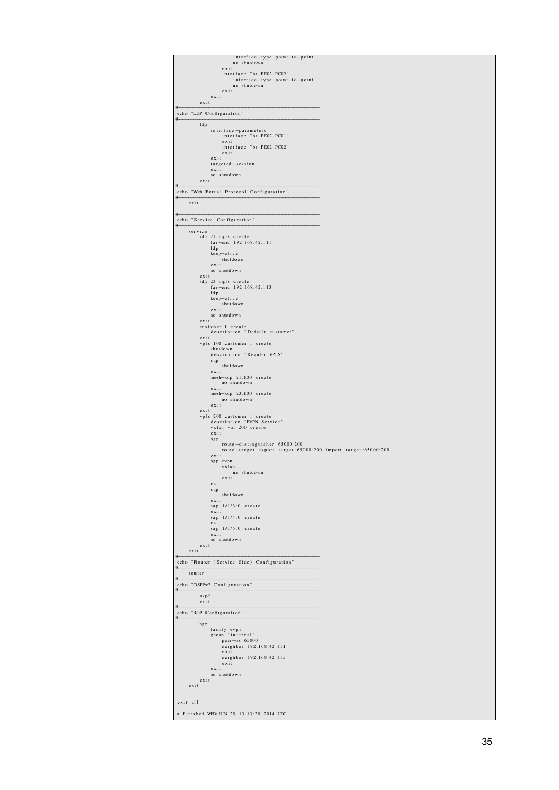| interface-type point-to-point<br>no shutdown<br>exit                                            |  |
|-------------------------------------------------------------------------------------------------|--|
| interface "br-PE02-PC02"<br>interface-type point-to-point<br>no shutdown                        |  |
| exit<br>exit                                                                                    |  |
| $e$ x i t<br>#                                                                                  |  |
| echo "LDP Configuration"<br>#                                                                   |  |
| ldp<br>interface-parameters                                                                     |  |
| interface "br-PE02-PC01"<br>exit                                                                |  |
| interface "br-PE02-PC02"<br>exit                                                                |  |
| exit<br>targeted-session                                                                        |  |
| exit<br>no shutdown                                                                             |  |
| exit<br>#<br>echo "Web Portal Protocol Configuration"                                           |  |
| #<br>exit                                                                                       |  |
| #                                                                                               |  |
| echo "Service Configuration"<br>#                                                               |  |
| service<br>sdp 21 mpls create                                                                   |  |
| far-end 192.168.42.111<br>ldp                                                                   |  |
| keep-alive<br>shutdown                                                                          |  |
| exit<br>no shutdown                                                                             |  |
| exit<br>sdp 23 mpls create                                                                      |  |
| far-end 192.168.42.113<br>ldp                                                                   |  |
| keep-alive<br>shutdown                                                                          |  |
| exit<br>no shutdown                                                                             |  |
| exit<br>customer 1 create                                                                       |  |
| description "Default customer"<br>exit<br>vpls 100 customer 1 create                            |  |
| shutdown                                                                                        |  |
| description "Regular VPLS"<br>stp<br>shutdown                                                   |  |
| exit<br>mesh-sdp 21:100 create                                                                  |  |
| no shutdown<br>exit                                                                             |  |
| mesh-sdp 23:100 create<br>no shutdown                                                           |  |
| exit<br>exit                                                                                    |  |
| vpls 200 customer 1 create<br>description "EVPN Service"<br>vxlan vni 200 create                |  |
| exit<br>bgp                                                                                     |  |
| route-distinguisher 65000:200<br>route-target export target: 65000:200 import target: 65000:200 |  |
| exit<br>bgp-evpn                                                                                |  |
| vxlan<br>no shutdown                                                                            |  |
| $ext{exit}$<br>exit                                                                             |  |
| stp<br>shutdown                                                                                 |  |
| exit<br>sap 1/1/3:0 create                                                                      |  |
| exist<br>sap 1/1/4:0 create                                                                     |  |
| exist<br>sap 1/1/5:0 create                                                                     |  |
| exit<br>no shutdown                                                                             |  |
| exist<br>exit<br>#                                                                              |  |
| echo "Router (Service Side) Configuration"<br>#                                                 |  |
| router<br>#                                                                                     |  |
| echo "OSPFv2 Configuration"<br>#                                                                |  |
| ospf<br>$ext{exit}$<br>#                                                                        |  |
| echo "BGP Configuration"<br>#                                                                   |  |
| bgp<br>family evpn                                                                              |  |
| group "internal"<br>peer—as 65000                                                               |  |
| neighbor 192.168.42.111<br>exit                                                                 |  |
| neighbor 192.168.42.113<br>exit                                                                 |  |
| exit<br>no shutdown                                                                             |  |
| exit<br>exit                                                                                    |  |
|                                                                                                 |  |
| exit all<br># Finished WED JUN 25 13:13:20 2014 UTC                                             |  |
|                                                                                                 |  |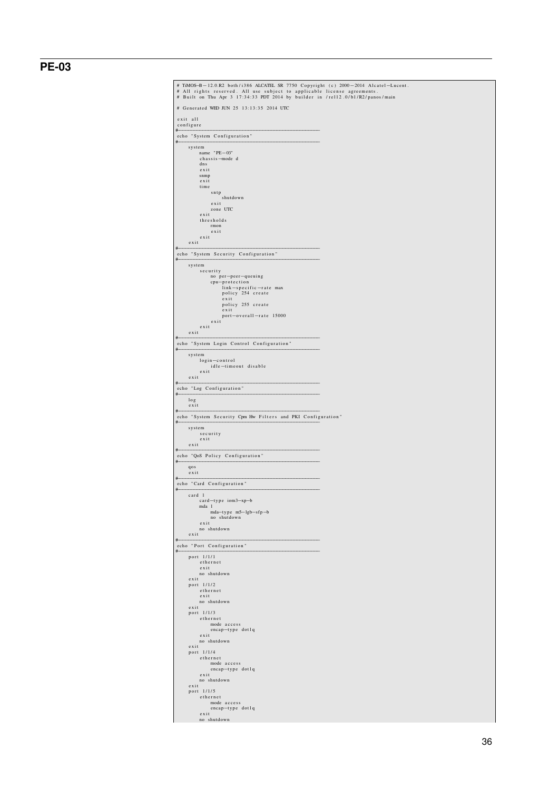# **PE-03**

| # Generated WED JUN 25 13:13:35 2014 UTC                         |  |
|------------------------------------------------------------------|--|
| exit all                                                         |  |
| configure<br>#<br>echo "System Configuration"                    |  |
| #<br>system                                                      |  |
| name "PE-03"<br>chassis-mode d                                   |  |
| dns                                                              |  |
| exit<br>snmp                                                     |  |
| exit<br>time                                                     |  |
| sntp<br>shutdown                                                 |  |
| exit                                                             |  |
| zone UTC<br>exit                                                 |  |
| thresholds<br>rmon                                               |  |
| exit<br>exit                                                     |  |
| exit                                                             |  |
| #<br>echo "System Security Configuration"                        |  |
| #<br>system                                                      |  |
| security<br>no per-peer-queuing                                  |  |
| cpu-protection<br>link-specific-rate max                         |  |
| policy 254 create<br>exit                                        |  |
| policy 255 create                                                |  |
| exit<br>port-overall-rate 15000                                  |  |
| exit<br>$ext{exit}$                                              |  |
| exit<br>#                                                        |  |
| echo "System Login Control Configuration"<br>#                   |  |
| system<br>login-control                                          |  |
| idle-timeout disable<br>exit                                     |  |
| $ext{exit}$                                                      |  |
| #<br>echo "Log Configuration"                                    |  |
| #<br>log                                                         |  |
| $ext{exit}$                                                      |  |
| #<br>echo "System Security Cpm Hw Filters and PKI Configuration" |  |
| #<br>system                                                      |  |
| security                                                         |  |
| $ext{exit}$<br>exit                                              |  |
| #<br>echo "QoS Policy Configuration"                             |  |
| #<br>qos                                                         |  |
| $ext{exit}$<br>#                                                 |  |
| echo "Card Configuration"<br>#                                   |  |
| card 1<br>card-type iom3-xp-b                                    |  |
| mda 1<br>mda-type m5-lgb-sfp-b                                   |  |
| no shutdown                                                      |  |
| exit<br>no shutdown                                              |  |
| exit<br>#                                                        |  |
| echo "Port Configuration"<br>#                                   |  |
| port 1/1/1<br>ethernet                                           |  |
| exit<br>no shutdown                                              |  |
| exit                                                             |  |
| port 1/1/2<br>ethernet                                           |  |
| exit<br>no shutdown                                              |  |
| exit<br>port 1/1/3                                               |  |
|                                                                  |  |
| ethernet                                                         |  |
| mode access                                                      |  |
| encap-type dotlq<br>exit                                         |  |
| no shutdown<br>exit                                              |  |
| port 1/1/4<br>ethernet                                           |  |
| mode access                                                      |  |
| encap-type dotlq<br>exit                                         |  |
| no shutdown<br>exit                                              |  |
| port 1/1/5<br>ethernet                                           |  |
| mode access                                                      |  |
| encap-type dotlq<br>exit<br>no shutdown                          |  |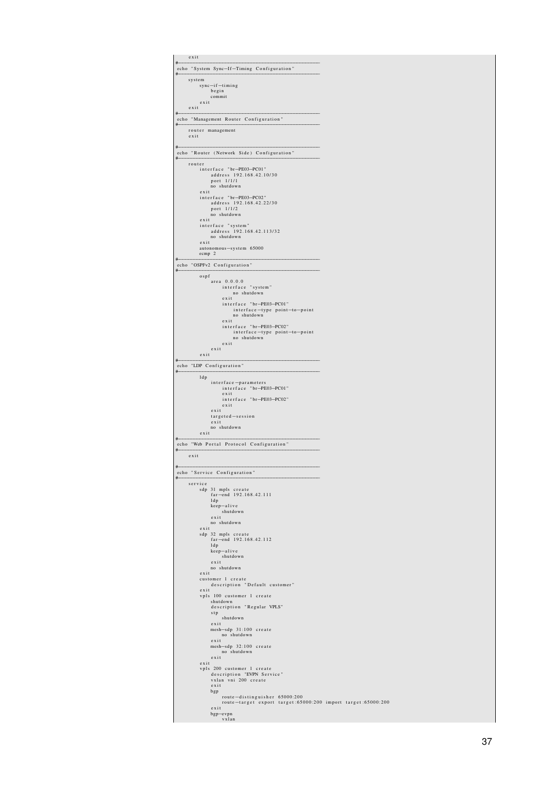| exit<br>#<br>echo "System Sync-If-Timing Configuration"                                               |  |
|-------------------------------------------------------------------------------------------------------|--|
| #<br>system<br>sync-if-timing                                                                         |  |
| begin<br>commit                                                                                       |  |
| exit<br>exit<br>#                                                                                     |  |
| echo "Management Router Configuration"<br>#                                                           |  |
| router management<br>exit                                                                             |  |
| #<br>echo "Router (Network Side) Configuration"<br>#                                                  |  |
| router<br>interface "br-PE03-PC01"                                                                    |  |
| address 192.168.42.10/30<br>port 1/1/1<br>no shutdown                                                 |  |
| exit<br>interface "br-PE03-PC02"                                                                      |  |
| address 192.168.42.22/30<br>port 1/1/2<br>no shutdown                                                 |  |
| exit<br>interface "system"<br>address 192.168.42.113/32                                               |  |
| no shutdown<br>exit                                                                                   |  |
| autonomous-system 65000<br>ecmp 2                                                                     |  |
| echo "OSPFv2 Configuration"<br>#                                                                      |  |
| ospf<br>area 0.0.0.0<br>interface "system"                                                            |  |
| no shutdown<br>exit                                                                                   |  |
| interface "br-PE03-PC01"<br>interface-type point-to-point<br>no shutdown                              |  |
| exit<br>interface "br-PE03-PC02"                                                                      |  |
| interface-type point-to-point<br>no shutdown<br>exit                                                  |  |
| exit<br>exit                                                                                          |  |
| #<br>echo "LDP Configuration"<br>#                                                                    |  |
| ldp<br>interface-parameters                                                                           |  |
| interface "br-PE03-PC01"<br>exit<br>interface "br-PE03-PC02"                                          |  |
| exit<br>exit                                                                                          |  |
| targeted-session<br>exit<br>no shutdown                                                               |  |
| exit<br>#                                                                                             |  |
| echo "Web Portal Protocol Configuration"<br>#<br>exit                                                 |  |
| #<br>echo "Service Configuration"                                                                     |  |
| #<br>service                                                                                          |  |
| sdp 31 mpls create<br>far-end 192.168.42.111<br>ldp                                                   |  |
| keep-alive<br>shutdown                                                                                |  |
| exit<br>no shutdown<br>exit                                                                           |  |
| sdp 32 mpls create<br>far-end 192.168.42.112                                                          |  |
| ldp<br>keep-alive<br>shutdown                                                                         |  |
| exist<br>no shutdown                                                                                  |  |
| exist<br>customer 1 create<br>description "Default customer"                                          |  |
| exit<br>vpls 100 customer 1 create                                                                    |  |
| shutdown<br>description "Regular VPLS"<br>stp                                                         |  |
| shutdown<br>exit                                                                                      |  |
| mesh-sdp 31:100 create<br>no shutdown<br>exit                                                         |  |
| mesh-sdp 32:100 create<br>no shutdown                                                                 |  |
| exit<br>exit                                                                                          |  |
| vpls 200 customer 1 create<br>description "EVPN Service"<br>vxlan vni 200 create                      |  |
| exit<br>bgp                                                                                           |  |
| route-distinguisher 65000:200<br>route-target export target:65000:200 import target:65000:200<br>exit |  |
| bgp-evpn<br>vxlan                                                                                     |  |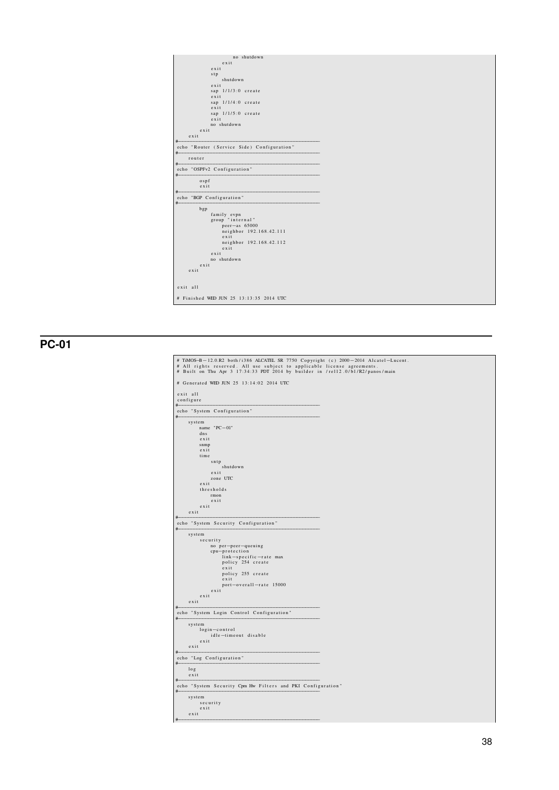| no shutdown                                |  |
|--------------------------------------------|--|
| $e$ x i t                                  |  |
| exit                                       |  |
| stp                                        |  |
| shutdown                                   |  |
| exit                                       |  |
| sap $1/1/3:0$ create<br>exit               |  |
| sap $1/1/4:0$ create                       |  |
| exit                                       |  |
| sap 1/1/5:0 create                         |  |
| exit                                       |  |
| no shutdown                                |  |
| exit                                       |  |
| $e$ x i t                                  |  |
| #                                          |  |
| echo "Router (Service Side) Configuration" |  |
| router<br>#                                |  |
| echo "OSPFv2 Configuration"<br>#           |  |
| $o$ spf                                    |  |
| exit                                       |  |
| #                                          |  |
| echo "BGP Configuration"<br>#              |  |
| bgp                                        |  |
| family evpn                                |  |
| group "internal"                           |  |
| peer-as 65000                              |  |
| neighbor 192.168.42.111                    |  |
| exit                                       |  |
| neighbor 192.168.42.112                    |  |
| $e$ x i t                                  |  |
| $e$ x i t                                  |  |
| no shutdown                                |  |
| exit                                       |  |
| exit                                       |  |
|                                            |  |
| exit all                                   |  |
| # Finished WED JUN 25 13:13:35 2014 UTC    |  |

 $PC-01$ 

| # Generated WED JUN 25 13:14:02 2014 UTC                              |  |
|-----------------------------------------------------------------------|--|
| exit all                                                              |  |
| configure                                                             |  |
| #                                                                     |  |
| echo "System Configuration"<br>#                                      |  |
| system                                                                |  |
| name "PC-01"                                                          |  |
| dns                                                                   |  |
| exit                                                                  |  |
| snmp<br>exit                                                          |  |
| time                                                                  |  |
| sntp                                                                  |  |
| shutdown                                                              |  |
| exit                                                                  |  |
| zone UTC                                                              |  |
| exit                                                                  |  |
| thresholds                                                            |  |
| rmon<br>exit                                                          |  |
| exist                                                                 |  |
| exit                                                                  |  |
| #                                                                     |  |
| echo "System Security Configuration"<br>#                             |  |
| system                                                                |  |
| security                                                              |  |
| no per-peer-queuing                                                   |  |
| cpu-protection                                                        |  |
| link-specific-rate max                                                |  |
| policy 254 create                                                     |  |
| exit                                                                  |  |
| policy 255 create<br>exit                                             |  |
| port-overall-rate 15000                                               |  |
| exit                                                                  |  |
|                                                                       |  |
| exit                                                                  |  |
| exit                                                                  |  |
| echo "System Login Control Configuration"                             |  |
|                                                                       |  |
| system                                                                |  |
| #<br>#<br>login-control<br>idle-timeout disable                       |  |
| exit                                                                  |  |
| exit                                                                  |  |
|                                                                       |  |
| #<br>echo "Log Configuration"<br>#                                    |  |
| log                                                                   |  |
| exit                                                                  |  |
|                                                                       |  |
| #<br>echo "System Security Cpm Hw Filters and PKI Configuration"<br># |  |
| system<br>security                                                    |  |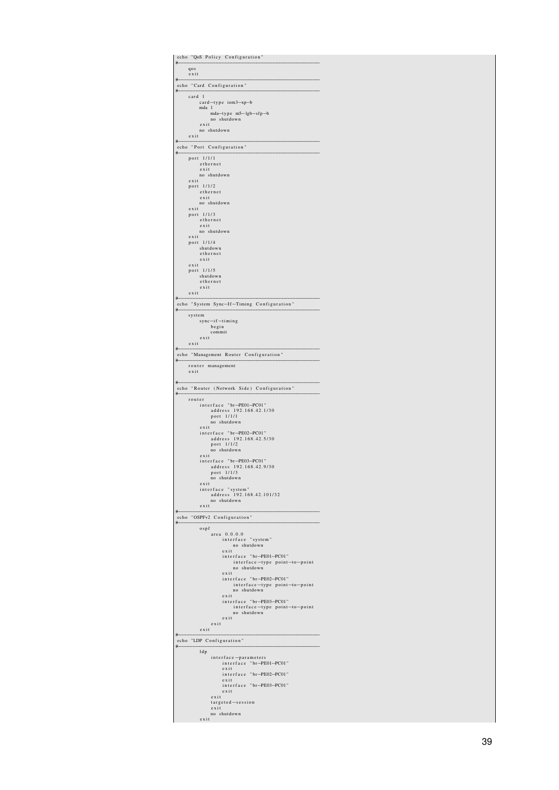| #            | echo "QoS Policy Configuration"                           |
|--------------|-----------------------------------------------------------|
| qos          |                                                           |
| exit         |                                                           |
| #            | echo "Card Configuration"                                 |
| card         | $\mathbf{1}$<br>card-type iom3-xp-b                       |
|              | mda 1<br>mda-type m5-lgb-sfp-b                            |
|              | no shutdown<br>exit                                       |
| exit         | no shutdown                                               |
|              | echo "Port Configuration"                                 |
| #            | port 1/1/1                                                |
|              | ethernet                                                  |
|              | exit<br>no shutdown                                       |
| exit<br>port | 1/1/2                                                     |
|              | ethernet<br>exit                                          |
| exit         | no shutdown                                               |
| port         | 1/1/3<br>ethernet                                         |
|              | exit<br>no shutdown                                       |
| exit<br>port | 1/1/4                                                     |
|              | shutdown<br>ethernet                                      |
| exit         | exit                                                      |
| port         | 1/1/5<br>shutdown                                         |
|              | ethernet                                                  |
| exit<br>#    | exit                                                      |
|              | echo "System Sync-If-Timing Configuration"                |
| #            | system                                                    |
|              | sync-if-timing<br>begin                                   |
|              | commit<br>exit                                            |
| exit<br>#    |                                                           |
|              | echo "Management Router Configuration"                    |
| exit         | router management                                         |
| #            |                                                           |
| #            | echo "Router (Network Side) Configuration"                |
|              | router<br>interface "br-PE01-PC01"                        |
|              | address 192.168.42.1/30<br>port 1/1/1                     |
|              | no shutdown<br>exist                                      |
|              | interface "br-PE02-PC01"<br>address 192.168.42.5/30       |
|              | port 1/1/2                                                |
|              | no shutdown<br>exit                                       |
|              | interface "br-PE03-PC01"<br>address 192.168.42.9/30       |
|              | $ort$ $1/1/3$<br>no shutdown                              |
|              | exit<br>interface "system"                                |
|              | address 192.168.42.101/32<br>no shutdown                  |
|              | $e$ x i t                                                 |
|              | echo "OSPFv2 Configuration"                               |
| #            | ospf<br>area 0.0.0.0                                      |
|              | interface "system"                                        |
|              | no shutdown<br>exit                                       |
|              | interface "br-PE01-PC01"<br>interface-type point-to-point |
|              | no shutdown<br>exit                                       |
|              | interface "br-PE02-PC01"<br>interface-type point-to-point |
|              | no shutdown<br>exit                                       |
|              | interface "br-PE03-PC01"<br>interface-type point-to-point |
|              | no shutdown<br>exit                                       |
|              | exit                                                      |
| #            | exit                                                      |
| #            | echo "LDP Configuration"                                  |
|              | ldp<br>interface-parameters                               |
|              | interface "br-PE01-PC01"<br>exit                          |
|              | interface "br-PE02-PC01"<br>exit                          |
|              | interface "br-PE03-PC01"<br>exit                          |
|              | exit                                                      |
|              | $targeted - session$<br>exit                              |
|              | no shutdown<br>exit                                       |
|              |                                                           |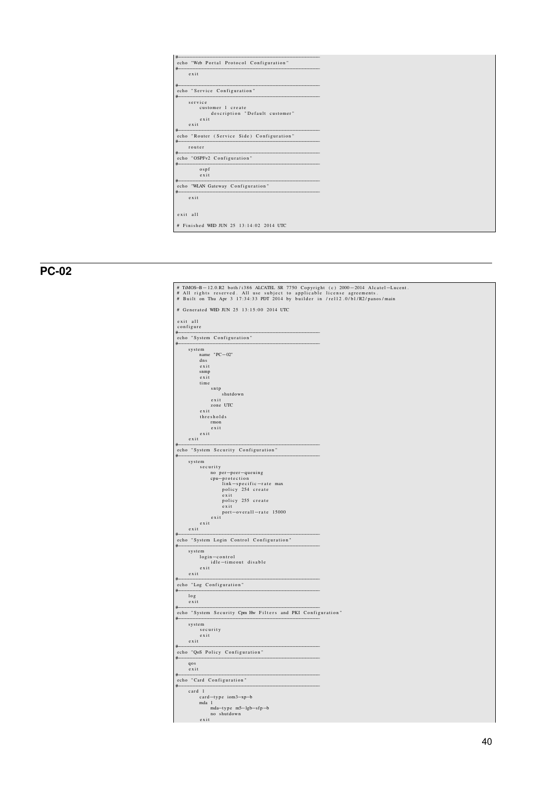| #                                                    |
|------------------------------------------------------|
| echo "Web Portal Protocol Configuration"<br>#        |
| exit                                                 |
|                                                      |
| #                                                    |
| echo "Service Configuration"<br>#                    |
| service                                              |
| customer 1 create                                    |
| description "Default customer"                       |
| $e$ x i t                                            |
| exit                                                 |
| #<br>echo "Router (Service Side) Configuration"<br># |
| router<br>#                                          |
| echo "OSPFv2 Configuration"<br>#                     |
| osp f                                                |
| $e$ x i t                                            |
| echo "WLAN Gateway Configuration"                    |
| exit                                                 |
|                                                      |
| exit all                                             |
| # Finished WED JUN 25 13:14:02 2014 UTC              |

# **PC-02**

| exit all<br>configure<br>#<br>echo "System Configuration"<br>#<br>system<br>name "PC-02"<br>dns<br>exit<br>snmp<br>exit<br>time<br>sntp<br>shutdown<br>exit<br>zone UTC<br>exit<br>thresholds<br>rmon<br>exit<br>exit<br>exit<br>echo "System Security Configuration"<br>system<br>security<br>no per-peer-queuing<br>cpu-protection<br>link-specific-rate max<br>policy 254 create<br>exit<br>policy 255 create<br>exit<br>port-overall-rate 15000<br>exit<br>exit<br>exit<br>echo "System Login Control Configuration"<br>system<br>login-control<br>idle-timeout disable<br>exit<br>exit<br>echo "Log Configuration"<br>log<br>exit<br>echo "System Security Cpm Hw Filters and PKI Configuration"<br>system<br>security<br>exit<br>exit<br>echo "QoS Policy Configuration"<br>qos<br>$ext{exit}$<br>echo "Card Configuration"<br>card 1<br>card-type iom3-xp-b |                     |  |
|--------------------------------------------------------------------------------------------------------------------------------------------------------------------------------------------------------------------------------------------------------------------------------------------------------------------------------------------------------------------------------------------------------------------------------------------------------------------------------------------------------------------------------------------------------------------------------------------------------------------------------------------------------------------------------------------------------------------------------------------------------------------------------------------------------------------------------------------------------------------|---------------------|--|
|                                                                                                                                                                                                                                                                                                                                                                                                                                                                                                                                                                                                                                                                                                                                                                                                                                                                    |                     |  |
|                                                                                                                                                                                                                                                                                                                                                                                                                                                                                                                                                                                                                                                                                                                                                                                                                                                                    |                     |  |
|                                                                                                                                                                                                                                                                                                                                                                                                                                                                                                                                                                                                                                                                                                                                                                                                                                                                    |                     |  |
| #<br>#<br>#<br>#<br>#<br>#<br>#<br>#<br>#<br>#<br>#                                                                                                                                                                                                                                                                                                                                                                                                                                                                                                                                                                                                                                                                                                                                                                                                                |                     |  |
|                                                                                                                                                                                                                                                                                                                                                                                                                                                                                                                                                                                                                                                                                                                                                                                                                                                                    |                     |  |
|                                                                                                                                                                                                                                                                                                                                                                                                                                                                                                                                                                                                                                                                                                                                                                                                                                                                    |                     |  |
|                                                                                                                                                                                                                                                                                                                                                                                                                                                                                                                                                                                                                                                                                                                                                                                                                                                                    |                     |  |
|                                                                                                                                                                                                                                                                                                                                                                                                                                                                                                                                                                                                                                                                                                                                                                                                                                                                    |                     |  |
|                                                                                                                                                                                                                                                                                                                                                                                                                                                                                                                                                                                                                                                                                                                                                                                                                                                                    |                     |  |
|                                                                                                                                                                                                                                                                                                                                                                                                                                                                                                                                                                                                                                                                                                                                                                                                                                                                    |                     |  |
|                                                                                                                                                                                                                                                                                                                                                                                                                                                                                                                                                                                                                                                                                                                                                                                                                                                                    |                     |  |
|                                                                                                                                                                                                                                                                                                                                                                                                                                                                                                                                                                                                                                                                                                                                                                                                                                                                    |                     |  |
|                                                                                                                                                                                                                                                                                                                                                                                                                                                                                                                                                                                                                                                                                                                                                                                                                                                                    |                     |  |
|                                                                                                                                                                                                                                                                                                                                                                                                                                                                                                                                                                                                                                                                                                                                                                                                                                                                    |                     |  |
|                                                                                                                                                                                                                                                                                                                                                                                                                                                                                                                                                                                                                                                                                                                                                                                                                                                                    |                     |  |
|                                                                                                                                                                                                                                                                                                                                                                                                                                                                                                                                                                                                                                                                                                                                                                                                                                                                    |                     |  |
|                                                                                                                                                                                                                                                                                                                                                                                                                                                                                                                                                                                                                                                                                                                                                                                                                                                                    |                     |  |
|                                                                                                                                                                                                                                                                                                                                                                                                                                                                                                                                                                                                                                                                                                                                                                                                                                                                    |                     |  |
|                                                                                                                                                                                                                                                                                                                                                                                                                                                                                                                                                                                                                                                                                                                                                                                                                                                                    |                     |  |
|                                                                                                                                                                                                                                                                                                                                                                                                                                                                                                                                                                                                                                                                                                                                                                                                                                                                    |                     |  |
|                                                                                                                                                                                                                                                                                                                                                                                                                                                                                                                                                                                                                                                                                                                                                                                                                                                                    |                     |  |
|                                                                                                                                                                                                                                                                                                                                                                                                                                                                                                                                                                                                                                                                                                                                                                                                                                                                    |                     |  |
|                                                                                                                                                                                                                                                                                                                                                                                                                                                                                                                                                                                                                                                                                                                                                                                                                                                                    |                     |  |
|                                                                                                                                                                                                                                                                                                                                                                                                                                                                                                                                                                                                                                                                                                                                                                                                                                                                    |                     |  |
|                                                                                                                                                                                                                                                                                                                                                                                                                                                                                                                                                                                                                                                                                                                                                                                                                                                                    |                     |  |
|                                                                                                                                                                                                                                                                                                                                                                                                                                                                                                                                                                                                                                                                                                                                                                                                                                                                    |                     |  |
|                                                                                                                                                                                                                                                                                                                                                                                                                                                                                                                                                                                                                                                                                                                                                                                                                                                                    |                     |  |
|                                                                                                                                                                                                                                                                                                                                                                                                                                                                                                                                                                                                                                                                                                                                                                                                                                                                    |                     |  |
|                                                                                                                                                                                                                                                                                                                                                                                                                                                                                                                                                                                                                                                                                                                                                                                                                                                                    |                     |  |
|                                                                                                                                                                                                                                                                                                                                                                                                                                                                                                                                                                                                                                                                                                                                                                                                                                                                    |                     |  |
|                                                                                                                                                                                                                                                                                                                                                                                                                                                                                                                                                                                                                                                                                                                                                                                                                                                                    |                     |  |
|                                                                                                                                                                                                                                                                                                                                                                                                                                                                                                                                                                                                                                                                                                                                                                                                                                                                    |                     |  |
|                                                                                                                                                                                                                                                                                                                                                                                                                                                                                                                                                                                                                                                                                                                                                                                                                                                                    |                     |  |
|                                                                                                                                                                                                                                                                                                                                                                                                                                                                                                                                                                                                                                                                                                                                                                                                                                                                    |                     |  |
|                                                                                                                                                                                                                                                                                                                                                                                                                                                                                                                                                                                                                                                                                                                                                                                                                                                                    |                     |  |
|                                                                                                                                                                                                                                                                                                                                                                                                                                                                                                                                                                                                                                                                                                                                                                                                                                                                    |                     |  |
|                                                                                                                                                                                                                                                                                                                                                                                                                                                                                                                                                                                                                                                                                                                                                                                                                                                                    |                     |  |
|                                                                                                                                                                                                                                                                                                                                                                                                                                                                                                                                                                                                                                                                                                                                                                                                                                                                    |                     |  |
|                                                                                                                                                                                                                                                                                                                                                                                                                                                                                                                                                                                                                                                                                                                                                                                                                                                                    |                     |  |
|                                                                                                                                                                                                                                                                                                                                                                                                                                                                                                                                                                                                                                                                                                                                                                                                                                                                    |                     |  |
|                                                                                                                                                                                                                                                                                                                                                                                                                                                                                                                                                                                                                                                                                                                                                                                                                                                                    |                     |  |
|                                                                                                                                                                                                                                                                                                                                                                                                                                                                                                                                                                                                                                                                                                                                                                                                                                                                    |                     |  |
|                                                                                                                                                                                                                                                                                                                                                                                                                                                                                                                                                                                                                                                                                                                                                                                                                                                                    | #                   |  |
|                                                                                                                                                                                                                                                                                                                                                                                                                                                                                                                                                                                                                                                                                                                                                                                                                                                                    |                     |  |
| mda-type m5-lgb-sfp-b                                                                                                                                                                                                                                                                                                                                                                                                                                                                                                                                                                                                                                                                                                                                                                                                                                              | mda 1               |  |
|                                                                                                                                                                                                                                                                                                                                                                                                                                                                                                                                                                                                                                                                                                                                                                                                                                                                    | no shutdown<br>exit |  |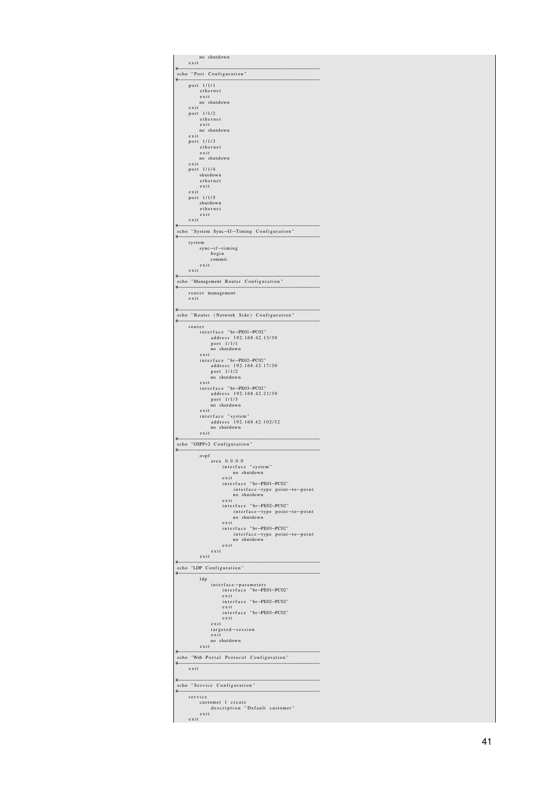| no shutdown<br>exit                                        |
|------------------------------------------------------------|
| echo "Port Configuration"                                  |
| #<br>port 1/1/1                                            |
| ethernet<br>exit                                           |
| no shutdown<br>exit                                        |
| port 1/1/2<br>ethernet                                     |
| exit<br>no shutdown                                        |
| exit<br>port 1/1/3                                         |
| ethernet<br>exit                                           |
| no shutdown<br>exit                                        |
| port 1/1/4<br>shutdown<br>ethernet                         |
| exit<br>exit                                               |
| 1/1/5<br>port<br>shutdown                                  |
| ethernet<br>exit                                           |
| exit                                                       |
| echo "System Sync-If-Timing Configuration"<br>#            |
| system<br>sync-if-timing                                   |
| begin<br>commit                                            |
| exit<br>exit                                               |
| echo "Management Router Configuration"<br>#                |
| router management<br>exit                                  |
| #                                                          |
| echo "Router (Network Side) Configuration"<br>#            |
| router<br>interface "br-PE01-PC02"                         |
| address 192.168.42.13/30<br>port 1/1/1                     |
| no shutdown<br>exit                                        |
| interface "br-PE02-PC02"<br>address 192.168.42.17/30       |
| port 1/1/2<br>no shutdown                                  |
| exit<br>interface "br-PE03-PC02"                           |
| address 192.168.42.21/30<br>port 1/1/3                     |
| no shutdown<br>exit<br>interface "system"                  |
| address 192.168.42.102/32<br>no shutdown                   |
| exit                                                       |
| echo "OSPFv2 Configuration"<br>#                           |
| ospf<br>area 0.0.0.0                                       |
| interface "system"<br>utdow<br>$\mathbf{S}$ <sub>III</sub> |
| exit<br>interface "br-PE01-PC02"                           |
| interface-type point-to-point<br>no shutdown               |
| exit<br>interface "br-PE02-PC02"                           |
| interface-type point-to-point<br>no shutdown               |
| exit<br>interface "br-PE03-PC02"                           |
| interface-type point-to-point<br>no shutdown               |
| exit<br>exit                                               |
| exit<br>echo "LDP Configuration"                           |
| #<br>ldp                                                   |
| interface-parameters<br>interface "br-PE01-PC02"           |
| exit<br>interface "br-PE02-PC02"                           |
| exit<br>interface "br-PE03-PC02"                           |
| exit<br>exit                                               |
| $targeted - session$<br>exit                               |
| no shutdown<br>exit                                        |
| echo "Web Portal Protocol Configuration"                   |
| #<br>exit                                                  |
| #                                                          |
| echo "Service Configuration"<br>#                          |
| service<br>customer 1 create                               |
| description "Default customer"<br>exit                     |
| exit                                                       |